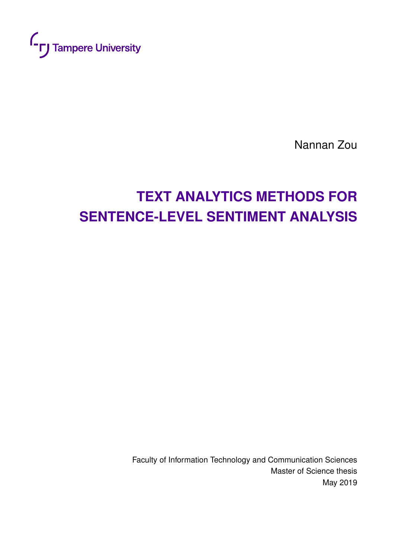

Nannan Zou

# **TEXT ANALYTICS METHODS FOR SENTENCE-LEVEL SENTIMENT ANALYSIS**

Faculty of Information Technology and Communication Sciences Master of Science thesis May 2019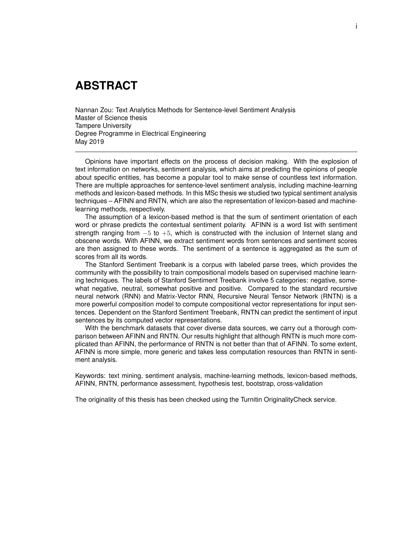### **ABSTRACT**

Nannan Zou: Text Analytics Methods for Sentence-level Sentiment Analysis Master of Science thesis Tampere University Degree Programme in Electrical Engineering May 2019

Opinions have important effects on the process of decision making. With the explosion of text information on networks, sentiment analysis, which aims at predicting the opinions of people about specific entities, has become a popular tool to make sense of countless text information. There are multiple approaches for sentence-level sentiment analysis, including machine-learning methods and lexicon-based methods. In this MSc thesis we studied two typical sentiment analysis techniques – AFINN and RNTN, which are also the representation of lexicon-based and machinelearning methods, respectively.

The assumption of a lexicon-based method is that the sum of sentiment orientation of each word or phrase predicts the contextual sentiment polarity. AFINN is a word list with sentiment strength ranging from  $-5$  to  $+5$ , which is constructed with the inclusion of Internet slang and obscene words. With AFINN, we extract sentiment words from sentences and sentiment scores are then assigned to these words. The sentiment of a sentence is aggregated as the sum of scores from all its words.

The Stanford Sentiment Treebank is a corpus with labeled parse trees, which provides the community with the possibility to train compositional models based on supervised machine learning techniques. The labels of Stanford Sentiment Treebank involve 5 categories: negative, somewhat negative, neutral, somewhat positive and positive. Compared to the standard recursive neural network (RNN) and Matrix-Vector RNN, Recursive Neural Tensor Network (RNTN) is a more powerful composition model to compute compositional vector representations for input sentences. Dependent on the Stanford Sentiment Treebank, RNTN can predict the sentiment of input sentences by its computed vector representations.

With the benchmark datasets that cover diverse data sources, we carry out a thorough comparison between AFINN and RNTN. Our results highlight that although RNTN is much more complicated than AFINN, the performance of RNTN is not better than that of AFINN. To some extent, AFINN is more simple, more generic and takes less computation resources than RNTN in sentiment analysis.

Keywords: text mining, sentiment analysis, machine-learning methods, lexicon-based methods, AFINN, RNTN, performance assessment, hypothesis test, bootstrap, cross-validation

The originality of this thesis has been checked using the Turnitin OriginalityCheck service.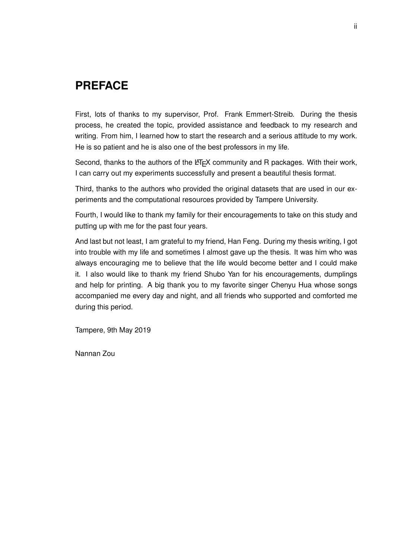## **PREFACE**

First, lots of thanks to my supervisor, Prof. Frank Emmert-Streib. During the thesis process, he created the topic, provided assistance and feedback to my research and writing. From him, I learned how to start the research and a serious attitude to my work. He is so patient and he is also one of the best professors in my life.

Second, thanks to the authors of the LATEX community and R packages. With their work, I can carry out my experiments successfully and present a beautiful thesis format.

Third, thanks to the authors who provided the original datasets that are used in our experiments and the computational resources provided by Tampere University.

Fourth, I would like to thank my family for their encouragements to take on this study and putting up with me for the past four years.

And last but not least, I am grateful to my friend, Han Feng. During my thesis writing, I got into trouble with my life and sometimes I almost gave up the thesis. It was him who was always encouraging me to believe that the life would become better and I could make it. I also would like to thank my friend Shubo Yan for his encouragements, dumplings and help for printing. A big thank you to my favorite singer Chenyu Hua whose songs accompanied me every day and night, and all friends who supported and comforted me during this period.

Tampere, 9th May 2019

Nannan Zou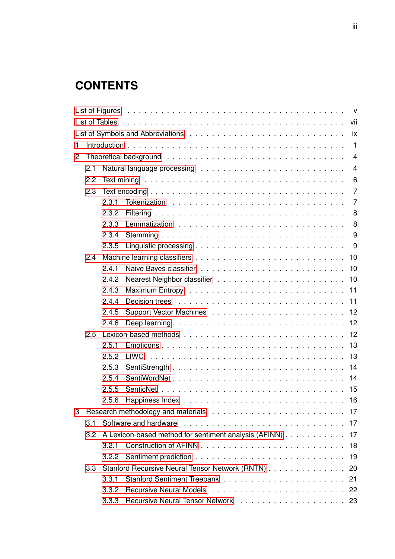## **CONTENTS**

| 1                                                               |                  |       |                                                                                                                                                                                                                                |  |  |  |
|-----------------------------------------------------------------|------------------|-------|--------------------------------------------------------------------------------------------------------------------------------------------------------------------------------------------------------------------------------|--|--|--|
| 2                                                               |                  |       | $\overline{4}$                                                                                                                                                                                                                 |  |  |  |
|                                                                 | 2.1              |       | $\overline{4}$                                                                                                                                                                                                                 |  |  |  |
|                                                                 | 2.2              |       | 6                                                                                                                                                                                                                              |  |  |  |
|                                                                 | 2.3              |       | Text encoding $\ldots \ldots \ldots \ldots \ldots \ldots \ldots \ldots \ldots \ldots \ldots$<br>$\overline{7}$                                                                                                                 |  |  |  |
|                                                                 |                  | 2.3.1 |                                                                                                                                                                                                                                |  |  |  |
|                                                                 |                  | 2.3.2 |                                                                                                                                                                                                                                |  |  |  |
|                                                                 |                  | 2.3.3 |                                                                                                                                                                                                                                |  |  |  |
|                                                                 |                  | 2.3.4 | 9                                                                                                                                                                                                                              |  |  |  |
|                                                                 |                  | 2.3.5 |                                                                                                                                                                                                                                |  |  |  |
|                                                                 | 2.4              |       |                                                                                                                                                                                                                                |  |  |  |
|                                                                 |                  | 2.4.1 |                                                                                                                                                                                                                                |  |  |  |
|                                                                 |                  | 2.4.2 |                                                                                                                                                                                                                                |  |  |  |
|                                                                 |                  | 2.4.3 |                                                                                                                                                                                                                                |  |  |  |
|                                                                 |                  | 2.4.4 |                                                                                                                                                                                                                                |  |  |  |
|                                                                 |                  | 2.4.5 |                                                                                                                                                                                                                                |  |  |  |
|                                                                 |                  | 2.4.6 |                                                                                                                                                                                                                                |  |  |  |
|                                                                 | 2.5              |       |                                                                                                                                                                                                                                |  |  |  |
|                                                                 |                  | 2.5.1 |                                                                                                                                                                                                                                |  |  |  |
|                                                                 |                  | 2.5.2 |                                                                                                                                                                                                                                |  |  |  |
|                                                                 |                  | 2.5.3 |                                                                                                                                                                                                                                |  |  |  |
|                                                                 |                  | 2.5.4 |                                                                                                                                                                                                                                |  |  |  |
|                                                                 |                  | 2.5.5 |                                                                                                                                                                                                                                |  |  |  |
|                                                                 |                  | 2.5.6 |                                                                                                                                                                                                                                |  |  |  |
| 3                                                               |                  |       |                                                                                                                                                                                                                                |  |  |  |
|                                                                 | 3.1              |       | Software and hardware enterprised and software and hardware enterprised and service and the service of the service of the service of the service of the service of the service of the service of the service of the service of |  |  |  |
| A Lexicon-based method for sentiment analysis (AFINN) 17<br>3.2 |                  |       |                                                                                                                                                                                                                                |  |  |  |
|                                                                 |                  | 3.2.1 |                                                                                                                                                                                                                                |  |  |  |
|                                                                 |                  | 3.2.2 |                                                                                                                                                                                                                                |  |  |  |
|                                                                 | 3.3 <sub>1</sub> |       | Stanford Recursive Neural Tensor Network (RNTN) 20                                                                                                                                                                             |  |  |  |
|                                                                 |                  | 3.3.1 | 21                                                                                                                                                                                                                             |  |  |  |
|                                                                 |                  | 3.3.2 |                                                                                                                                                                                                                                |  |  |  |
|                                                                 |                  | 3.3.3 |                                                                                                                                                                                                                                |  |  |  |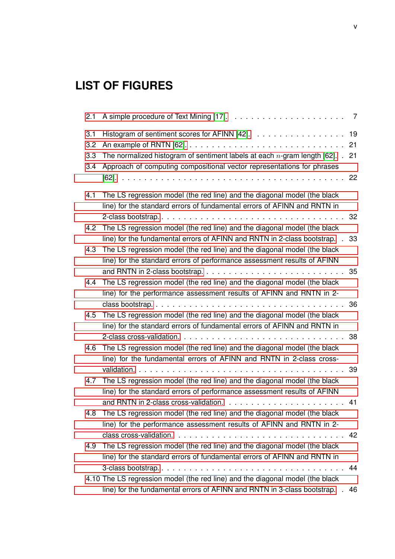## <span id="page-5-0"></span>**LIST OF FIGURES**

| 2.1                      |                                                                                                                                                                                                                                              | 7                    |
|--------------------------|----------------------------------------------------------------------------------------------------------------------------------------------------------------------------------------------------------------------------------------------|----------------------|
| 3.1<br>3.2<br>3.3<br>3.4 | Histogram of sentiment scores for AFINN [42].<br>The normalized histogram of sentiment labels at each $n$ -gram length [62]. $\blacksquare$<br>Approach of computing compositional vector representations for phrases                        | 19<br>21<br>21<br>22 |
| 4.1                      | The LS regression model (the red line) and the diagonal model (the black<br>line) for the standard errors of fundamental errors of AFINN and RNTN in                                                                                         |                      |
| 4.2                      | 2-class bootstrap<br>The LS regression model (the red line) and the diagonal model (the black<br>line) for the fundamental errors of AFINN and RNTN in 2-class bootstrap. .                                                                  | 32<br>33             |
| 4.3                      | The LS regression model (the red line) and the diagonal model (the black<br>line) for the standard errors of performance assessment results of AFINN                                                                                         |                      |
| 4.4                      | and RNTN in 2-class bootstrap. $\ldots \ldots \ldots \ldots \ldots \ldots \ldots \ldots$<br>The LS regression model (the red line) and the diagonal model (the black<br>line) for the performance assessment results of AFINN and RNTN in 2- | 35                   |
| 4.5                      | The LS regression model (the red line) and the diagonal model (the black<br>line) for the standard errors of fundamental errors of AFINN and RNTN in                                                                                         | 36                   |
| 4.6                      | The LS regression model (the red line) and the diagonal model (the black<br>line) for the fundamental errors of AFINN and RNTN in 2-class cross-                                                                                             | 38                   |
| 4.7                      | validation.<br>and a straight and a<br>The LS regression model (the red line) and the diagonal model (the black                                                                                                                              | 39                   |
| 4.8                      | line) for the standard errors of performance assessment results of AFINN<br>The LS regression model (the red line) and the diagonal model (the black                                                                                         | 41                   |
|                          | line) for the performance assessment results of AFINN and RNTN in 2-<br>The LS regression model (the red line) and the diagonal model (the black                                                                                             | 42                   |
| 4.9                      | line) for the standard errors of fundamental errors of AFINN and RNTN in                                                                                                                                                                     | 44                   |
|                          | 4.10 The LS regression model (the red line) and the diagonal model (the black<br>line) for the fundamental errors of AFINN and RNTN in 3-class bootstrap.                                                                                    | 46                   |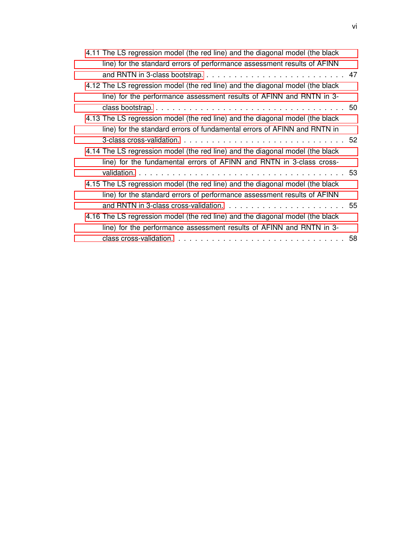| 4.11 The LS regression model (the red line) and the diagonal model (the black |  |
|-------------------------------------------------------------------------------|--|
| line) for the standard errors of performance assessment results of AFINN      |  |
|                                                                               |  |
| 4.12 The LS regression model (the red line) and the diagonal model (the black |  |
| line) for the performance assessment results of AFINN and RNTN in 3-          |  |
|                                                                               |  |
| 4.13 The LS regression model (the red line) and the diagonal model (the black |  |
| line) for the standard errors of fundamental errors of AFINN and RNTN in      |  |
|                                                                               |  |
| 4.14 The LS regression model (the red line) and the diagonal model (the black |  |
| line) for the fundamental errors of AFINN and RNTN in 3-class cross-          |  |
|                                                                               |  |
| 4.15 The LS regression model (the red line) and the diagonal model (the black |  |
| line) for the standard errors of performance assessment results of AFINN      |  |
|                                                                               |  |
| 4.16 The LS regression model (the red line) and the diagonal model (the black |  |
| line) for the performance assessment results of AFINN and RNTN in 3-          |  |
|                                                                               |  |

vi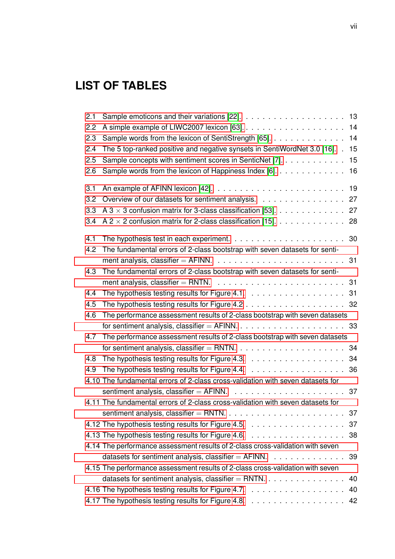## <span id="page-7-0"></span>**LIST OF TABLES**

| 2.1 |                                                                                             |    |
|-----|---------------------------------------------------------------------------------------------|----|
| 2.2 |                                                                                             | 14 |
| 2.3 | Sample words from the lexicon of SentiStrength [65].                                        | 14 |
| 2.4 | The 5 top-ranked positive and negative synsets in SentiWordNet 3.0 [16]. .                  | 15 |
| 2.5 | Sample concepts with sentiment scores in SenticNet [7].                                     | 15 |
| 2.6 | Sample words from the lexicon of Happiness Index $[6]$ .                                    | 16 |
| 3.1 | An example of AFINN lexicon [42]. $\ldots \ldots \ldots \ldots \ldots \ldots \ldots \ldots$ | 19 |
| 3.2 | Overview of our datasets for sentiment analysis.                                            | 27 |
| 3.3 | A 3 $\times$ 3 confusion matrix for 3-class classification [53].                            | 27 |
| 3.4 | A 2 $\times$ 2 confusion matrix for 2-class classification [15].                            | 28 |
| 4.1 |                                                                                             | 30 |
| 4.2 | The fundamental errors of 2-class bootstrap with seven datasets for senti-                  |    |
|     |                                                                                             | 31 |
| 4.3 | The fundamental errors of 2-class bootstrap with seven datasets for senti-                  |    |
|     |                                                                                             |    |
| 4.4 |                                                                                             |    |
| 4.5 | The hypothesis testing results for Figure 4.2 $\ldots$ 32                                   |    |
| 4.6 | The performance assessment results of 2-class bootstrap with seven datasets                 |    |
|     |                                                                                             | 33 |
| 4.7 | The performance assessment results of 2-class bootstrap with seven datasets                 |    |
|     |                                                                                             | 34 |
| 4.8 |                                                                                             | 34 |
| 4.9 |                                                                                             | 36 |
|     | 4.10 The fundamental errors of 2-class cross-validation with seven datasets for             |    |
|     |                                                                                             | 37 |
|     | 4.11 The fundamental errors of 2-class cross-validation with seven datasets for             |    |
|     |                                                                                             | 37 |
|     |                                                                                             | 37 |
|     |                                                                                             |    |
|     | 4.14 The performance assessment results of 2-class cross-validation with seven              |    |
|     | datasets for sentiment analysis, classifier $=$ AFINN. $\ldots$                             | 39 |
|     | 4.15 The performance assessment results of 2-class cross-validation with seven              |    |
|     | datasets for sentiment analysis, classifier = RNTN. $\ldots$ , , ,                          | 40 |
|     |                                                                                             | 40 |
|     |                                                                                             | 42 |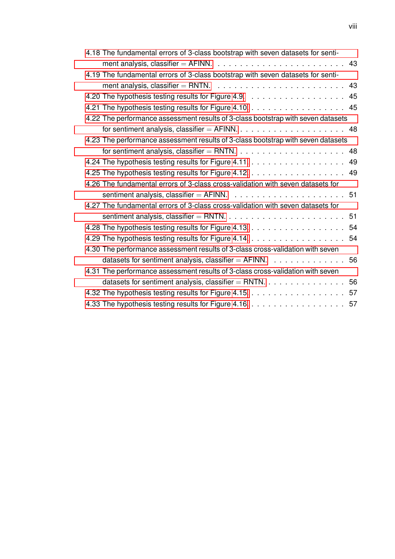| 4.18 The fundamental errors of 3-class bootstrap with seven datasets for senti-              |    |
|----------------------------------------------------------------------------------------------|----|
| ment analysis, classifier = AFINN. $\ldots \ldots \ldots \ldots \ldots \ldots \ldots \ldots$ | 43 |
| 4.19 The fundamental errors of 3-class bootstrap with seven datasets for senti-              |    |
| ment analysis, classifier = RNTN. $\ldots \ldots \ldots \ldots \ldots \ldots \ldots$         | 43 |
|                                                                                              |    |
| 4.21 The hypothesis testing results for Figure 4.10. 45                                      |    |
| 4.22 The performance assessment results of 3-class bootstrap with seven datasets             |    |
| for sentiment analysis, classifier $=$ AFINN. $\ldots$ 48                                    |    |
| 4.23 The performance assessment results of 3-class bootstrap with seven datasets             |    |
| for sentiment analysis, classifier = RNTN. $\ldots$ 48                                       |    |
|                                                                                              | 49 |
|                                                                                              |    |
| 4.26 The fundamental errors of 3-class cross-validation with seven datasets for              |    |
|                                                                                              |    |
| 4.27 The fundamental errors of 3-class cross-validation with seven datasets for              |    |
|                                                                                              |    |
|                                                                                              |    |
|                                                                                              |    |
| 4.30 The performance assessment results of 3-class cross-validation with seven               |    |
| datasets for sentiment analysis, classifier = $AFINN.$ 56                                    |    |
| 4.31 The performance assessment results of 3-class cross-validation with seven               |    |
| datasets for sentiment analysis, classifier = RNTN. $\ldots$ 56                              |    |
|                                                                                              |    |
|                                                                                              |    |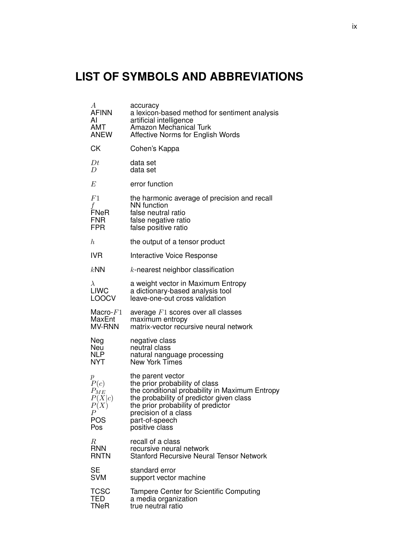## <span id="page-9-0"></span>**LIST OF SYMBOLS AND ABBREVIATIONS**

| $\boldsymbol{A}$ | accuracy                                        |
|------------------|-------------------------------------------------|
| <b>AFINN</b>     | a lexicon-based method for sentiment analysis   |
| Al               | artificial intelligence                         |
| AMT              | <b>Amazon Mechanical Turk</b>                   |
| <b>ANEW</b>      | Affective Norms for English Words               |
| <b>CK</b>        | Cohen's Kappa                                   |
| Dt               | data set                                        |
| D                | data set                                        |
| E                | error function                                  |
| F1               | the harmonic average of precision and recall    |
| f                | <b>NN</b> function                              |
| FNeR             | false neutral ratio                             |
| <b>FNR</b>       | false negative ratio                            |
| <b>FPR</b>       | false positive ratio                            |
| $\boldsymbol{h}$ | the output of a tensor product                  |
| <b>IVR</b>       | Interactive Voice Response                      |
| kNN              | $k$ -nearest neighbor classification            |
| $\lambda$        | a weight vector in Maximum Entropy              |
| <b>LIWC</b>      | a dictionary-based analysis tool                |
| <b>LOOCV</b>     | leave-one-out cross validation                  |
| Macro- $F1$      | average $F1$ scores over all classes            |
| MaxEnt           | maximum entropy                                 |
| <b>MV-RNN</b>    | matrix-vector recursive neural network          |
| Neg              | negative class                                  |
| Neu              | neutral class                                   |
| <b>NLP</b>       | natural nanguage processing                     |
| <b>NYT</b>       | New York Times                                  |
| $\boldsymbol{p}$ | the parent vector                               |
| P(c)             | the prior probability of class                  |
| $P_{ME}$         | the conditional probability in Maximum Entropy  |
| P(X c)           | the probability of predictor given class        |
| P(X)             | the prior probability of predictor              |
| Р                | precision of a class                            |
| <b>POS</b>       | part-of-speech                                  |
| Pos              | positive class                                  |
| R                | recall of a class                               |
| <b>RNN</b>       | recursive neural network                        |
| <b>RNTN</b>      | <b>Stanford Recursive Neural Tensor Network</b> |
| <b>SE</b>        | standard error                                  |
| <b>SVM</b>       | support vector machine                          |
| <b>TCSC</b>      | Tampere Center for Scientific Computing         |
| TED              | a media organization                            |
| TNeR             | true neutral ratio                              |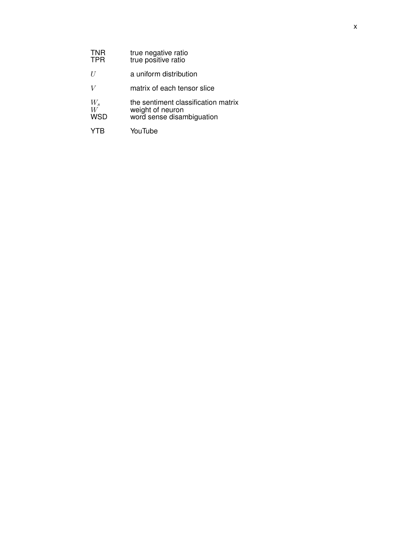| <b>TNR</b><br><b>TPR</b> | true negative ratio<br>true positive ratio                                           |
|--------------------------|--------------------------------------------------------------------------------------|
| U                        | a uniform distribution                                                               |
|                          | matrix of each tensor slice                                                          |
| $W_s$<br>W<br><b>WSD</b> | the sentiment classification matrix<br>weight of neuron<br>word sense disambiguation |
|                          | YouTube                                                                              |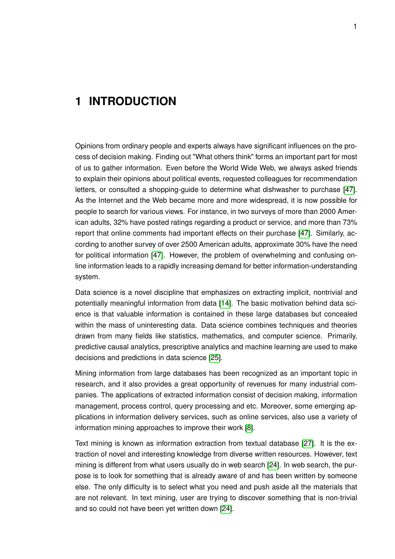### <span id="page-11-0"></span>**1 INTRODUCTION**

Opinions from ordinary people and experts always have significant influences on the process of decision making. Finding out "What others think" forms an important part for most of us to gather information. Even before the World Wide Web, we always asked friends to explain their opinions about political events, requested colleagues for recommendation letters, or consulted a shopping-guide to determine what dishwasher to purchase [\[47\]](#page-76-1). As the Internet and the Web became more and more widespread, it is now possible for people to search for various views. For instance, in two surveys of more than 2000 American adults, 32% have posted ratings regarding a product or service, and more than 73% report that online comments had important effects on their purchase [\[47\]](#page-76-1). Similarly, according to another survey of over 2500 American adults, approximate 30% have the need for political information [\[47\]](#page-76-1). However, the problem of overwhelming and confusing online information leads to a rapidly increasing demand for better information-understanding system.

Data science is a novel discipline that emphasizes on extracting implicit, nontrivial and potentially meaningful information from data [\[14\]](#page-74-5). The basic motivation behind data science is that valuable information is contained in these large databases but concealed within the mass of uninteresting data. Data science combines techniques and theories drawn from many fields like statistics, mathematics, and computer science. Primarily, predictive causal analytics, prescriptive analytics and machine learning are used to make decisions and predictions in data science [\[25\]](#page-75-2).

Mining information from large databases has been recognized as an important topic in research, and it also provides a great opportunity of revenues for many industrial companies. The applications of extracted information consist of decision making, information management, process control, query processing and etc. Moreover, some emerging applications in information delivery services, such as online services, also use a variety of information mining approaches to improve their work [\[8\]](#page-74-6).

Text mining is known as information extraction from textual database [\[27\]](#page-75-3). It is the extraction of novel and interesting knowledge from diverse written resources. However, text mining is different from what users usually do in web search [\[24\]](#page-75-4). In web search, the purpose is to look for something that is already aware of and has been written by someone else. The only difficulty is to select what you need and push aside all the materials that are not relevant. In text mining, user are trying to discover something that is non-trivial and so could not have been yet written down [\[24\]](#page-75-4).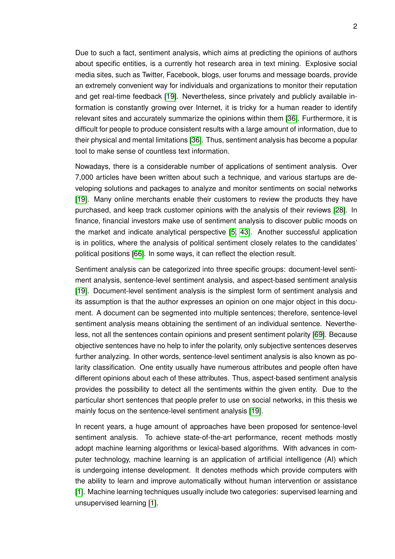Due to such a fact, sentiment analysis, which aims at predicting the opinions of authors about specific entities, is a currently hot research area in text mining. Explosive social media sites, such as Twitter, Facebook, blogs, user forums and message boards, provide an extremely convenient way for individuals and organizations to monitor their reputation and get real-time feedback [\[19\]](#page-75-5). Nevertheless, since privately and publicly available information is constantly growing over Internet, it is tricky for a human reader to identify relevant sites and accurately summarize the opinions within them [\[36\]](#page-76-2). Furthermore, it is difficult for people to produce consistent results with a large amount of information, due to their physical and mental limitations [\[36\]](#page-76-2). Thus, sentiment analysis has become a popular tool to make sense of countless text information.

Nowadays, there is a considerable number of applications of sentiment analysis. Over 7,000 articles have been written about such a technique, and various startups are developing solutions and packages to analyze and monitor sentiments on social networks [\[19\]](#page-75-5). Many online merchants enable their customers to review the products they have purchased, and keep track customer opinions with the analysis of their reviews [\[28\]](#page-75-6). In finance, financial investors make use of sentiment analysis to discover public moods on the market and indicate analytical perspective [\[5,](#page-74-7) [43\]](#page-76-3). Another successful application is in politics, where the analysis of political sentiment closely relates to the candidates' political positions [\[66\]](#page-77-4). In some ways, it can reflect the election result.

Sentiment analysis can be categorized into three specific groups: document-level sentiment analysis, sentence-level sentiment analysis, and aspect-based sentiment analysis [\[19\]](#page-75-5). Document-level sentiment analysis is the simplest form of sentiment analysis and its assumption is that the author expresses an opinion on one major object in this document. A document can be segmented into multiple sentences; therefore, sentence-level sentiment analysis means obtaining the sentiment of an individual sentence. Nevertheless, not all the sentences contain opinions and present sentiment polarity [\[69\]](#page-78-0). Because objective sentences have no help to infer the polarity, only subjective sentences deserves further analyzing. In other words, sentence-level sentiment analysis is also known as polarity classification. One entity usually have numerous attributes and people often have different opinions about each of these attributes. Thus, aspect-based sentiment analysis provides the possibility to detect all the sentiments within the given entity. Due to the particular short sentences that people prefer to use on social networks, in this thesis we mainly focus on the sentence-level sentiment analysis [\[19\]](#page-75-5).

In recent years, a huge amount of approaches have been proposed for sentence-level sentiment analysis. To achieve state-of-the-art performance, recent methods mostly adopt machine learning algorithms or lexical-based algorithms. With advances in computer technology, machine learning is an application of artificial intelligence (AI) which is undergoing intense development. It denotes methods which provide computers with the ability to learn and improve automatically without human intervention or assistance [\[1\]](#page-74-8). Machine learning techniques usually include two categories: supervised learning and unsupervised learning [\[1\]](#page-74-8).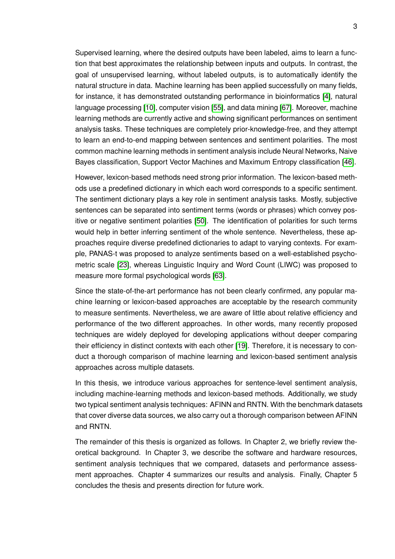Supervised learning, where the desired outputs have been labeled, aims to learn a function that best approximates the relationship between inputs and outputs. In contrast, the goal of unsupervised learning, without labeled outputs, is to automatically identify the natural structure in data. Machine learning has been applied successfully on many fields, for instance, it has demonstrated outstanding performance in bioinformatics [\[4\]](#page-74-9), natural language processing [\[10\]](#page-74-10), computer vision [\[55\]](#page-77-5), and data mining [\[67\]](#page-77-6). Moreover, machine learning methods are currently active and showing significant performances on sentiment analysis tasks. These techniques are completely prior-knowledge-free, and they attempt to learn an end-to-end mapping between sentences and sentiment polarities. The most common machine learning methods in sentiment analysis include Neural Networks, Naive Bayes classification, Support Vector Machines and Maximum Entropy classification [\[46\]](#page-76-4).

However, lexicon-based methods need strong prior information. The lexicon-based methods use a predefined dictionary in which each word corresponds to a specific sentiment. The sentiment dictionary plays a key role in sentiment analysis tasks. Mostly, subjective sentences can be separated into sentiment terms (words or phrases) which convey positive or negative sentiment polarities [\[50\]](#page-76-5). The identification of polarities for such terms would help in better inferring sentiment of the whole sentence. Nevertheless, these approaches require diverse predefined dictionaries to adapt to varying contexts. For example, PANAS-t was proposed to analyze sentiments based on a well-established psychometric scale [\[23\]](#page-75-7), whereas Linguistic Inquiry and Word Count (LIWC) was proposed to measure more formal psychological words [\[63\]](#page-77-1).

Since the state-of-the-art performance has not been clearly confirmed, any popular machine learning or lexicon-based approaches are acceptable by the research community to measure sentiments. Nevertheless, we are aware of little about relative efficiency and performance of the two different approaches. In other words, many recently proposed techniques are widely deployed for developing applications without deeper comparing their efficiency in distinct contexts with each other [\[19\]](#page-75-5). Therefore, it is necessary to conduct a thorough comparison of machine learning and lexicon-based sentiment analysis approaches across multiple datasets.

In this thesis, we introduce various approaches for sentence-level sentiment analysis, including machine-learning methods and lexicon-based methods. Additionally, we study two typical sentiment analysis techniques: AFINN and RNTN. With the benchmark datasets that cover diverse data sources, we also carry out a thorough comparison between AFINN and RNTN.

The remainder of this thesis is organized as follows. In Chapter 2, we briefly review theoretical background. In Chapter 3, we describe the software and hardware resources, sentiment analysis techniques that we compared, datasets and performance assessment approaches. Chapter 4 summarizes our results and analysis. Finally, Chapter 5 concludes the thesis and presents direction for future work.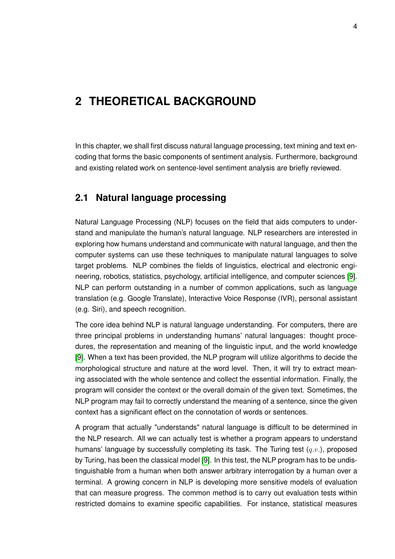## <span id="page-14-0"></span>**2 THEORETICAL BACKGROUND**

In this chapter, we shall first discuss natural language processing, text mining and text encoding that forms the basic components of sentiment analysis. Furthermore, background and existing related work on sentence-level sentiment analysis are briefly reviewed.

#### <span id="page-14-1"></span>**2.1 Natural language processing**

Natural Language Processing (NLP) focuses on the field that aids computers to understand and manipulate the human's natural language. NLP researchers are interested in exploring how humans understand and communicate with natural language, and then the computer systems can use these techniques to manipulate natural languages to solve target problems. NLP combines the fields of linguistics, electrical and electronic engineering, robotics, statistics, psychology, artificial intelligence, and computer sciences [\[9\]](#page-74-11). NLP can perform outstanding in a number of common applications, such as language translation (e.g. Google Translate), Interactive Voice Response (IVR), personal assistant (e.g. Siri), and speech recognition.

The core idea behind NLP is natural language understanding. For computers, there are three principal problems in understanding humans' natural languages: thought procedures, the representation and meaning of the linguistic input, and the world knowledge [\[9\]](#page-74-11). When a text has been provided, the NLP program will utilize algorithms to decide the morphological structure and nature at the word level. Then, it will try to extract meaning associated with the whole sentence and collect the essential information. Finally, the program will consider the context or the overall domain of the given text. Sometimes, the NLP program may fail to correctly understand the meaning of a sentence, since the given context has a significant effect on the connotation of words or sentences.

A program that actually "understands" natural language is difficult to be determined in the NLP research. All we can actually test is whether a program appears to understand humans' language by successfully completing its task. The Turing test  $(q.v.)$ , proposed by Turing, has been the classical model [\[9\]](#page-74-11). In this test, the NLP program has to be undistinguishable from a human when both answer arbitrary interrogation by a human over a terminal. A growing concern in NLP is developing more sensitive models of evaluation that can measure progress. The common method is to carry out evaluation tests within restricted domains to examine specific capabilities. For instance, statistical measures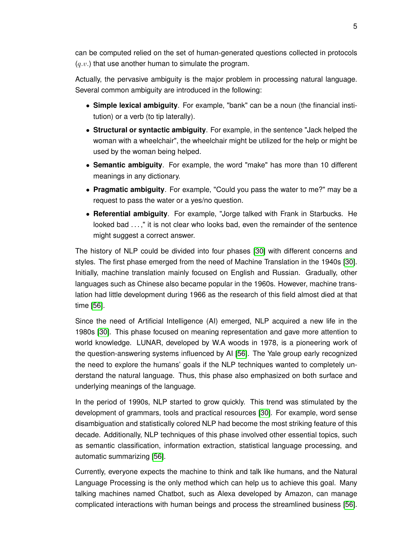can be computed relied on the set of human-generated questions collected in protocols  $(q.v.)$  that use another human to simulate the program.

Actually, the pervasive ambiguity is the major problem in processing natural language. Several common ambiguity are introduced in the following:

- **Simple lexical ambiguity**. For example, "bank" can be a noun (the financial institution) or a verb (to tip laterally).
- **Structural or syntactic ambiguity**. For example, in the sentence "Jack helped the woman with a wheelchair", the wheelchair might be utilized for the help or might be used by the woman being helped.
- **Semantic ambiguity**. For example, the word "make" has more than 10 different meanings in any dictionary.
- **Pragmatic ambiguity**. For example, "Could you pass the water to me?" may be a request to pass the water or a yes/no question.
- **Referential ambiguity**. For example, "Jorge talked with Frank in Starbucks. He looked bad . . . ," it is not clear who looks bad, even the remainder of the sentence might suggest a correct answer.

The history of NLP could be divided into four phases [\[30\]](#page-75-8) with different concerns and styles. The first phase emerged from the need of Machine Translation in the 1940s [\[30\]](#page-75-8). Initially, machine translation mainly focused on English and Russian. Gradually, other languages such as Chinese also became popular in the 1960s. However, machine translation had little development during 1966 as the research of this field almost died at that time [\[56\]](#page-77-7).

Since the need of Artificial Intelligence (AI) emerged, NLP acquired a new life in the 1980s [\[30\]](#page-75-8). This phase focused on meaning representation and gave more attention to world knowledge. LUNAR, developed by W.A woods in 1978, is a pioneering work of the question-answering systems influenced by AI [\[56\]](#page-77-7). The Yale group early recognized the need to explore the humans' goals if the NLP techniques wanted to completely understand the natural language. Thus, this phase also emphasized on both surface and underlying meanings of the language.

In the period of 1990s, NLP started to grow quickly. This trend was stimulated by the development of grammars, tools and practical resources [\[30\]](#page-75-8). For example, word sense disambiguation and statistically colored NLP had become the most striking feature of this decade. Additionally, NLP techniques of this phase involved other essential topics, such as semantic classification, information extraction, statistical language processing, and automatic summarizing [\[56\]](#page-77-7).

Currently, everyone expects the machine to think and talk like humans, and the Natural Language Processing is the only method which can help us to achieve this goal. Many talking machines named Chatbot, such as Alexa developed by Amazon, can manage complicated interactions with human beings and process the streamlined business [\[56\]](#page-77-7).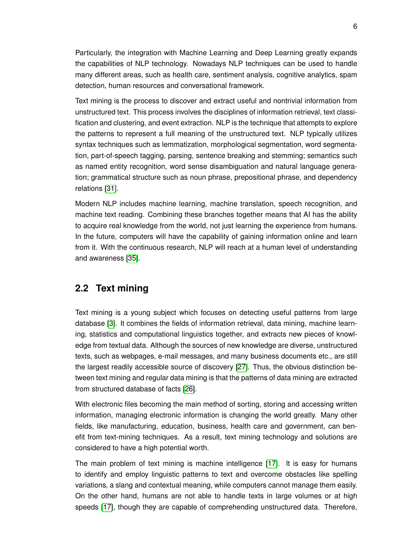Particularly, the integration with Machine Learning and Deep Learning greatly expands the capabilities of NLP technology. Nowadays NLP techniques can be used to handle many different areas, such as health care, sentiment analysis, cognitive analytics, spam detection, human resources and conversational framework.

Text mining is the process to discover and extract useful and nontrivial information from unstructured text. This process involves the disciplines of information retrieval, text classification and clustering, and event extraction. NLP is the technique that attempts to explore the patterns to represent a full meaning of the unstructured text. NLP typically utilizes syntax techniques such as lemmatization, morphological segmentation, word segmentation, part-of-speech tagging, parsing, sentence breaking and stemming; semantics such as named entity recognition, word sense disambiguation and natural language generation; grammatical structure such as noun phrase, prepositional phrase, and dependency relations [\[31\]](#page-75-9).

Modern NLP includes machine learning, machine translation, speech recognition, and machine text reading. Combining these branches together means that AI has the ability to acquire real knowledge from the world, not just learning the experience from humans. In the future, computers will have the capability of gaining information online and learn from it. With the continuous research, NLP will reach at a human level of understanding and awareness [\[35\]](#page-75-10).

#### <span id="page-16-0"></span>**2.2 Text mining**

Text mining is a young subject which focuses on detecting useful patterns from large database [\[3\]](#page-74-12). It combines the fields of information retrieval, data mining, machine learning, statistics and computational linguistics together, and extracts new pieces of knowledge from textual data. Although the sources of new knowledge are diverse, unstructured texts, such as webpages, e-mail messages, and many business documents etc., are still the largest readily accessible source of discovery [\[27\]](#page-75-3). Thus, the obvious distinction between text mining and regular data mining is that the patterns of data mining are extracted from structured database of facts [\[26\]](#page-75-11).

With electronic files becoming the main method of sorting, storing and accessing written information, managing electronic information is changing the world greatly. Many other fields, like manufacturing, education, business, health care and government, can benefit from text-mining techniques. As a result, text mining technology and solutions are considered to have a high potential worth.

The main problem of text mining is machine intelligence [\[17\]](#page-75-0). It is easy for humans to identify and employ linguistic patterns to text and overcome obstacles like spelling variations, a slang and contextual meaning, while computers cannot manage them easily. On the other hand, humans are not able to handle texts in large volumes or at high speeds [\[17\]](#page-75-0), though they are capable of comprehending unstructured data. Therefore,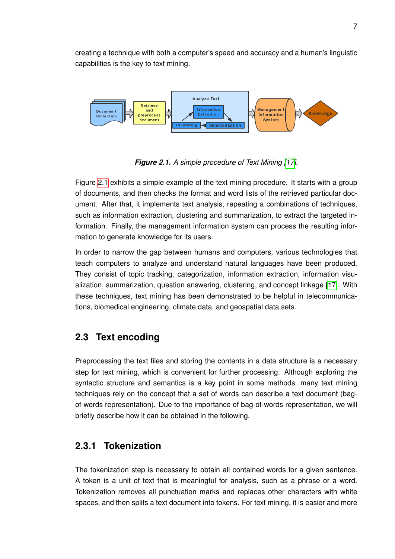creating a technique with both a computer's speed and accuracy and a human's linguistic capabilities is the key to text mining.

<span id="page-17-2"></span>

*Figure 2.1. A simple procedure of Text Mining [\[17\]](#page-75-0).*

Figure [2.1](#page-17-2) exhibits a simple example of the text mining procedure. It starts with a group of documents, and then checks the format and word lists of the retrieved particular document. After that, it implements text analysis, repeating a combinations of techniques, such as information extraction, clustering and summarization, to extract the targeted information. Finally, the management information system can process the resulting information to generate knowledge for its users.

In order to narrow the gap between humans and computers, various technologies that teach computers to analyze and understand natural languages have been produced. They consist of topic tracking, categorization, information extraction, information visualization, summarization, question answering, clustering, and concept linkage [\[17\]](#page-75-0). With these techniques, text mining has been demonstrated to be helpful in telecommunications, biomedical engineering, climate data, and geospatial data sets.

### <span id="page-17-0"></span>**2.3 Text encoding**

Preprocessing the text files and storing the contents in a data structure is a necessary step for text mining, which is convenient for further processing. Although exploring the syntactic structure and semantics is a key point in some methods, many text mining techniques rely on the concept that a set of words can describe a text document (bagof-words representation). Due to the importance of bag-of-words representation, we will briefly describe how it can be obtained in the following.

#### <span id="page-17-1"></span>**2.3.1 Tokenization**

The tokenization step is necessary to obtain all contained words for a given sentence. A token is a unit of text that is meaningful for analysis, such as a phrase or a word. Tokenization removes all punctuation marks and replaces other characters with white spaces, and then splits a text document into tokens. For text mining, it is easier and more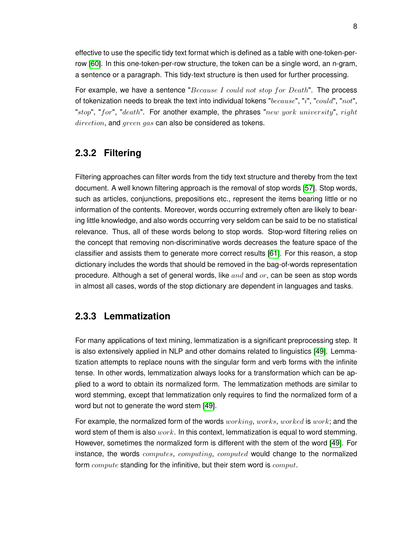effective to use the specific tidy text format which is defined as a table with one-token-perrow [\[60\]](#page-77-8). In this one-token-per-row structure, the token can be a single word, an n-gram, a sentence or a paragraph. This tidy-text structure is then used for further processing.

For example, we have a sentence " $Because I could not stop for Death$ ". The process of tokenization needs to break the text into individual tokens " $because$ ", " $i$ ", " $could$ ", " $not$ ", "stop", "for", "death". For another example, the phrases "new york university", right direction, and green gas can also be considered as tokens.

#### <span id="page-18-0"></span>**2.3.2 Filtering**

Filtering approaches can filter words from the tidy text structure and thereby from the text document. A well known filtering approach is the removal of stop words [\[57\]](#page-77-9). Stop words, such as articles, conjunctions, prepositions etc., represent the items bearing little or no information of the contents. Moreover, words occurring extremely often are likely to bearing little knowledge, and also words occurring very seldom can be said to be no statistical relevance. Thus, all of these words belong to stop words. Stop-word filtering relies on the concept that removing non-discriminative words decreases the feature space of the classifier and assists them to generate more correct results [\[61\]](#page-77-10). For this reason, a stop dictionary includes the words that should be removed in the bag-of-words representation procedure. Although a set of general words, like  $and$  and  $or$ , can be seen as stop words in almost all cases, words of the stop dictionary are dependent in languages and tasks.

#### <span id="page-18-1"></span>**2.3.3 Lemmatization**

For many applications of text mining, lemmatization is a significant preprocessing step. It is also extensively applied in NLP and other domains related to linguistics [\[49\]](#page-76-6). Lemmatization attempts to replace nouns with the singular form and verb forms with the infinite tense. In other words, lemmatization always looks for a transformation which can be applied to a word to obtain its normalized form. The lemmatization methods are similar to word stemming, except that lemmatization only requires to find the normalized form of a word but not to generate the word stem [\[49\]](#page-76-6).

<span id="page-18-2"></span>For example, the normalized form of the words  $working, works, worked$  is  $work;$  and the word stem of them is also  $work$ . In this context, lemmatization is equal to word stemming. However, sometimes the normalized form is different with the stem of the word [\[49\]](#page-76-6). For instance, the words *computes, computing, computed* would change to the normalized form *compute* standing for the infinitive, but their stem word is *comput*.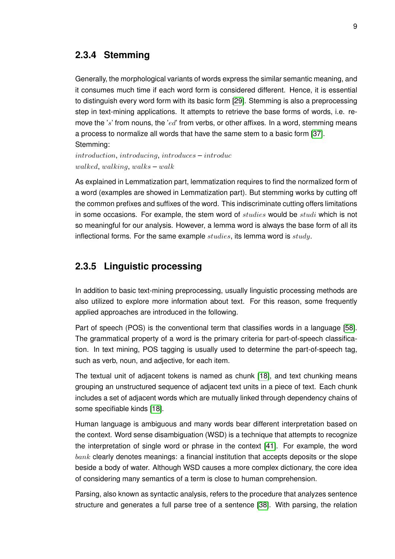#### **2.3.4 Stemming**

Generally, the morphological variants of words express the similar semantic meaning, and it consumes much time if each word form is considered different. Hence, it is essential to distinguish every word form with its basic form [\[29\]](#page-75-12). Stemming is also a preprocessing step in text-mining applications. It attempts to retrieve the base forms of words, i.e. remove the 's' from nouns, the 'ed' from verbs, or other affixes. In a word, stemming means a process to normalize all words that have the same stem to a basic form [\[37\]](#page-76-7). Stemming:

introduction, introducing, introduces – introduc walked, walking, walks  $-$  walk

As explained in Lemmatization part, lemmatization requires to find the normalized form of a word (examples are showed in Lemmatization part). But stemming works by cutting off the common prefixes and suffixes of the word. This indiscriminate cutting offers limitations in some occasions. For example, the stem word of studies would be studi which is not so meaningful for our analysis. However, a lemma word is always the base form of all its inflectional forms. For the same example  $studies$ , its lemma word is  $studu$ .

#### <span id="page-19-0"></span>**2.3.5 Linguistic processing**

In addition to basic text-mining preprocessing, usually linguistic processing methods are also utilized to explore more information about text. For this reason, some frequently applied approaches are introduced in the following.

Part of speech (POS) is the conventional term that classifies words in a language [\[58\]](#page-77-11). The grammatical property of a word is the primary criteria for part-of-speech classification. In text mining, POS tagging is usually used to determine the part-of-speech tag, such as verb, noun, and adjective, for each item.

The textual unit of adjacent tokens is named as chunk [\[18\]](#page-75-13), and text chunking means grouping an unstructured sequence of adjacent text units in a piece of text. Each chunk includes a set of adjacent words which are mutually linked through dependency chains of some specifiable kinds [\[18\]](#page-75-13).

Human language is ambiguous and many words bear different interpretation based on the context. Word sense disambiguation (WSD) is a technique that attempts to recognize the interpretation of single word or phrase in the context [\[41\]](#page-76-8). For example, the word  $bank$  clearly denotes meanings: a financial institution that accepts deposits or the slope beside a body of water. Although WSD causes a more complex dictionary, the core idea of considering many semantics of a term is close to human comprehension.

Parsing, also known as syntactic analysis, refers to the procedure that analyzes sentence structure and generates a full parse tree of a sentence [\[38\]](#page-76-9). With parsing, the relation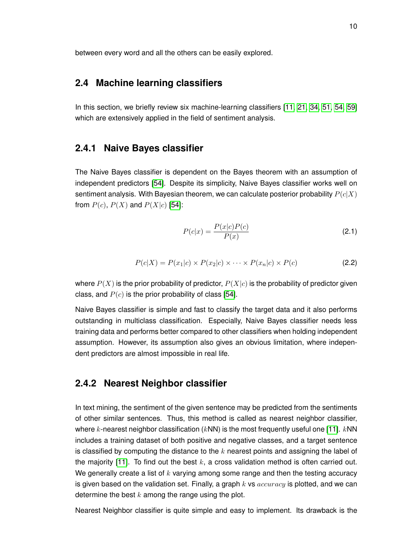<span id="page-20-0"></span>between every word and all the others can be easily explored.

#### **2.4 Machine learning classifiers**

<span id="page-20-1"></span>In this section, we briefly review six machine-learning classifiers [\[11,](#page-74-13) [21,](#page-75-14) [34,](#page-75-15) [51,](#page-76-10) [54,](#page-77-12) [59\]](#page-77-13) which are extensively applied in the field of sentiment analysis.

#### **2.4.1 Naive Bayes classifier**

The Naive Bayes classifier is dependent on the Bayes theorem with an assumption of independent predictors [\[54\]](#page-77-12). Despite its simplicity, Naive Bayes classifier works well on sentiment analysis. With Bayesian theorem, we can calculate posterior probability  $P(c|X)$ from  $P(c)$ ,  $P(X)$  and  $P(X|c)$  [\[54\]](#page-77-12):

$$
P(c|x) = \frac{P(x|c)P(c)}{P(x)}
$$
\n
$$
(2.1)
$$

$$
P(c|X) = P(x_1|c) \times P(x_2|c) \times \cdots \times P(x_n|c) \times P(c)
$$
\n(2.2)

where  $P(X)$  is the prior probability of predictor,  $P(X|c)$  is the probability of predictor given class, and  $P(c)$  is the prior probability of class [\[54\]](#page-77-12).

Naive Bayes classifier is simple and fast to classify the target data and it also performs outstanding in multiclass classification. Especially, Naive Bayes classifier needs less training data and performs better compared to other classifiers when holding independent assumption. However, its assumption also gives an obvious limitation, where independent predictors are almost impossible in real life.

#### <span id="page-20-2"></span>**2.4.2 Nearest Neighbor classifier**

In text mining, the sentiment of the given sentence may be predicted from the sentiments of other similar sentences. Thus, this method is called as nearest neighbor classifier, where k-nearest neighbor classification ( $kNN$ ) is the most frequently useful one [\[11\]](#page-74-13).  $kNN$ includes a training dataset of both positive and negative classes, and a target sentence is classified by computing the distance to the  $k$  nearest points and assigning the label of the majority [\[11\]](#page-74-13). To find out the best  $k$ , a cross validation method is often carried out. We generally create a list of  $k$  varying among some range and then the testing accuracy is given based on the validation set. Finally, a graph k vs  $accuracy$  is plotted, and we can determine the best  $k$  among the range using the plot.

Nearest Neighbor classifier is quite simple and easy to implement. Its drawback is the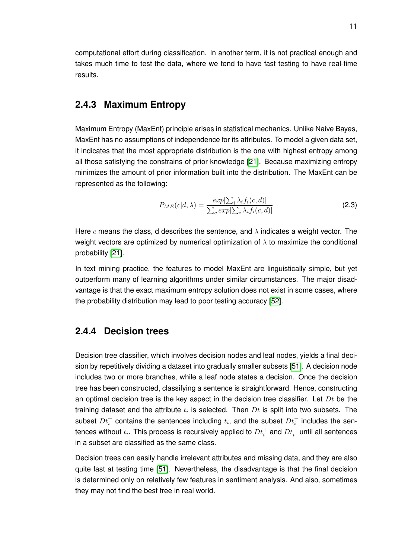computational effort during classification. In another term, it is not practical enough and takes much time to test the data, where we tend to have fast testing to have real-time results.

#### <span id="page-21-0"></span>**2.4.3 Maximum Entropy**

Maximum Entropy (MaxEnt) principle arises in statistical mechanics. Unlike Naive Bayes, MaxEnt has no assumptions of independence for its attributes. To model a given data set, it indicates that the most appropriate distribution is the one with highest entropy among all those satisfying the constrains of prior knowledge [\[21\]](#page-75-14). Because maximizing entropy minimizes the amount of prior information built into the distribution. The MaxEnt can be represented as the following:

$$
P_{ME}(c|d,\lambda) = \frac{exp[\sum_{i} \lambda_{i}f_{i}(c,d)]}{\sum_{c} exp[\sum_{i} \lambda_{i}f_{i}(c,d)]}
$$
(2.3)

Here c means the class, d describes the sentence, and  $\lambda$  indicates a weight vector. The weight vectors are optimized by numerical optimization of  $\lambda$  to maximize the conditional probability [\[21\]](#page-75-14).

In text mining practice, the features to model MaxEnt are linguistically simple, but yet outperform many of learning algorithms under similar circumstances. The major disadvantage is that the exact maximum entropy solution does not exist in some cases, where the probability distribution may lead to poor testing accuracy [\[52\]](#page-77-14).

#### <span id="page-21-1"></span>**2.4.4 Decision trees**

Decision tree classifier, which involves decision nodes and leaf nodes, yields a final decision by repetitively dividing a dataset into gradually smaller subsets [\[51\]](#page-76-10). A decision node includes two or more branches, while a leaf node states a decision. Once the decision tree has been constructed, classifying a sentence is straightforward. Hence, constructing an optimal decision tree is the key aspect in the decision tree classifier. Let  $Dt$  be the training dataset and the attribute  $t_i$  is selected. Then  $Dt$  is split into two subsets. The subset  $Dt_i^+$  contains the sentences including  $t_i$ , and the subset  $Dt_i^-$  includes the sentences without  $t_i.$  This process is recursively applied to  $Dt_i^+$  and  $Dt_i^-$  until all sentences in a subset are classified as the same class.

<span id="page-21-2"></span>Decision trees can easily handle irrelevant attributes and missing data, and they are also quite fast at testing time [\[51\]](#page-76-10). Nevertheless, the disadvantage is that the final decision is determined only on relatively few features in sentiment analysis. And also, sometimes they may not find the best tree in real world.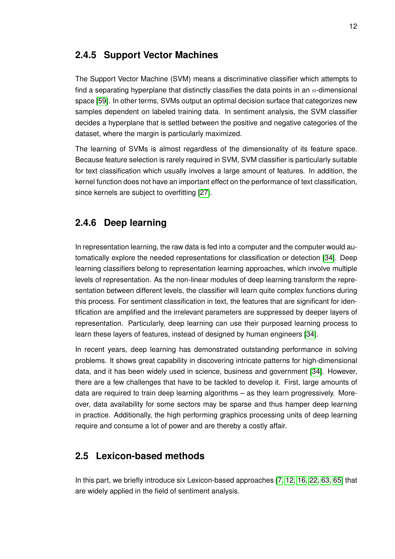#### **2.4.5 Support Vector Machines**

The Support Vector Machine (SVM) means a discriminative classifier which attempts to find a separating hyperplane that distinctly classifies the data points in an  $n$ -dimensional space [\[59\]](#page-77-13). In other terms, SVMs output an optimal decision surface that categorizes new samples dependent on labeled training data. In sentiment analysis, the SVM classifier decides a hyperplane that is settled between the positive and negative categories of the dataset, where the margin is particularly maximized.

The learning of SVMs is almost regardless of the dimensionality of its feature space. Because feature selection is rarely required in SVM, SVM classifier is particularly suitable for text classification which usually involves a large amount of features. In addition, the kernel function does not have an important effect on the performance of text classification, since kernels are subject to overfitting [\[27\]](#page-75-3).

### <span id="page-22-0"></span>**2.4.6 Deep learning**

In representation learning, the raw data is fed into a computer and the computer would automatically explore the needed representations for classification or detection [\[34\]](#page-75-15). Deep learning classifiers belong to representation learning approaches, which involve multiple levels of representation. As the non-linear modules of deep learning transform the representation between different levels, the classifier will learn quite complex functions during this process. For sentiment classification in text, the features that are significant for identification are amplified and the irrelevant parameters are suppressed by deeper layers of representation. Particularly, deep learning can use their purposed learning process to learn these layers of features, instead of designed by human engineers [\[34\]](#page-75-15).

In recent years, deep learning has demonstrated outstanding performance in solving problems. It shows great capability in discovering intricate patterns for high-dimensional data, and it has been widely used in science, business and government [\[34\]](#page-75-15). However, there are a few challenges that have to be tackled to develop it. First, large amounts of data are required to train deep learning algorithms – as they learn progressively. Moreover, data availability for some sectors may be sparse and thus hamper deep learning in practice. Additionally, the high performing graphics processing units of deep learning require and consume a lot of power and are thereby a costly affair.

#### <span id="page-22-1"></span>**2.5 Lexicon-based methods**

<span id="page-22-2"></span>In this part, we briefly introduce six Lexicon-based approaches [\[7,](#page-74-2) [12,](#page-74-14) [16,](#page-74-1) [22,](#page-75-1) [63,](#page-77-1) [65\]](#page-77-2) that are widely applied in the field of sentiment analysis.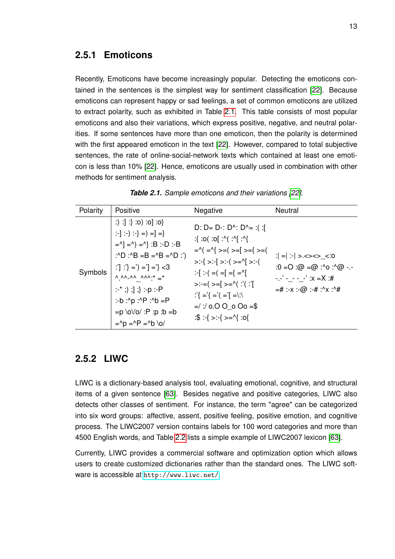#### **2.5.1 Emoticons**

Recently, Emoticons have become increasingly popular. Detecting the emoticons contained in the sentences is the simplest way for sentiment classification [\[22\]](#page-75-1). Because emoticons can represent happy or sad feelings, a set of common emoticons are utilized to extract polarity, such as exhibited in Table [2.1.](#page-23-2) This table consists of most popular emoticons and also their variations, which express positive, negative, and neutral polarities. If some sentences have more than one emoticon, then the polarity is determined with the first appeared emoticon in the text [\[22\]](#page-75-1). However, compared to total subjective sentences, the rate of online-social-network texts which contained at least one emoticon is less than 10% [\[22\]](#page-75-1). Hence, emoticons are usually used in combination with other methods for sentiment analysis.

<span id="page-23-2"></span>

| Polarity | Positive                                                                                                                                                                                                                                                                                                                                                                                                                     | Negative                                                                                                                                                                                                                                                                                                                                                                                                                                                                                                                                                        | Neutral                                                                                                                     |
|----------|------------------------------------------------------------------------------------------------------------------------------------------------------------------------------------------------------------------------------------------------------------------------------------------------------------------------------------------------------------------------------------------------------------------------------|-----------------------------------------------------------------------------------------------------------------------------------------------------------------------------------------------------------------------------------------------------------------------------------------------------------------------------------------------------------------------------------------------------------------------------------------------------------------------------------------------------------------------------------------------------------------|-----------------------------------------------------------------------------------------------------------------------------|
| Symbols  | $\{0: [0: (0: ]: ]\}$<br>$: \cdot$ $  \cdot \cdot \cdot \cdot \cdot   =   =   =$<br>$=$ ^] =^) =^} :B :-D :-B<br>:^D :^B =B =^B =^D :')<br>:''  :'} =') ='] ='} <3<br>$\wedge$ $\wedge \wedge$ $\wedge \wedge$ $\wedge \wedge \wedge \cdot^* =$ *<br>$:$ $^*$ ;) ;] ;} :-p :-P<br>:-b :^p :^P :^b =P<br>$= p \cdot o \vee o'$ : P : p : b = b<br>$=$ <sup><math>\wedge</math></sup> $p =$ $\wedge$ $P =$ $\wedge$ $b \wedge$ | D: D= D-: D^: D^= :( :[<br>$\cdot$  ^: )^:  o: )o: }:<br>$=$ $\wedge$ $($ $=$ $\wedge$ $\wedge$ $=$ $($ $>$ $=$ $\wedge$ $=$ $\wedge$ $=$ $\wedge$ $=$ $\wedge$<br>$>$ $\cdot$ { $>$ $\cdot$ { $>$ $\cdot$ { $>$ =^{  $>$ $\cdot$ (<br>$\left  \cdot \right  = \left  \right  = \left  \right  = \left  \right  = \left  \right  = \left  \right $<br>$>:=$ $  \cdot   \cdot   \cdot  $ $  \cdot   =$ $  \cdot   \cdot   \cdot  $<br>$\binom{1}{3} = \binom{3}{3} = \binom{3}{3} = \binom{3}{3}$<br>$=$ / / 0.0 0 0 0 = \$<br>$\cdot$ : { >: { >= ^{ : < } : \; | $  =  $ : $  > \ll > \ll >$ $\ll 0$<br>$:0 = 0$ : $@ = @ : \neg \circ \neg \circ @ \neg \circ$<br>$=$ # :-x :-@ :-# :^x :^# |

| Table 2.1. Sample emoticons and their variations [22]. |  |  |  |  |  |
|--------------------------------------------------------|--|--|--|--|--|
|--------------------------------------------------------|--|--|--|--|--|

#### <span id="page-23-0"></span>**2.5.2 LIWC**

LIWC is a dictionary-based analysis tool, evaluating emotional, cognitive, and structural items of a given sentence [\[63\]](#page-77-1). Besides negative and positive categories, LIWC also detects other classes of sentiment. For instance, the term "agree" can be categorized into six word groups: affective, assent, positive feeling, positive emotion, and cognitive process. The LIWC2007 version contains labels for 100 word categories and more than 4500 English words, and Table [2.2](#page-24-2) lists a simple example of LIWC2007 lexicon [\[63\]](#page-77-1).

<span id="page-23-1"></span>Currently, LIWC provides a commercial software and optimization option which allows users to create customized dictionaries rather than the standard ones. The LIWC software is accessible at <http://www.liwc.net/>.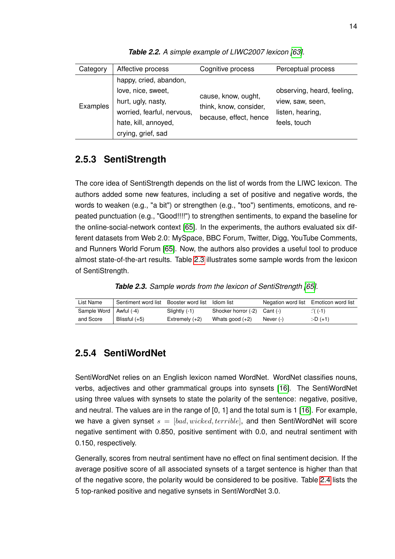<span id="page-24-2"></span>

| Category | Affective process          | Cognitive process                                                       | Perceptual process         |
|----------|----------------------------|-------------------------------------------------------------------------|----------------------------|
|          | happy, cried, abandon,     |                                                                         |                            |
|          | love, nice, sweet,         | cause, know, ought,<br>think, know, consider,<br>because, effect, hence | observing, heard, feeling, |
| Examples | hurt, ugly, nasty,         |                                                                         | view, saw, seen,           |
|          | worried, fearful, nervous, |                                                                         | listen, hearing,           |
|          | hate, kill, annoyed,       |                                                                         | feels, touch               |
|          | crying, grief, sad         |                                                                         |                            |

**Table 2.2.** A simple example of LIWC2007 lexicon [\[63\]](#page-77-1).

#### **2.5.3 SentiStrength**

The core idea of SentiStrength depends on the list of words from the LIWC lexicon. The authors added some new features, including a set of positive and negative words, the words to weaken (e.g., "a bit") or strengthen (e.g., "too") sentiments, emoticons, and repeated punctuation (e.g., "Good!!!!") to strengthen sentiments, to expand the baseline for the online-social-network context [\[65\]](#page-77-2). In the experiments, the authors evaluated six different datasets from Web 2.0: MySpace, BBC Forum, Twitter, Digg, YouTube Comments, and Runners World Forum [\[65\]](#page-77-2). Now, the authors also provides a useful tool to produce almost state-of-the-art results. Table [2.3](#page-24-3) illustrates some sample words from the lexicon of SentiStrength.

*Table 2.3. Sample words from the lexicon of SentiStrength [\[65\]](#page-77-2).*

<span id="page-24-3"></span>

| List Name                | Sentiment word list | Booster word list | Idiom list                       |             | Negation word list Emoticon word list |
|--------------------------|---------------------|-------------------|----------------------------------|-------------|---------------------------------------|
| Sample Word   Awful (-4) |                     | Slightly (-1)     | Shocker horror $(-2)$ Cant $(-)$ |             | :'( $(-1)$                            |
| and Score                | Blissful (+5)       | Extremely $(+2)$  | Whats good $(+2)$                | Never $(-)$ | $:D (+1)$                             |

#### <span id="page-24-0"></span>**2.5.4 SentiWordNet**

SentiWordNet relies on an English lexicon named WordNet. WordNet classifies nouns, verbs, adjectives and other grammatical groups into synsets [\[16\]](#page-74-1). The SentiWordNet using three values with synsets to state the polarity of the sentence: negative, positive, and neutral. The values are in the range of [0, 1] and the total sum is 1 [\[16\]](#page-74-1). For example, we have a given synset  $s = [bad, wicked, terrible]$ , and then SentiWordNet will score negative sentiment with 0.850, positive sentiment with 0.0, and neutral sentiment with 0.150, respectively.

<span id="page-24-1"></span>Generally, scores from neutral sentiment have no effect on final sentiment decision. If the average positive score of all associated synsets of a target sentence is higher than that of the negative score, the polarity would be considered to be positive. Table [2.4](#page-25-1) lists the 5 top-ranked positive and negative synsets in SentiWordNet 3.0.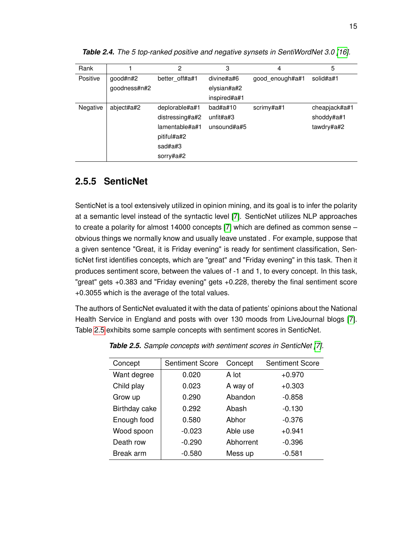| Rank     |              | 2               | 3               | 4               | 5             |  |
|----------|--------------|-----------------|-----------------|-----------------|---------------|--|
| Positive | good#n#2     | better_off#a#1  | divine#a#6      | good enough#a#1 | solid#a#1     |  |
|          | goodness#n#2 |                 | elysian#a#2     |                 |               |  |
|          |              |                 | inspired#a#1    |                 |               |  |
| Negative | abject#a#2   | deplorable#a#1  | $bad\#a\#10$    | scrimy#a#1      | cheapjack#a#1 |  |
|          |              | distressing#a#2 | unfit#a#3       |                 | shoddy#a#1    |  |
|          |              | lamentable#a#1  | unsound# $a$ #5 |                 | tawdry#a#2    |  |
|          |              | pitiful#a#2     |                 |                 |               |  |
|          |              | sad#a# $3$      |                 |                 |               |  |
|          |              | sorry#a#2       |                 |                 |               |  |

<span id="page-25-1"></span>*Table 2.4. The 5 top-ranked positive and negative synsets in SentiWordNet 3.0 [\[16\]](#page-74-1).*

### **2.5.5 SenticNet**

SenticNet is a tool extensively utilized in opinion mining, and its goal is to infer the polarity at a semantic level instead of the syntactic level [\[7\]](#page-74-2). SenticNet utilizes NLP approaches to create a polarity for almost 14000 concepts [\[7\]](#page-74-2) which are defined as common sense – obvious things we normally know and usually leave unstated . For example, suppose that a given sentence "Great, it is Friday evening" is ready for sentiment classification, SenticNet first identifies concepts, which are "great" and "Friday evening" in this task. Then it produces sentiment score, between the values of -1 and 1, to every concept. In this task, "great" gets +0.383 and "Friday evening" gets +0.228, thereby the final sentiment score +0.3055 which is the average of the total values.

<span id="page-25-2"></span>The authors of SenticNet evaluated it with the data of patients' opinions about the National Health Service in England and posts with over 130 moods from LiveJournal blogs [\[7\]](#page-74-2). Table [2.5](#page-25-2) exhibits some sample concepts with sentiment scores in SenticNet.

<span id="page-25-0"></span>

| Concept       | <b>Sentiment Score</b> | Concept   | <b>Sentiment Score</b> |  |
|---------------|------------------------|-----------|------------------------|--|
| Want degree   | 0.020                  | A lot     | $+0.970$               |  |
| Child play    | 0.023                  | A way of  | $+0.303$               |  |
| Grow up       | 0.290                  | Abandon   | $-0.858$               |  |
| Birthday cake | 0.292                  | Abash     | $-0.130$               |  |
| Enough food   | 0.580                  | Abhor     | $-0.376$               |  |
| Wood spoon    | $-0.023$               | Able use  | $+0.941$               |  |
| Death row     | $-0.290$               | Abhorrent | $-0.396$               |  |
| Break arm     | $-0.580$               | Mess up   | $-0.581$               |  |

*Table 2.5. Sample concepts with sentiment scores in SenticNet [\[7\]](#page-74-2).*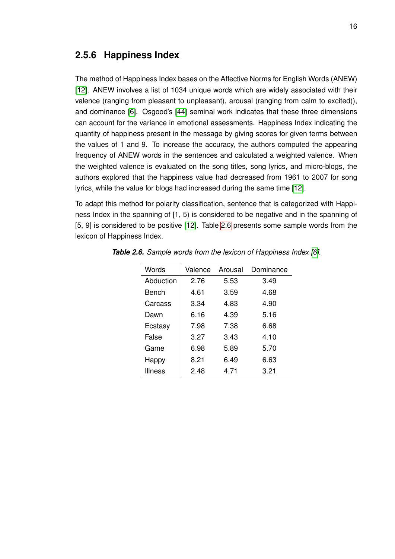#### **2.5.6 Happiness Index**

The method of Happiness Index bases on the Affective Norms for English Words (ANEW) [\[12\]](#page-74-14). ANEW involves a list of 1034 unique words which are widely associated with their valence (ranging from pleasant to unpleasant), arousal (ranging from calm to excited)), and dominance [\[6\]](#page-74-3). Osgood's [\[44\]](#page-76-11) seminal work indicates that these three dimensions can account for the variance in emotional assessments. Happiness Index indicating the quantity of happiness present in the message by giving scores for given terms between the values of 1 and 9. To increase the accuracy, the authors computed the appearing frequency of ANEW words in the sentences and calculated a weighted valence. When the weighted valence is evaluated on the song titles, song lyrics, and micro-blogs, the authors explored that the happiness value had decreased from 1961 to 2007 for song lyrics, while the value for blogs had increased during the same time [\[12\]](#page-74-14).

To adapt this method for polarity classification, sentence that is categorized with Happiness Index in the spanning of [1, 5) is considered to be negative and in the spanning of [5, 9] is considered to be positive [\[12\]](#page-74-14). Table [2.6](#page-26-0) presents some sample words from the lexicon of Happiness Index.

| Words          | Valence | Arousal | Dominance |  |  |
|----------------|---------|---------|-----------|--|--|
| Abduction      | 2.76    | 5.53    | 3.49      |  |  |
| Bench          | 4.61    | 3.59    | 4.68      |  |  |
| Carcass        | 3.34    | 4.83    | 4.90      |  |  |
| Dawn           | 6.16    | 4.39    | 5.16      |  |  |
| Ecstasy        | 7.98    | 7.38    | 6.68      |  |  |
| False          | 3.27    | 3.43    | 4.10      |  |  |
| Game           | 6.98    | 5.89    | 5.70      |  |  |
| Happy          | 8.21    | 6.49    | 6.63      |  |  |
| <b>Illness</b> | 2.48    | 4.71    | 3.21      |  |  |

<span id="page-26-0"></span>*Table 2.6. Sample words from the lexicon of Happiness Index [\[6\]](#page-74-3).*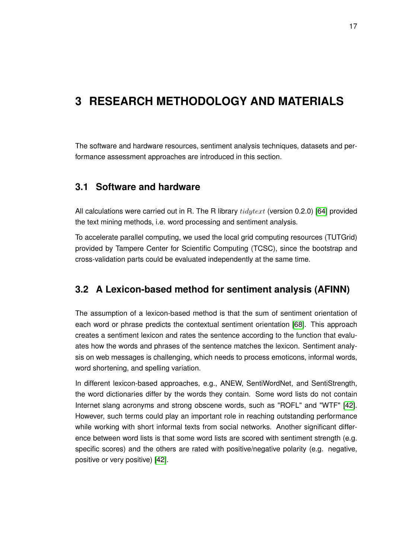## <span id="page-27-0"></span>**3 RESEARCH METHODOLOGY AND MATERIALS**

<span id="page-27-1"></span>The software and hardware resources, sentiment analysis techniques, datasets and performance assessment approaches are introduced in this section.

#### **3.1 Software and hardware**

All calculations were carried out in R. The R library  $tidytext$  (version 0.2.0) [\[64\]](#page-77-15) provided the text mining methods, i.e. word processing and sentiment analysis.

To accelerate parallel computing, we used the local grid computing resources (TUTGrid) provided by Tampere Center for Scientific Computing (TCSC), since the bootstrap and cross-validation parts could be evaluated independently at the same time.

#### <span id="page-27-2"></span>**3.2 A Lexicon-based method for sentiment analysis (AFINN)**

The assumption of a lexicon-based method is that the sum of sentiment orientation of each word or phrase predicts the contextual sentiment orientation [\[68\]](#page-77-16). This approach creates a sentiment lexicon and rates the sentence according to the function that evaluates how the words and phrases of the sentence matches the lexicon. Sentiment analysis on web messages is challenging, which needs to process emoticons, informal words, word shortening, and spelling variation.

<span id="page-27-3"></span>In different lexicon-based approaches, e.g., ANEW, SentiWordNet, and SentiStrength, the word dictionaries differ by the words they contain. Some word lists do not contain Internet slang acronyms and strong obscene words, such as "ROFL" and "WTF" [\[42\]](#page-76-0). However, such terms could play an important role in reaching outstanding performance while working with short informal texts from social networks. Another significant difference between word lists is that some word lists are scored with sentiment strength (e.g. specific scores) and the others are rated with positive/negative polarity (e.g. negative, positive or very positive) [\[42\]](#page-76-0).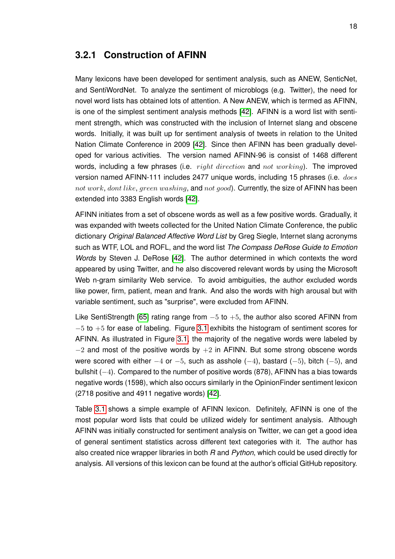#### **3.2.1 Construction of AFINN**

Many lexicons have been developed for sentiment analysis, such as ANEW, SenticNet, and SentiWordNet. To analyze the sentiment of microblogs (e.g. Twitter), the need for novel word lists has obtained lots of attention. A New ANEW, which is termed as AFINN, is one of the simplest sentiment analysis methods [\[42\]](#page-76-0). AFINN is a word list with sentiment strength, which was constructed with the inclusion of Internet slang and obscene words. Initially, it was built up for sentiment analysis of tweets in relation to the United Nation Climate Conference in 2009 [\[42\]](#page-76-0). Since then AFINN has been gradually developed for various activities. The version named AFINN-96 is consist of 1468 different words, including a few phrases (i.e.  $right direction$  and  $not$  working). The improved version named AFINN-111 includes 2477 unique words, including 15 phrases (i.e. does not work, dont like, green washing, and not good). Currently, the size of AFINN has been extended into 3383 English words [\[42\]](#page-76-0).

AFINN initiates from a set of obscene words as well as a few positive words. Gradually, it was expanded with tweets collected for the United Nation Climate Conference, the public dictionary *Original Balanced Affective Word List* by Greg Siegle, Internet slang acronyms such as WTF, LOL and ROFL, and the word list *The Compass DeRose Guide to Emotion Words* by Steven J. DeRose [\[42\]](#page-76-0). The author determined in which contexts the word appeared by using Twitter, and he also discovered relevant words by using the Microsoft Web n-gram similarity Web service. To avoid ambiguities, the author excluded words like power, firm, patient, mean and frank. And also the words with high arousal but with variable sentiment, such as "surprise", were excluded from AFINN.

Like SentiStrength [\[65\]](#page-77-2) rating range from  $-5$  to  $+5$ , the author also scored AFINN from  $-5$  to  $+5$  for ease of labeling. Figure [3.1](#page-29-0) exhibits the histogram of sentiment scores for AFINN. As illustrated in Figure [3.1,](#page-29-0) the majority of the negative words were labeled by  $-2$  and most of the positive words by  $+2$  in AFINN. But some strong obscene words were scored with either  $-4$  or  $-5$ , such as asshole  $(-4)$ , bastard  $(-5)$ , bitch  $(-5)$ , and bullshit  $(-4)$ . Compared to the number of positive words (878), AFINN has a bias towards negative words (1598), which also occurs similarly in the OpinionFinder sentiment lexicon (2718 positive and 4911 negative words) [\[42\]](#page-76-0).

<span id="page-28-0"></span>Table [3.1](#page-29-1) shows a simple example of AFINN lexicon. Definitely, AFINN is one of the most popular word lists that could be utilized widely for sentiment analysis. Although AFINN was initially constructed for sentiment analysis on Twitter, we can get a good idea of general sentiment statistics across different text categories with it. The author has also created nice wrapper libraries in both *R* and *Python*, which could be used directly for analysis. All versions of this lexicon can be found at the author's official GitHub repository.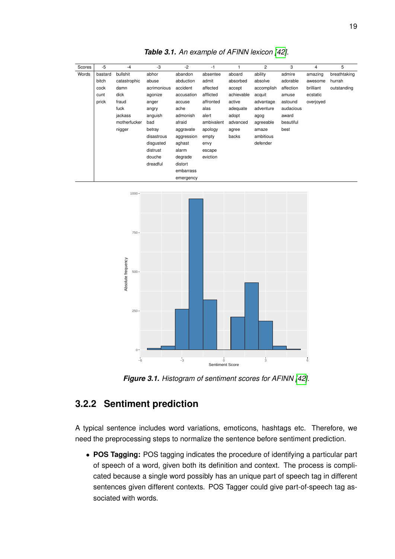<span id="page-29-1"></span>

| Scores | $-5$    | $-4$         | -3          | $-2$       | $-1$       |            | 2          | 3         | 4         | 5            |
|--------|---------|--------------|-------------|------------|------------|------------|------------|-----------|-----------|--------------|
| Words  | bastard | bullshit     | abhor       | abandon    | absentee   | aboard     | ability    | admire    | amazing   | breathtaking |
|        | bitch   | catastrophic | abuse       | abduction  | admit      | absorbed   | absolve    | adorable  | awesome   | hurrah       |
|        | cock    | damn         | acrimonious | accident   | affected   | accept     | accomplish | affection | brilliant | outstanding  |
|        | cunt    | dick         | agonize     | accusation | afflicted  | achievable | acquit     | amuse     | ecstatic  |              |
|        | prick   | fraud        | anger       | accuse     | affronted  | active     | advantage  | astound   | overjoyed |              |
|        |         | fuck         | angry       | ache       | alas       | adequate   | adventure  | audacious |           |              |
|        |         | jackass      | anguish     | admonish   | alert      | adopt      | agog       | award     |           |              |
|        |         | motherfucker | bad         | afraid     | ambivalent | advanced   | agreeable  | beautiful |           |              |
|        |         | nigger       | betray      | aggravate  | apology    | agree      | amaze      | best      |           |              |
|        |         |              | disastrous  | aggression | empty      | backs      | ambitious  |           |           |              |
|        |         |              | disqusted   | aghast     | envy       |            | defender   |           |           |              |
|        |         |              | distrust    | alarm      | escape     |            |            |           |           |              |
|        |         |              | douche      | degrade    | eviction   |            |            |           |           |              |
|        |         |              | dreadful    | distort    |            |            |            |           |           |              |
|        |         |              |             | embarrass  |            |            |            |           |           |              |
|        |         |              |             | emergency  |            |            |            |           |           |              |

*Table 3.1. An example of AFINN lexicon [\[42\]](#page-76-0).*

<span id="page-29-0"></span>

*Figure 3.1. Histogram of sentiment scores for AFINN [\[42\]](#page-76-0).*

#### **3.2.2 Sentiment prediction**

A typical sentence includes word variations, emoticons, hashtags etc. Therefore, we need the preprocessing steps to normalize the sentence before sentiment prediction.

• **POS Tagging:** POS tagging indicates the procedure of identifying a particular part of speech of a word, given both its definition and context. The process is complicated because a single word possibly has an unique part of speech tag in different sentences given different contexts. POS Tagger could give part-of-speech tag associated with words.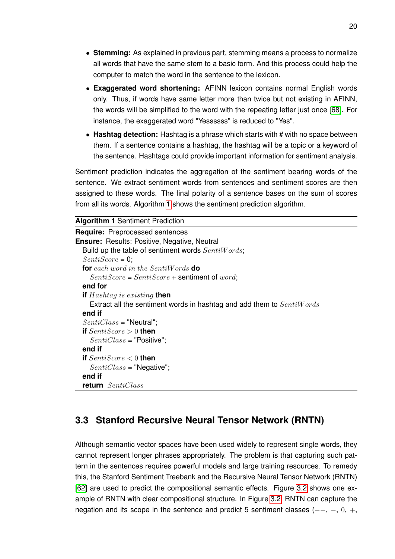- **Stemming:** As explained in previous part, stemming means a process to normalize all words that have the same stem to a basic form. And this process could help the computer to match the word in the sentence to the lexicon.
- **Exaggerated word shortening:** AFINN lexicon contains normal English words only. Thus, if words have same letter more than twice but not existing in AFINN, the words will be simplified to the word with the repeating letter just once [\[68\]](#page-77-16). For instance, the exaggerated word "Yessssss" is reduced to "Yes".
- Hashtag detection: Hashtag is a phrase which starts with # with no space between them. If a sentence contains a hashtag, the hashtag will be a topic or a keyword of the sentence. Hashtags could provide important information for sentiment analysis.

Sentiment prediction indicates the aggregation of the sentiment bearing words of the sentence. We extract sentiment words from sentences and sentiment scores are then assigned to these words. The final polarity of a sentence bases on the sum of scores from all its words. Algorithm [1](#page-30-1) shows the sentiment prediction algorithm.

<span id="page-30-1"></span>**Algorithm 1** Sentiment Prediction

| <b>Require:</b> Preprocessed sentences                                |
|-----------------------------------------------------------------------|
| <b>Ensure:</b> Results: Positive, Negative, Neutral                   |
| Build up the table of sentiment words SentiWords;                     |
| $Sentiscore = 0$                                                      |
| <b>for</b> each word in the SentiWords <b>do</b>                      |
| $SentiScore = SentiScore +$ sentiment of $word$ ;                     |
| end for                                                               |
| <b>if</b> Hashtag is existing <b>then</b>                             |
| Extract all the sentiment words in hashtag and add them to SentiWords |
| end if                                                                |
| $SentiClass = "Neutral".$                                             |
| if $SentiScore>0$ then                                                |
| $SentiClass = "Positive".$                                            |
| end if                                                                |
| if $SentiScore < 0$ then                                              |
| $SentiClass = "Negative";$                                            |
| end if                                                                |
| <b>return</b> SentiClass                                              |

#### <span id="page-30-0"></span>**3.3 Stanford Recursive Neural Tensor Network (RNTN)**

Although semantic vector spaces have been used widely to represent single words, they cannot represent longer phrases appropriately. The problem is that capturing such pattern in the sentences requires powerful models and large training resources. To remedy this, the Stanford Sentiment Treebank and the Recursive Neural Tensor Network (RNTN) [\[62\]](#page-77-0) are used to predict the compositional semantic effects. Figure [3.2](#page-31-1) shows one example of RNTN with clear compositional structure. In Figure [3.2,](#page-31-1) RNTN can capture the negation and its scope in the sentence and predict 5 sentiment classes (--, -, 0, +,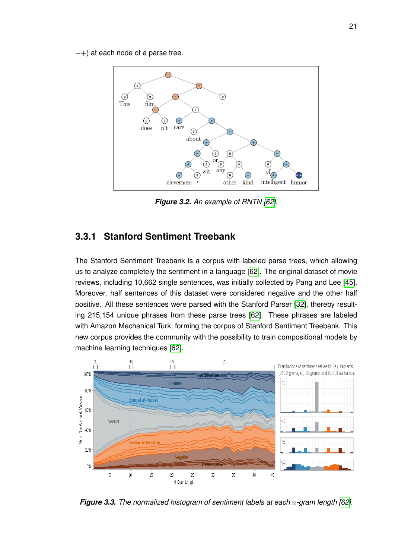<span id="page-31-1"></span> $++$ ) at each node of a parse tree.



*Figure 3.2. An example of RNTN [\[62\]](#page-77-0).*

#### <span id="page-31-0"></span>**3.3.1 Stanford Sentiment Treebank**

The Stanford Sentiment Treebank is a corpus with labeled parse trees, which allowing us to analyze completely the sentiment in a language [\[62\]](#page-77-0). The original dataset of movie reviews, including 10,662 single sentences, was initially collected by Pang and Lee [\[45\]](#page-76-12). Moreover, half sentences of this dataset were considered negative and the other half positive. All these sentences were parsed with the Stanford Parser [\[32\]](#page-75-16), thereby resulting 215,154 unique phrases from these parse trees [\[62\]](#page-77-0). These phrases are labeled with Amazon Mechanical Turk, forming the corpus of Stanford Sentiment Treebank. This new corpus provides the community with the possibility to train compositional models by machine learning techniques [\[62\]](#page-77-0).

<span id="page-31-2"></span>

*Figure 3.3. The normalized histogram of sentiment labels at each* n*-gram length [\[62\]](#page-77-0).*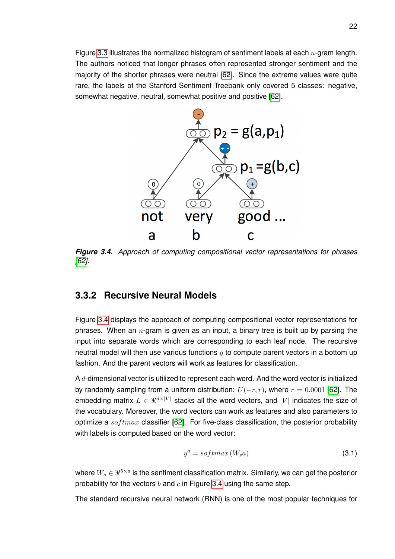<span id="page-32-1"></span>Figure [3.3](#page-31-2) illustrates the normalized histogram of sentiment labels at each  $n$ -gram length. The authors noticed that longer phrases often represented stronger sentiment and the majority of the shorter phrases were neutral [\[62\]](#page-77-0). Since the extreme values were quite rare, the labels of the Stanford Sentiment Treebank only covered 5 classes: negative, somewhat negative, neutral, somewhat positive and positive [\[62\]](#page-77-0).



<span id="page-32-0"></span>*Figure 3.4. Approach of computing compositional vector representations for phrases [\[62\]](#page-77-0).*

#### **3.3.2 Recursive Neural Models**

Figure [3.4](#page-32-1) displays the approach of computing compositional vector representations for phrases. When an  $n$ -gram is given as an input, a binary tree is built up by parsing the input into separate words which are corresponding to each leaf node. The recursive neutral model will then use various functions  $q$  to compute parent vectors in a bottom up fashion. And the parent vectors will work as features for classification.

A  $d$ -dimensional vector is utilized to represent each word. And the word vector is initialized by randomly sampling from a uniform distribution:  $U(-r, r)$ , where  $r = 0.0001$  [\[62\]](#page-77-0). The embedding matrix  $L \in \mathbb{R}^{d \times |V|}$  stacks all the word vectors, and |V| indicates the size of the vocabulary. Moreover, the word vectors can work as features and also parameters to optimize a  $softmax$  classifier [\[62\]](#page-77-0). For five-class classification, the posterior probability with labels is computed based on the word vector:

<span id="page-32-2"></span>
$$
y^a = softmax(W_s a) \tag{3.1}
$$

where  $W_s \in \Re^{5 \times d}$  is the sentiment classification matrix. Similarly, we can get the posterior probability for the vectors  $b$  and  $c$  in Figure [3.4](#page-32-1) using the same step.

The standard recursive neural network (RNN) is one of the most popular techniques for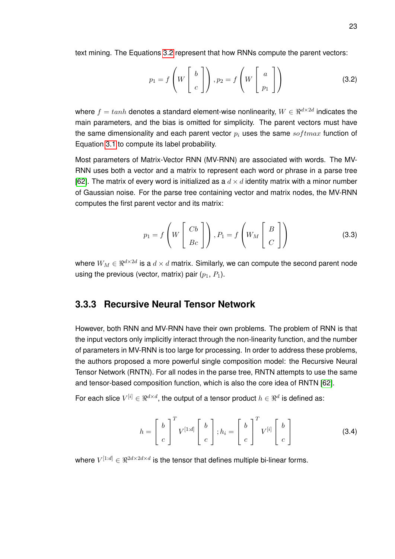text mining. The Equations [3.2](#page-33-1) represent that how RNNs compute the parent vectors:

<span id="page-33-1"></span>
$$
p_1 = f\left(W\begin{bmatrix} b \\ c \end{bmatrix}\right), p_2 = f\left(W\begin{bmatrix} a \\ p_1 \end{bmatrix}\right)
$$
 (3.2)

where  $f=tanh$  denotes a standard element-wise nonlinearity,  $W\in\real^{d\times 2d}$  indicates the main parameters, and the bias is omitted for simplicity. The parent vectors must have the same dimensionality and each parent vector  $p_i$  uses the same softmax function of Equation [3.1](#page-32-2) to compute its label probability.

Most parameters of Matrix-Vector RNN (MV-RNN) are associated with words. The MV-RNN uses both a vector and a matrix to represent each word or phrase in a parse tree [\[62\]](#page-77-0). The matrix of every word is initialized as a  $d \times d$  identity matrix with a minor number of Gaussian noise. For the parse tree containing vector and matrix nodes, the MV-RNN computes the first parent vector and its matrix:

$$
p_1 = f\left(W\left[\begin{array}{c}Cb\\Bc\end{array}\right]\right), P_1 = f\left(W_M\left[\begin{array}{c}B\\C\end{array}\right]\right)
$$
(3.3)

<span id="page-33-0"></span>where  $W_M \in \Re^{d \times 2d}$  is a  $d \times d$  matrix. Similarly, we can compute the second parent node using the previous (vector, matrix) pair  $(p_1, P_1)$ .

#### **3.3.3 Recursive Neural Tensor Network**

However, both RNN and MV-RNN have their own problems. The problem of RNN is that the input vectors only implicitly interact through the non-linearity function, and the number of parameters in MV-RNN is too large for processing. In order to address these problems, the authors proposed a more powerful single composition model: the Recursive Neural Tensor Network (RNTN). For all nodes in the parse tree, RNTN attempts to use the same and tensor-based composition function, which is also the core idea of RNTN [\[62\]](#page-77-0).

For each slice  $V^{[i]} \in \Re^{d \times d},$  the output of a tensor product  $h \in \Re^d$  is defined as:

$$
h = \begin{bmatrix} b \\ c \end{bmatrix}^T V^{[1:d]} \begin{bmatrix} b \\ c \end{bmatrix}; h_i = \begin{bmatrix} b \\ c \end{bmatrix}^T V^{[i]} \begin{bmatrix} b \\ c \end{bmatrix}
$$
 (3.4)

where  $V^{[1:d]}\in\real^{2d\times 2d\times d}$  is the tensor that defines multiple bi-linear forms.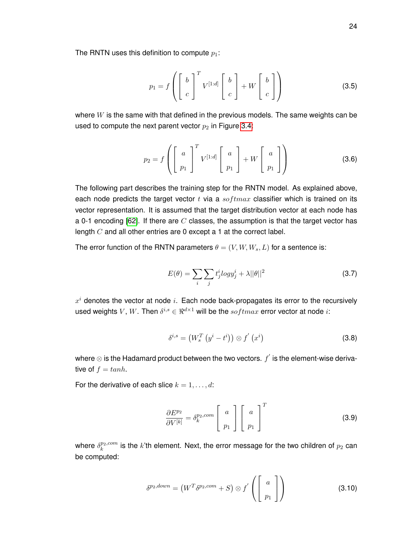The RNTN uses this definition to compute  $p_1$ :

$$
p_1 = f\left(\left[\begin{array}{c}b\\c\end{array}\right]^T V^{[1:d]}\left[\begin{array}{c}b\\c\end{array}\right]+W\left[\begin{array}{c}b\\c\end{array}\right]\right) \tag{3.5}
$$

where  $W$  is the same with that defined in the previous models. The same weights can be used to compute the next parent vector  $p_2$  in Figure [3.4:](#page-32-1)

$$
p_2 = f\left(\left[\begin{array}{c} a \\ p_1 \end{array}\right]^T V^{[1:d]} \left[\begin{array}{c} a \\ p_1 \end{array}\right] + W \left[\begin{array}{c} a \\ p_1 \end{array}\right]\right)
$$
(3.6)

The following part describes the training step for the RNTN model. As explained above, each node predicts the target vector  $t$  via a  $softmax$  classifier which is trained on its vector representation. It is assumed that the target distribution vector at each node has a 0-1 encoding [\[62\]](#page-77-0). If there are  $C$  classes, the assumption is that the target vector has length  $C$  and all other entries are 0 except a 1 at the correct label.

The error function of the RNTN parameters  $\theta = (V, W, W_s, L)$  for a sentence is:

$$
E(\theta) = \sum_{i} \sum_{j} t_j^i log y_j^i + \lambda ||\theta||^2
$$
\n(3.7)

 $x^i$  denotes the vector at node i. Each node back-propagates its error to the recursively used weights  $V,$   $W.$  Then  $\delta^{i,s} \in \Re^{d \times 1}$  will be the  $softmax$  error vector at node  $i:$ 

$$
\delta^{i,s} = \left(W_s^T \left(y^i - t^i\right)\right) \otimes f'\left(x^i\right) \tag{3.8}
$$

where  $\otimes$  is the Hadamard product between the two vectors.  $f^{'}$  is the element-wise derivative of  $f = \tanh$ .

For the derivative of each slice  $k = 1, \ldots, d$ :

$$
\frac{\partial E^{p_2}}{\partial V^{[k]}} = \delta_k^{p_2, com} \left[ \begin{array}{c} a \\ p_1 \end{array} \right] \left[ \begin{array}{c} a \\ p_1 \end{array} \right]^T \tag{3.9}
$$

where  $\delta_k^{p_2,com}$  $k_{k}^{p_{2},com}$  is the  $k$ 'th element. Next, the error message for the two children of  $p_{2}$  can be computed:

$$
\delta^{p_2, down} = \left( W^T \delta^{p_2, com} + S \right) \otimes f' \left( \left[ \begin{array}{c} a \\ p_1 \end{array} \right] \right) \tag{3.10}
$$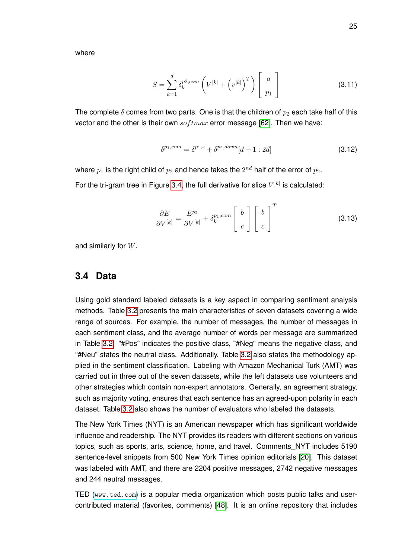where

$$
S = \sum_{k=1}^{d} \delta_k^{p2,com} \left( V^{[k]} + \left( v^{[k]} \right)^T \right) \begin{bmatrix} a \\ p_1 \end{bmatrix}
$$
 (3.11)

The complete  $\delta$  comes from two parts. One is that the children of  $p_2$  each take half of this vector and the other is their own  $softmax$  error message [\[62\]](#page-77-0). Then we have:

$$
\delta^{p_1, com} = \delta^{p_1, s} + \delta^{p_2, down}[d+1:2d] \tag{3.12}
$$

where  $p_1$  is the right child of  $p_2$  and hence takes the  $2^{nd}$  half of the error of  $p_2.$ 

For the tri-gram tree in Figure [3.4,](#page-32-1) the full derivative for slice  $V^{[k]}$  is calculated:

$$
\frac{\partial E}{\partial V^{[k]}} = \frac{E^{p_2}}{\partial V^{[k]}} + \delta_k^{p_1, com} \begin{bmatrix} b \\ c \end{bmatrix} \begin{bmatrix} b \\ c \end{bmatrix}^T
$$
 (3.13)

<span id="page-35-0"></span>and similarly for W.

#### **3.4 Data**

Using gold standard labeled datasets is a key aspect in comparing sentiment analysis methods. Table [3.2](#page-37-1) presents the main characteristics of seven datasets covering a wide range of sources. For example, the number of messages, the number of messages in each sentiment class, and the average number of words per message are summarized in Table [3.2.](#page-37-1) "#Pos" indicates the positive class, "#Neg" means the negative class, and "#Neu" states the neutral class. Additionally, Table [3.2](#page-37-1) also states the methodology applied in the sentiment classification. Labeling with Amazon Mechanical Turk (AMT) was carried out in three out of the seven datasets, while the left datasets use volunteers and other strategies which contain non-expert annotators. Generally, an agreement strategy, such as majority voting, ensures that each sentence has an agreed-upon polarity in each dataset. Table [3.2](#page-37-1) also shows the number of evaluators who labeled the datasets.

The New York Times (NYT) is an American newspaper which has significant worldwide influence and readership. The NYT provides its readers with different sections on various topics, such as sports, arts, science, home, and travel. Comments\_NYT includes 5190 sentence-level snippets from 500 New York Times opinion editorials [\[20\]](#page-75-17). This dataset was labeled with AMT, and there are 2204 positive messages, 2742 negative messages and 244 neutral messages.

TED (<www.ted.com>) is a popular media organization which posts public talks and usercontributed material (favorites, comments) [\[48\]](#page-76-13). It is an online repository that includes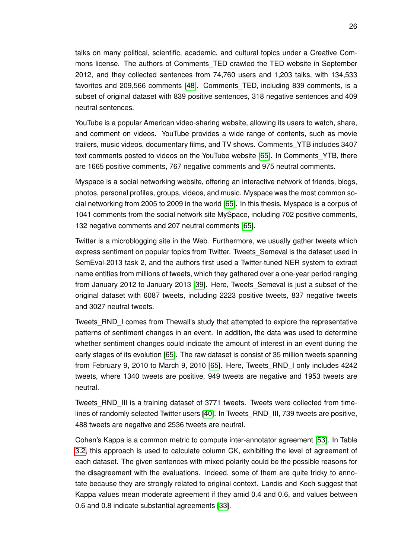talks on many political, scientific, academic, and cultural topics under a Creative Commons license. The authors of Comments TED crawled the TED website in September 2012, and they collected sentences from 74,760 users and 1,203 talks, with 134,533 favorites and 209,566 comments [\[48\]](#page-76-0). Comments\_TED, including 839 comments, is a subset of original dataset with 839 positive sentences, 318 negative sentences and 409 neutral sentences.

YouTube is a popular American video-sharing website, allowing its users to watch, share, and comment on videos. YouTube provides a wide range of contents, such as movie trailers, music videos, documentary films, and TV shows. Comments\_YTB includes 3407 text comments posted to videos on the YouTube website [\[65\]](#page-77-0). In Comments\_YTB, there are 1665 positive comments, 767 negative comments and 975 neutral comments.

Myspace is a social networking website, offering an interactive network of friends, blogs, photos, personal profiles, groups, videos, and music. Myspace was the most common social networking from 2005 to 2009 in the world [\[65\]](#page-77-0). In this thesis, Myspace is a corpus of 1041 comments from the social network site MySpace, including 702 positive comments, 132 negative comments and 207 neutral comments [\[65\]](#page-77-0).

Twitter is a microblogging site in the Web. Furthermore, we usually gather tweets which express sentiment on popular topics from Twitter. Tweets\_Semeval is the dataset used in SemEval-2013 task 2, and the authors first used a Twitter-tuned NER system to extract name entities from millions of tweets, which they gathered over a one-year period ranging from January 2012 to January 2013 [\[39\]](#page-76-1). Here, Tweets\_Semeval is just a subset of the original dataset with 6087 tweets, including 2223 positive tweets, 837 negative tweets and 3027 neutral tweets.

Tweets\_RND\_I comes from Thewall's study that attempted to explore the representative patterns of sentiment changes in an event. In addition, the data was used to determine whether sentiment changes could indicate the amount of interest in an event during the early stages of its evolution [\[65\]](#page-77-0). The raw dataset is consist of 35 million tweets spanning from February 9, 2010 to March 9, 2010 [\[65\]](#page-77-0). Here, Tweets\_RND\_I only includes 4242 tweets, where 1340 tweets are positive, 949 tweets are negative and 1953 tweets are neutral.

Tweets RND III is a training dataset of 3771 tweets. Tweets were collected from timelines of randomly selected Twitter users [\[40\]](#page-76-2). In Tweets\_RND\_III, 739 tweets are positive, 488 tweets are negative and 2536 tweets are neutral.

Cohen's Kappa is a common metric to compute inter-annotator agreement [\[53\]](#page-77-1). In Table [3.2,](#page-37-0) this approach is used to calculate column CK, exhibiting the level of agreement of each dataset. The given sentences with mixed polarity could be the possible reasons for the disagreement with the evaluations. Indeed, some of them are quite tricky to annotate because they are strongly related to original context. Landis and Koch suggest that Kappa values mean moderate agreement if they amid 0.4 and 0.6, and values between 0.6 and 0.8 indicate substantial agreements [\[33\]](#page-75-0).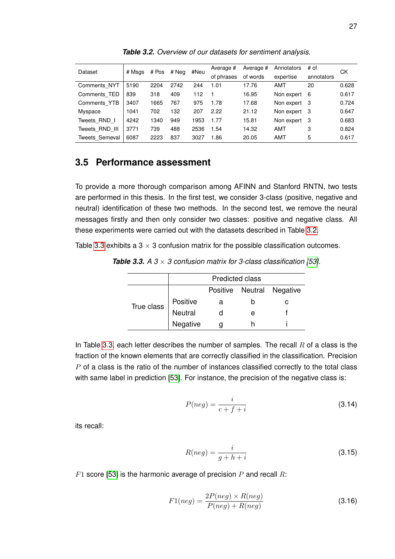<span id="page-37-0"></span>

| Dataset        | # Msgs | # Pos | # Neg | #Neu | Average #  | Average # | Annotators   | # of       | СK    |
|----------------|--------|-------|-------|------|------------|-----------|--------------|------------|-------|
|                |        |       |       |      | of phrases | of words  | expertise    | annotators |       |
| Comments NYT   | 5190   | 2204  | 2742  | 244  | 1.01       | 17.76     | AMT          | 20         | 0.628 |
| Comments TED   | 839    | 318   | 409   | 112  |            | 16.95     | Non expert   | 6          | 0.617 |
| Comments YTB   | 3407   | 1665  | 767   | 975  | 1.78       | 17.68     | Non expert 3 |            | 0.724 |
| Myspace        | 1041   | 702   | 132   | 207  | 2.22       | 21.12     | Non expert 3 |            | 0.647 |
| Tweets RND I   | 4242   | 1340  | 949   | 1953 | 1.77       | 15.81     | Non expert   | - 3        | 0.683 |
| Tweets RND III | 3771   | 739   | 488   | 2536 | 1.54       | 14.32     | AMT          | 3          | 0.824 |
| Tweets Semeval | 6087   | 2223  | 837   | 3027 | 1.86       | 20.05     | AMT          | 5          | 0.617 |
|                |        |       |       |      |            |           |              |            |       |

*Table 3.2. Overview of our datasets for sentiment analysis.*

#### **3.5 Performance assessment**

To provide a more thorough comparison among AFINN and Stanford RNTN, two tests are performed in this thesis. In the first test, we consider 3-class (positive, negative and neutral) identification of these two methods. In the second test, we remove the neural messages firstly and then only consider two classes: positive and negative class. All these experiments were carried out with the datasets described in Table [3.2.](#page-37-0)

<span id="page-37-1"></span>Table [3.3](#page-37-1) exhibits a  $3 \times 3$  confusion matrix for the possible classification outcomes.

**Table 3.3.** A  $3 \times 3$  confusion matrix for 3-class classification [\[53\]](#page-77-1).

|            |          | <b>Predicted class</b> |   |                           |
|------------|----------|------------------------|---|---------------------------|
|            |          |                        |   | Positive Neutral Negative |
| True class | Positive | a                      |   |                           |
|            | Neutral  |                        | е |                           |
|            | Negative |                        |   |                           |

In Table [3.3,](#page-37-1) each letter describes the number of samples. The recall  $R$  of a class is the fraction of the known elements that are correctly classified in the classification. Precision  $P$  of a class is the ratio of the number of instances classified correctly to the total class with same label in prediction [\[53\]](#page-77-1). For instance, the precision of the negative class is:

$$
P(neg) = \frac{i}{c+f+i} \tag{3.14}
$$

its recall:

$$
R(neg) = \frac{i}{g + h + i}
$$
\n(3.15)

 $F1$  score [\[53\]](#page-77-1) is the harmonic average of precision P and recall R:

$$
F1(neg) = \frac{2P(neg) \times R(neg)}{P(neg) + R(neg)}\tag{3.16}
$$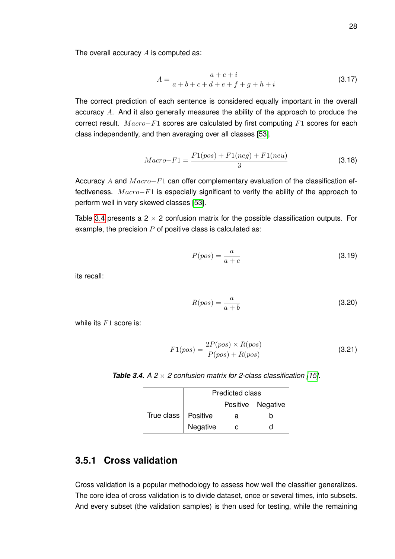The overall accuracy  $A$  is computed as:

$$
A = \frac{a + e + i}{a + b + c + d + e + f + g + h + i}
$$
 (3.17)

The correct prediction of each sentence is considered equally important in the overall accuracy A. And it also generally measures the ability of the approach to produce the correct result.  $Macro-F1$  scores are calculated by first computing  $F1$  scores for each class independently, and then averaging over all classes [\[53\]](#page-77-1).

$$
Macro - F1 = \frac{F1(pos) + F1(neg) + F1(neu)}{3}
$$
\n(3.18)

Accuracy A and  $Macro-F1$  can offer complementary evaluation of the classification effectiveness.  $Macro-F1$  is especially significant to verify the ability of the approach to perform well in very skewed classes [\[53\]](#page-77-1).

Table [3.4](#page-38-0) presents a  $2 \times 2$  confusion matrix for the possible classification outputs. For example, the precision  $P$  of positive class is calculated as:

$$
P(pos) = \frac{a}{a+c} \tag{3.19}
$$

its recall:

$$
R(pos) = \frac{a}{a+b} \tag{3.20}
$$

while its  $F1$  score is:

$$
F1(pos) = \frac{2P(pos) \times R(pos)}{P(pos) + R(pos)}
$$
\n(3.21)

<span id="page-38-0"></span>**Table 3.4.**  $A \, 2 \times 2$  confusion matrix for 2-class classification [\[15\]](#page-74-0).

|                             | <b>Predicted class</b> |   |                   |  |  |
|-----------------------------|------------------------|---|-------------------|--|--|
|                             |                        |   | Positive Negative |  |  |
| True class $\vert$ Positive |                        | a | n                 |  |  |
|                             | Negative               |   |                   |  |  |

#### **3.5.1 Cross validation**

Cross validation is a popular methodology to assess how well the classifier generalizes. The core idea of cross validation is to divide dataset, once or several times, into subsets. And every subset (the validation samples) is then used for testing, while the remaining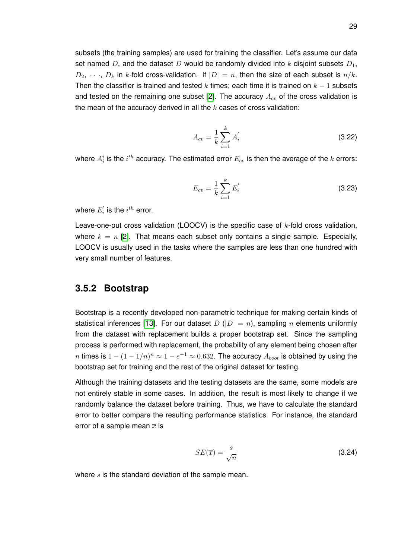subsets (the training samples) are used for training the classifier. Let's assume our data set named D, and the dataset D would be randomly divided into k disjoint subsets  $D_1$ ,  $D_2, \dots, D_k$  in k-fold cross-validation. If  $|D| = n$ , then the size of each subset is  $n/k$ . Then the classifier is trained and tested k times; each time it is trained on  $k - 1$  subsets and tested on the remaining one subset [\[2\]](#page-74-1). The accuracy  $A_{cv}$  of the cross validation is the mean of the accuracy derived in all the  $k$  cases of cross validation:

$$
A_{cv} = \frac{1}{k} \sum_{i=1}^{k} A'_i
$$
 (3.22)

where  $A_i^i$  is the  $i^{th}$  accuracy. The estimated error  $E_{cv}$  is then the average of the  $k$  errors:

$$
E_{cv} = \frac{1}{k} \sum_{i=1}^{k} E_i'
$$
 (3.23)

where  $E_{i}^{^{\prime}}$  $i_{i}^{'}$  is the  $i^{th}$  error.

Leave-one-out cross validation (LOOCV) is the specific case of  $k$ -fold cross validation, where  $k = n$  [\[2\]](#page-74-1). That means each subset only contains a single sample. Especially, LOOCV is usually used in the tasks where the samples are less than one hundred with very small number of features.

#### **3.5.2 Bootstrap**

Bootstrap is a recently developed non-parametric technique for making certain kinds of statistical inferences [\[13\]](#page-74-2). For our dataset D ( $|D| = n$ ), sampling n elements uniformly from the dataset with replacement builds a proper bootstrap set. Since the sampling process is performed with replacement, the probability of any element being chosen after  $n$  times is  $1-(1-1/n)^n\approx 1-e^{-1}\approx 0.632.$  The accuracy  $A_{boot}$  is obtained by using the bootstrap set for training and the rest of the original dataset for testing.

Although the training datasets and the testing datasets are the same, some models are not entirely stable in some cases. In addition, the result is most likely to change if we randomly balance the dataset before training. Thus, we have to calculate the standard error to better compare the resulting performance statistics. For instance, the standard error of a sample mean  $\overline{x}$  is

$$
SE(\overline{x}) = \frac{s}{\sqrt{n}} \tag{3.24}
$$

where  $s$  is the standard deviation of the sample mean.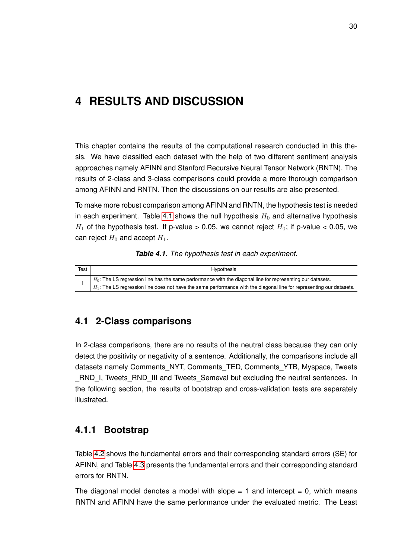# **4 RESULTS AND DISCUSSION**

This chapter contains the results of the computational research conducted in this thesis. We have classified each dataset with the help of two different sentiment analysis approaches namely AFINN and Stanford Recursive Neural Tensor Network (RNTN). The results of 2-class and 3-class comparisons could provide a more thorough comparison among AFINN and RNTN. Then the discussions on our results are also presented.

To make more robust comparison among AFINN and RNTN, the hypothesis test is needed in each experiment. Table [4.1](#page-40-0) shows the null hypothesis  $H_0$  and alternative hypothesis  $H_1$  of the hypothesis test. If p-value > 0.05, we cannot reject  $H_0$ ; if p-value < 0.05, we can reject  $H_0$  and accept  $H_1$ .

|  | Table 4.1. The hypothesis test in each experiment. |  |  |
|--|----------------------------------------------------|--|--|
|--|----------------------------------------------------|--|--|

<span id="page-40-0"></span>

| Test | Hypothesis                                                                                                              |
|------|-------------------------------------------------------------------------------------------------------------------------|
|      | $+$ $H_0$ : The LS regression line has the same performance with the diagonal line for representing our datasets.       |
|      | $H_1$ : The LS regression line does not have the same performance with the diagonal line for representing our datasets. |

# **4.1 2-Class comparisons**

In 2-class comparisons, there are no results of the neutral class because they can only detect the positivity or negativity of a sentence. Additionally, the comparisons include all datasets namely Comments\_NYT, Comments\_TED, Comments\_YTB, Myspace, Tweets RND I, Tweets RND III and Tweets Semeval but excluding the neutral sentences. In the following section, the results of bootstrap and cross-validation tests are separately illustrated.

# **4.1.1 Bootstrap**

Table [4.2](#page-41-0) shows the fundamental errors and their corresponding standard errors (SE) for AFINN, and Table [4.3](#page-41-1) presents the fundamental errors and their corresponding standard errors for RNTN.

The diagonal model denotes a model with slope  $= 1$  and intercept  $= 0$ , which means RNTN and AFINN have the same performance under the evaluated metric. The Least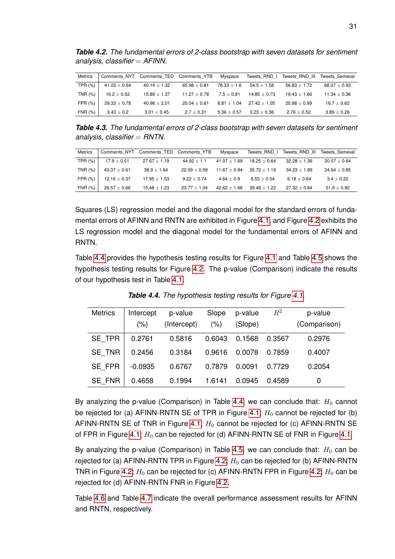<span id="page-41-0"></span>*Table 4.2. The fundamental errors of 2-class bootstrap with seven datasets for sentiment analysis, classifier* = *AFINN.*

| <b>Metrics</b> | Comments NYT     | Comments TED     | Comments YTB   | Myspace       | Tweets RND I   | Tweets RND III | Tweets Semeval  |
|----------------|------------------|------------------|----------------|---------------|----------------|----------------|-----------------|
| TPR $(%)$      | $41.03 \pm 0.64$ | $40.14 \pm 1.32$ | $65.98 + 0.81$ | $78.33 + 1.6$ | $54.5 + 1.58$  | $56.83 + 1.72$ | $68.07\pm0.93$  |
| TNR (%)        | $16.2 \pm 0.52$  | $15.89 \pm 1.37$ | $11.27 + 0.78$ | $7.5 + 0.81$  | $14.85 + 0.73$ | $19.43 + 1.66$ | $11.34 + 0.36$  |
| $FPR(\% )$     | $39.33\pm0.78$   | $40.96 + 2.01$   | $20.04 + 0.61$ | $8.81 + 1.04$ | $27.42 + 1.05$ | $20.98 + 0.99$ | $16.7 + 0.62$   |
| FNR (%)        | $3.43 \pm 0.2$   | $3.01 \pm 0.45$  | $2.7 \pm 0.31$ | $5.36 + 0.57$ | $3.23\pm0.36$  | $2.76 + 0.52$  | $3.89 \pm 0.26$ |

<span id="page-41-1"></span>*Table 4.3. The fundamental errors of 2-class bootstrap with seven datasets for sentiment analysis, classifier* = *RNTN.*

| <b>Metrics</b> | Comments NYT     | Comments TED     | Comments YTB     | Myspace          | Tweets RND I   | Tweets RND III | Tweets Semeval |
|----------------|------------------|------------------|------------------|------------------|----------------|----------------|----------------|
| TPR (%)        | $17.9 \pm 0.51$  | $27.67 \pm 1.19$ | $44.92 + 1.1$    | $41.07 + 1.69$   | $18.25 + 0.64$ | $32.28 + 1.36$ | $20.07 + 0.64$ |
| TNR (%)        | $43.37 \pm 0.61$ | $38.9 + 1.64$    | $22.09 + 0.59$   | $11.67 + 0.94$   | $35.72 + 1.19$ | $34.23 + 1.89$ | $24.64 + 0.85$ |
| FPR(%)         | $12.16 \pm 0.37$ | $17.95 + 1.53$   | $9.22 + 0.74$    | $4.64 + 0.9$     | $6.55 + 0.54$  | $6.18 + 0.64$  | $3.4 + 0.22$   |
| <b>FNR (%)</b> | $26.57 + 0.66$   | $15.48 + 1.23$   | $23.77 \pm 1.04$ | $42.62 \pm 1.66$ | $39.48 + 1.22$ | $27.32 + 0.84$ | $51.9 + 0.92$  |

Squares (LS) regression model and the diagonal model for the standard errors of fundamental errors of AFINN and RNTN are exhibited in Figure [4.1,](#page-42-0) and Figure [4.2](#page-43-0) exhibits the LS regression model and the diagonal model for the fundamental errors of AFINN and RNTN.

Table [4.4](#page-41-2) provides the hypothesis testing results for Figure [4.1](#page-42-0) and Table [4.5](#page-42-1) shows the hypothesis testing results for Figure [4.2.](#page-43-0) The p-value (Comparison) indicate the results of our hypothesis test in Table [4.1.](#page-40-0)

<span id="page-41-2"></span>

| <b>Metrics</b> | Intercept | p-value     | Slope  | p-value | $R^2$  | p-value      |
|----------------|-----------|-------------|--------|---------|--------|--------------|
|                | $(\% )$   | (Intercept) | (%)    | (Slope) |        | (Comparison) |
| SE TPR         | 0.2761    | 0.5816      | 0.6043 | 0.1568  | 0.3567 | 0.2976       |
| <b>SE TNR</b>  | 0.2456    | 0.3184      | 0.9616 | 0.0078  | 0.7859 | 0.4007       |
| SE FPR         | $-0.0935$ | 0.6767      | 0.7879 | 0.0091  | 0.7729 | 0.2054       |
| <b>SE FNR</b>  | 0.4658    | 0.1994      | 1.6141 | 0.0945  | 0.4589 | 0            |

*Table 4.4. The hypothesis testing results for Figure [4.1.](#page-42-0)*

By analyzing the p-value (Comparison) in Table [4.4,](#page-41-2) we can conclude that:  $H_0$  cannot be rejected for (a) AFINN-RNTN SE of TPR in Figure [4.1;](#page-42-0)  $H_0$  cannot be rejected for (b) AFINN-RNTN SE of TNR in Figure [4.1;](#page-42-0)  $H_0$  cannot be rejected for (c) AFINN-RNTN SE of FPR in Figure [4.1;](#page-42-0)  $H_0$  can be rejected for (d) AFINN-RNTN SE of FNR in Figure [4.1.](#page-42-0)

By analyzing the p-value (Comparison) in Table [4.5,](#page-42-1) we can conclude that:  $H_0$  can be rejected for (a) AFINN-RNTN TPR in Figure [4.2;](#page-43-0)  $H_0$  can be rejected for (b) AFINN-RNTN TNR in Figure [4.2;](#page-43-0)  $H_0$  can be rejected for (c) AFINN-RNTN FPR in Figure 4.2;  $H_0$  can be rejected for (d) AFINN-RNTN FNR in Figure [4.2.](#page-43-0)

Table [4.6](#page-43-1) and Table [4.7](#page-44-0) indicate the overall performance assessment results for AFINN and RNTN, respectively.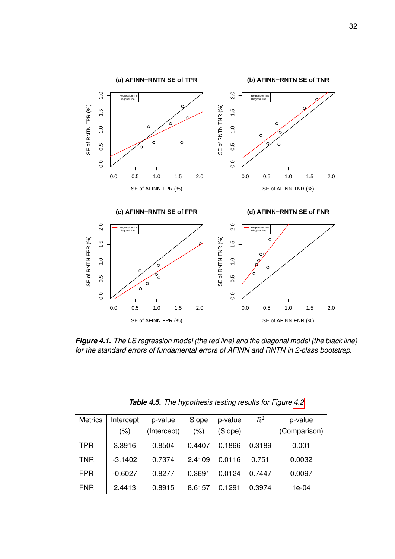<span id="page-42-0"></span>

*Figure 4.1. The LS regression model (the red line) and the diagonal model (the black line) for the standard errors of fundamental errors of AFINN and RNTN in 2-class bootstrap.*

<span id="page-42-1"></span>

| <b>Metrics</b> | Intercept<br>(%) | p-value<br>(Intercept) | Slope<br>(% ) | p-value<br>(Slope) | $R^2$  | p-value<br>(Comparison) |
|----------------|------------------|------------------------|---------------|--------------------|--------|-------------------------|
| <b>TPR</b>     | 3.3916           | 0.8504                 | 0.4407        | 0.1866             | 0.3189 | 0.001                   |
| <b>TNR</b>     | $-3.1402$        | 0.7374                 | 2.4109        | 0.0116             | 0.751  | 0.0032                  |
| <b>FPR</b>     | $-0.6027$        | 0.8277                 | 0.3691        | 0.0124             | 0.7447 | 0.0097                  |
| <b>FNR</b>     | 2.4413           | 0.8915                 | 8.6157        | 0.1291             | 0.3974 | 1e-04                   |

|  | Table 4.5. The hypothesis testing results for Figure 4.2 |  |  |
|--|----------------------------------------------------------|--|--|
|--|----------------------------------------------------------|--|--|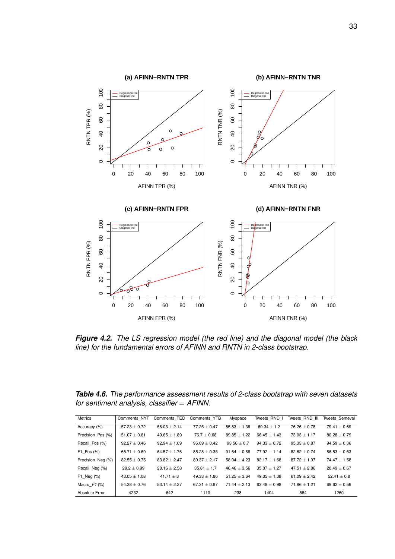<span id="page-43-0"></span>

*Figure 4.2. The LS regression model (the red line) and the diagonal model (the black line) for the fundamental errors of AFINN and RNTN in 2-class bootstrap.*

<span id="page-43-1"></span>*Table 4.6. The performance assessment results of 2-class bootstrap with seven datasets for sentiment analysis, classifier* = *AFINN.*

| <b>Metrics</b>    | Comments NYT     | Comments TED     | Comments YTB     | Myspace          | Tweets RND I     | Tweets RND III | Tweets Semeval   |
|-------------------|------------------|------------------|------------------|------------------|------------------|----------------|------------------|
| Accuracy (%)      | $57.23 \pm 0.72$ | $56.03 + 2.14$   | $77.25 \pm 0.47$ | $85.83 \pm 1.38$ | $69.34 + 1.2$    | $76.26 + 0.78$ | $79.41 \pm 0.69$ |
| Precision Pos (%) | $51.07 + 0.81$   | $49.65 \pm 1.89$ | $76.7 + 0.68$    | $89.85 \pm 1.22$ | $66.45 + 1.43$   | $73.03 + 1.17$ | $80.28 + 0.79$   |
| Recall Pos (%)    | $92.27 + 0.46$   | $92.94 \pm 1.09$ | $96.09 + 0.42$   | $93.56 \pm 0.7$  | $94.33 + 0.72$   | $95.33 + 0.87$ | $94.59 \pm 0.36$ |
| $F1$ Pos $(\%)$   | 65.71 $\pm$ 0.69 | $64.57 \pm 1.76$ | $85.28 + 0.35$   | $91.64 + 0.88$   | $77.92 + 1.14$   | $82.62 + 0.74$ | $86.83 \pm 0.53$ |
| Precision Neg (%) | $82.55 \pm 0.75$ | $83.82 + 2.47$   | $80.37 + 2.17$   | $58.04 + 4.23$   | $82.17 + 1.68$   | $87.72 + 1.97$ | $74.47 + 1.58$   |
| Recall Neg (%)    | $29.2 + 0.99$    | $28.16 \pm 2.58$ | $35.81 + 1.7$    | $46.46 + 3.56$   | $35.07 + 1.27$   | $47.51 + 2.86$ | $20.49 \pm 0.67$ |
| $F1$ Neg $(%)$    | $43.05 \pm 1.08$ | $41.71 \pm 3$    | $49.33 \pm 1.86$ | $51.25 \pm 3.64$ | $49.05 \pm 1.38$ | $61.09 + 2.42$ | $52.41 \pm 0.8$  |
| Macro $F1$ (%)    | $54.38 \pm 0.76$ | $53.14 + 2.27$   | $67.31 + 0.97$   | $71.44 + 2.13$   | $63.48 + 0.98$   | $71.86 + 1.21$ | $69.62 \pm 0.56$ |
| Absolute Error    | 4232             | 642              | 1110             | 238              | 1404             | 584            | 1260             |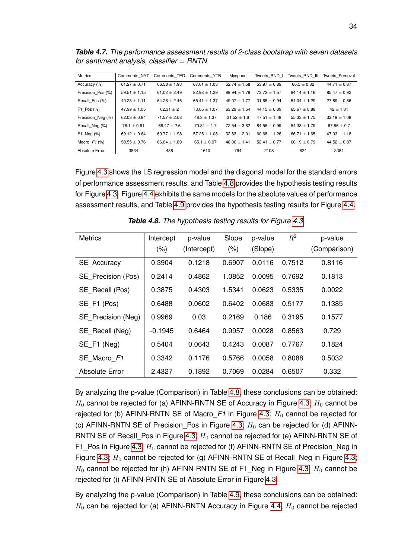<span id="page-44-0"></span>*Table 4.7. The performance assessment results of 2-class bootstrap with seven datasets for sentiment analysis, classifier* = *RNTN.*

| <b>Metrics</b>    | Comments NYT     | Comments TED     | Comments YTB     | Myspace          | Tweets RND I     | Tweets RND III   | <b>Tweets Semeval</b> |
|-------------------|------------------|------------------|------------------|------------------|------------------|------------------|-----------------------|
| Accuracy (%)      | $61.27 + 0.71$   | $66.58 \pm 1.93$ | $67.01 + 1.03$   | $52.74 + 1.58$   | $53.97 \pm 0.89$ | $66.5 + 0.82$    | $44.71 + 0.87$        |
| Precision Pos (%) | $59.51 \pm 1.15$ | $61.02 + 2.49$   | $82.98 + 1.29$   | $89.94 \pm 1.78$ | $73.72 + 1.57$   | $84.14 + 1.16$   | $85.47 \pm 0.92$      |
| Recall Pos (%)    | $40.28 \pm 1.11$ | $64.26 \pm 2.46$ | $65.41 \pm 1.37$ | $49.07 + 1.77$   | $31.65 + 0.94$   | $54.04 \pm 1.29$ | $27.89 \pm 0.86$      |
| $F1$ Pos $(\%)$   | $47.99 + 1.05$   | $62.31 + 2$      | $73.05 + 1.07$   | $63.29 + 1.54$   | $44.15 \pm 0.89$ | $65.67 + 0.88$   | $42 + 1.01$           |
| Precision Neg (%) | $62.03 + 0.84$   | $71.57 + 2.08$   | $48.3 \pm 1.37$  | $21.52 + 1.6$    | $47.51 + 1.48$   | $55.33 + 1.75$   | $32.19 \pm 1.08$      |
| Recall Neg (%)    | $78.1 \pm 0.61$  | $68.47 \pm 2.6$  | $70.81 + 1.7$    | $72.54 + 3.82$   | $84.58 + 0.99$   | $84.38 + 1.79$   | $87.86 \pm 0.7$       |
| $F1$ Neg $(%)$    | $69.12 + 0.64$   | 69.77 $\pm$ 1.98 | $57.25 + 1.08$   | $32.83 + 2.01$   | $60.68 + 1.26$   | $66.71 + 1.65$   | $47.03 + 1.18$        |
| Macro $F1$ (%)    | $58.55 + 0.76$   | $66.04 + 1.89$   | $65.1 + 0.97$    | $48.06 + 1.41$   | $52.41 \pm 0.77$ | $66.19 + 0.79$   | $44.52 + 0.87$        |
| Absolute Error    | 3834             | 488              | 1610             | 794              | 2108             | 824              | 3384                  |

Figure [4.3](#page-45-0) shows the LS regression model and the diagonal model for the standard errors of performance assessment results, and Table [4.8](#page-44-1) provides the hypothesis testing results for Figure [4.3.](#page-45-0) Figure [4.4](#page-46-0) exhibits the same models for the absolute values of performance assessment results, and Table [4.9](#page-46-1) provides the hypothesis testing results for Figure [4.4.](#page-46-0)

<span id="page-44-1"></span>

| <b>Metrics</b>     | Intercept | p-value     | Slope  | p-value | $R^2$  | p-value      |
|--------------------|-----------|-------------|--------|---------|--------|--------------|
|                    | (% )      | (Intercept) | (% )   | (Slope) |        | (Comparison) |
| <b>SE</b> Accuracy | 0.3904    | 0.1218      | 0.6907 | 0.0116  | 0.7512 | 0.8116       |
| SE Precision (Pos) | 0.2414    | 0.4862      | 1.0852 | 0.0095  | 0.7692 | 0.1813       |
| SE Recall (Pos)    | 0.3875    | 0.4303      | 1.5341 | 0.0623  | 0.5335 | 0.0022       |
| SE F1 (Pos)        | 0.6488    | 0.0602      | 0.6402 | 0.0683  | 0.5177 | 0.1385       |
| SE Precision (Neg) | 0.9969    | 0.03        | 0.2169 | 0.186   | 0.3195 | 0.1577       |
| SE Recall (Neg)    | $-0.1945$ | 0.6464      | 0.9957 | 0.0028  | 0.8563 | 0.729        |
| SE F1 (Neg)        | 0.5404    | 0.0643      | 0.4243 | 0.0087  | 0.7767 | 0.1824       |
| SE Macro F1        | 0.3342    | 0.1176      | 0.5766 | 0.0058  | 0.8088 | 0.5032       |
| Absolute Error     | 2.4327    | 0.1892      | 0.7069 | 0.0284  | 0.6507 | 0.332        |

*Table 4.8. The hypothesis testing results for Figure [4.3.](#page-45-0)*

By analyzing the p-value (Comparison) in Table [4.8,](#page-44-1) these conclusions can be obtained:  $H_0$  cannot be rejected for (a) AFINN-RNTN SE of Accuracy in Figure [4.3;](#page-45-0)  $H_0$  cannot be rejected for (b) AFINN-RNTN SE of Macro $F1$  in Figure [4.3;](#page-45-0)  $H_0$  cannot be rejected for (c) AFINN-RNTN SE of Precision Pos in Figure [4.3;](#page-45-0)  $H_0$  can be rejected for (d) AFINN-RNTN SE of Recall\_Pos in Figure [4.3;](#page-45-0)  $H_0$  cannot be rejected for (e) AFINN-RNTN SE of F1\_Pos in Figure [4.3;](#page-45-0)  $H_0$  cannot be rejected for (f) AFINN-RNTN SE of Precision\_Neg in Figure [4.3;](#page-45-0)  $H_0$  cannot be rejected for (g) AFINN-RNTN SE of Recall\_Neg in Figure 4.3;  $H_0$  cannot be rejected for (h) AFINN-RNTN SE of F1 Neg in Figure [4.3;](#page-45-0)  $H_0$  cannot be rejected for (i) AFINN-RNTN SE of Absolute Error in Figure [4.3.](#page-45-0)

By analyzing the p-value (Comparison) in Table [4.9,](#page-46-1) these conclusions can be obtained:  $H_0$  can be rejected for (a) AFINN-RNTN Accuracy in Figure [4.4;](#page-46-0)  $H_0$  cannot be rejected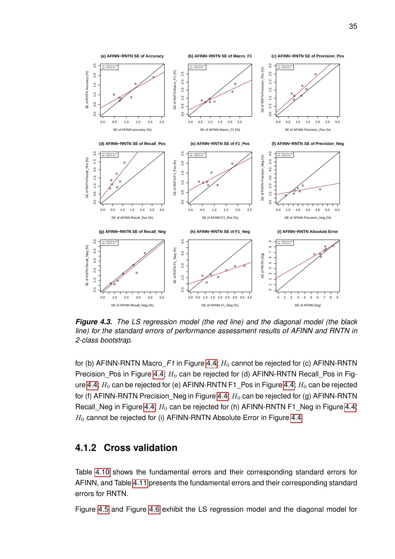<span id="page-45-0"></span>

*Figure 4.3. The LS regression model (the red line) and the diagonal model (the black line) for the standard errors of performance assessment results of AFINN and RNTN in 2-class bootstrap.*

for (b) AFINN-RNTN Macro $F1$  in Figure [4.4;](#page-46-0)  $H_0$  cannot be rejected for (c) AFINN-RNTN Precision\_Pos in Figure [4.4;](#page-46-0)  $H_0$  can be rejected for (d) AFINN-RNTN Recall\_Pos in Fig-ure [4.4;](#page-46-0)  $H_0$  can be rejected for (e) AFINN-RNTN F1\_Pos in Figure 4.4;  $H_0$  can be rejected for (f) AFINN-RNTN Precision\_Neg in Figure [4.4;](#page-46-0)  $H_0$  can be rejected for (g) AFINN-RNTN Recall\_Neg in Figure [4.4;](#page-46-0)  $H_0$  can be rejected for (h) AFINN-RNTN F1\_Neg in Figure 4.4;  $H_0$  cannot be rejected for (i) AFINN-RNTN Absolute Error in Figure [4.4.](#page-46-0)

#### **4.1.2 Cross validation**

Table [4.10](#page-47-0) shows the fundamental errors and their corresponding standard errors for AFINN, and Table [4.11](#page-47-1) presents the fundamental errors and their corresponding standard errors for RNTN.

Figure [4.5](#page-48-0) and Figure [4.6](#page-49-0) exhibit the LS regression model and the diagonal model for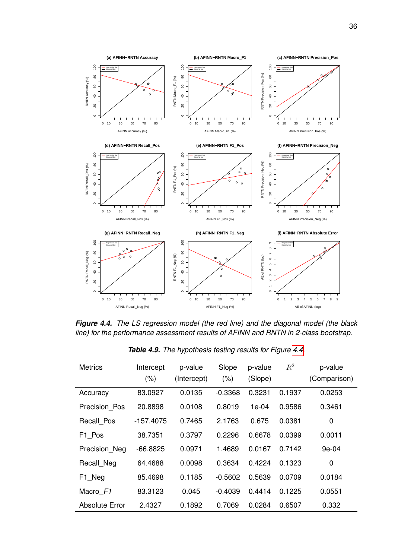<span id="page-46-0"></span>

*Figure 4.4. The LS regression model (the red line) and the diagonal model (the black line) for the performance assessment results of AFINN and RNTN in 2-class bootstrap.*

<span id="page-46-1"></span>

| <b>Metrics</b>        | Intercept<br>(% ) | p-value<br>(Intercept) | Slope<br>(% ) | p-value<br>(Slope) | $R^2$  | p-value<br>(Comparison) |
|-----------------------|-------------------|------------------------|---------------|--------------------|--------|-------------------------|
| Accuracy              | 83.0927           | 0.0135                 | $-0.3368$     | 0.3231             | 0.1937 | 0.0253                  |
| Precision Pos         | 20.8898           | 0.0108                 | 0.8019        | 1e-04              | 0.9586 | 0.3461                  |
| Recall Pos            | $-157.4075$       | 0.7465                 | 2.1763        | 0.675              | 0.0381 | 0                       |
| F1_Pos                | 38.7351           | 0.3797                 | 0.2296        | 0.6678             | 0.0399 | 0.0011                  |
| Precision Neg         | $-66.8825$        | 0.0971                 | 1.4689        | 0.0167             | 0.7142 | $9e-04$                 |
| Recall_Neg            | 64.4688           | 0.0098                 | 0.3634        | 0.4224             | 0.1323 | 0                       |
| F1 Neg                | 85.4698           | 0.1185                 | $-0.5602$     | 0.5639             | 0.0709 | 0.0184                  |
| Macro F1              | 83.3123           | 0.045                  | $-0.4039$     | 0.4414             | 0.1225 | 0.0551                  |
| <b>Absolute Error</b> | 2.4327            | 0.1892                 | 0.7069        | 0.0284             | 0.6507 | 0.332                   |

*Table 4.9. The hypothesis testing results for Figure [4.4.](#page-46-0)*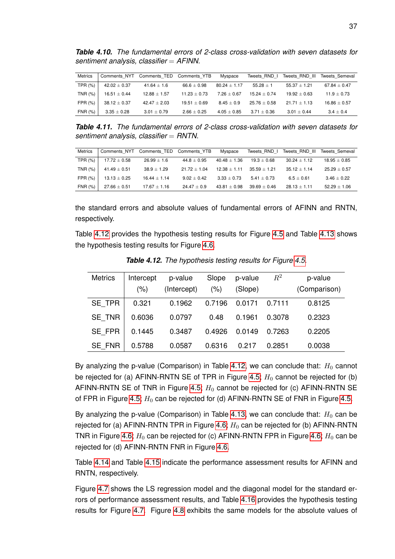<span id="page-47-0"></span>*Table 4.10. The fundamental errors of 2-class cross-validation with seven datasets for sentiment analysis, classifier* = *AFINN.*

| <b>Metrics</b> | Comments NYT     | Comments TED    | Comments YTB   | Myspace          | Tweets RND I   | Tweets RND III | Tweets Semeval   |
|----------------|------------------|-----------------|----------------|------------------|----------------|----------------|------------------|
| TPR (%)        | $42.02 \pm 0.37$ | $41.64 \pm 1.6$ | $66.6 + 0.98$  | $80.24 \pm 1.17$ | $55.28 + 1$    | $55.37 + 1.21$ | $67.84 \pm 0.47$ |
| TNR (%)        | $16.51 \pm 0.44$ | $12.88 + 1.57$  | $11.23 + 0.73$ | $7.26 + 0.67$    | $15.24 + 0.74$ | $19.92 + 0.63$ | $11.9 + 0.73$    |
| FPR (%)        | $38.12 \pm 0.37$ | $42.47 + 2.03$  | $19.51 + 0.69$ | $8.45 + 0.9$     | $25.76 + 0.58$ | $21.71 + 1.13$ | $16.86 + 0.57$   |
| FNR (%)        | $3.35\pm0.28$    | $3.01 \pm 0.79$ | $2.66 + 0.25$  | $4.05 + 0.85$    | $3.71 + 0.36$  | $3.01 + 0.44$  | $3.4 + 0.4$      |

<span id="page-47-1"></span>*Table 4.11. The fundamental errors of 2-class cross-validation with seven datasets for sentiment analysis, classifier* = *RNTN.*

| <b>Metrics</b> | Comments NYT     | Comments TED     | Comments YTB   | Myspace          | Tweets RND I    | Tweets RND III | Tweets Semeval   |
|----------------|------------------|------------------|----------------|------------------|-----------------|----------------|------------------|
| TPR (%)        | $17.72 \pm 0.58$ | $26.99 + 1.6$    | $44.8 + 0.95$  | $40.48 + 1.36$   | $19.3 + 0.68$   | $30.24 + 1.12$ | $18.95 + 0.85$   |
| TNR (%)        | $41.49 \pm 0.51$ | $38.9 + 1.29$    | $21.72 + 1.04$ | $12.38 + 1.11$   | $35.59 + 1.21$  | $35.12 + 1.14$ | $25.29 + 0.57$   |
| FPR(%)         | $13.13 \pm 0.25$ | $16.44 + 1.14$   | $9.02 + 0.42$  | $3.33 + 0.73$    | $5.41 \pm 0.73$ | $6.5 + 0.61$   | $3.46 \pm 0.22$  |
| <b>FNR (%)</b> | $27.66 + 0.51$   | $17.67 \pm 1.16$ | $24.47 + 0.9$  | $43.81 \pm 0.98$ | $39.69 + 0.46$  | $28.13 + 1.11$ | $52.29 \pm 1.06$ |

the standard errors and absolute values of fundamental errors of AFINN and RNTN, respectively.

Table [4.12](#page-47-2) provides the hypothesis testing results for Figure [4.5](#page-48-0) and Table [4.13](#page-48-1) shows the hypothesis testing results for Figure [4.6.](#page-49-0)

<span id="page-47-2"></span>

| <b>Metrics</b> | Intercept | p-value     | Slope   | p-value | $R^2$  | p-value      |
|----------------|-----------|-------------|---------|---------|--------|--------------|
|                | $(\% )$   | (Intercept) | $(\% )$ | (Slope) |        | (Comparison) |
| SE TPR         | 0.321     | 0.1962      | 0.7196  | 0.0171  | 0.7111 | 0.8125       |
| <b>SE TNR</b>  | 0.6036    | 0.0797      | 0.48    | 0.1961  | 0.3078 | 0.2323       |
| SE FPR         | 0.1445    | 0.3487      | 0.4926  | 0.0149  | 0.7263 | 0.2205       |
| <b>SE FNR</b>  | 0.5788    | 0.0587      | 0.6316  | 0.217   | 0.2851 | 0.0038       |

*Table 4.12. The hypothesis testing results for Figure [4.5.](#page-48-0)*

By analyzing the p-value (Comparison) in Table [4.12,](#page-47-2) we can conclude that:  $H_0$  cannot be rejected for (a) AFINN-RNTN SE of TPR in Figure [4.5;](#page-48-0)  $H_0$  cannot be rejected for (b) AFINN-RNTN SE of TNR in Figure [4.5;](#page-48-0)  $H_0$  cannot be rejected for (c) AFINN-RNTN SE of FPR in Figure [4.5;](#page-48-0)  $H_0$  can be rejected for (d) AFINN-RNTN SE of FNR in Figure [4.5.](#page-48-0)

By analyzing the p-value (Comparison) in Table [4.13,](#page-48-1) we can conclude that:  $H_0$  can be rejected for (a) AFINN-RNTN TPR in Figure [4.6;](#page-49-0)  $H_0$  can be rejected for (b) AFINN-RNTN TNR in Figure [4.6;](#page-49-0)  $H_0$  can be rejected for (c) AFINN-RNTN FPR in Figure 4.6;  $H_0$  can be rejected for (d) AFINN-RNTN FNR in Figure [4.6.](#page-49-0)

Table [4.14](#page-49-1) and Table [4.15](#page-50-0) indicate the performance assessment results for AFINN and RNTN, respectively.

Figure [4.7](#page-51-0) shows the LS regression model and the diagonal model for the standard errors of performance assessment results, and Table [4.16](#page-50-1) provides the hypothesis testing results for Figure [4.7.](#page-51-0) Figure [4.8](#page-52-0) exhibits the same models for the absolute values of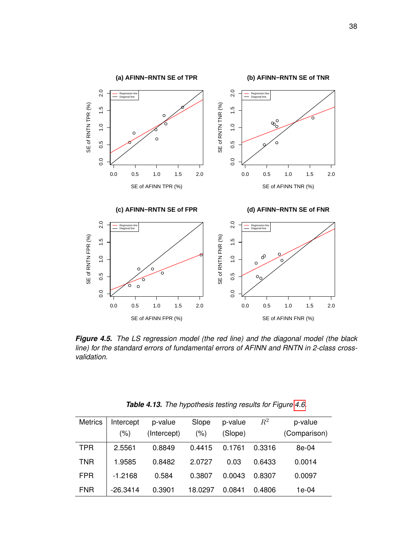<span id="page-48-0"></span>

*Figure 4.5. The LS regression model (the red line) and the diagonal model (the black line) for the standard errors of fundamental errors of AFINN and RNTN in 2-class crossvalidation.*

<span id="page-48-1"></span>

| <b>Metrics</b> | Intercept | p-value     | Slope   | p-value | $\,R^2$ | p-value      |
|----------------|-----------|-------------|---------|---------|---------|--------------|
|                | (%)       | (Intercept) | $(\% )$ | (Slope) |         | (Comparison) |
| <b>TPR</b>     | 2.5561    | 0.8849      | 0.4415  | 0.1761  | 0.3316  | 8e-04        |
| <b>TNR</b>     | 1.9585    | 0.8482      | 2.0727  | 0.03    | 0.6433  | 0.0014       |
| <b>FPR</b>     | $-1.2168$ | 0.584       | 0.3807  | 0.0043  | 0.8307  | 0.0097       |
| <b>FNR</b>     | -26.3414  | 0.3901      | 18.0297 | 0.0841  | 0.4806  | 1e-04        |

*Table 4.13. The hypothesis testing results for Figure [4.6.](#page-49-0)*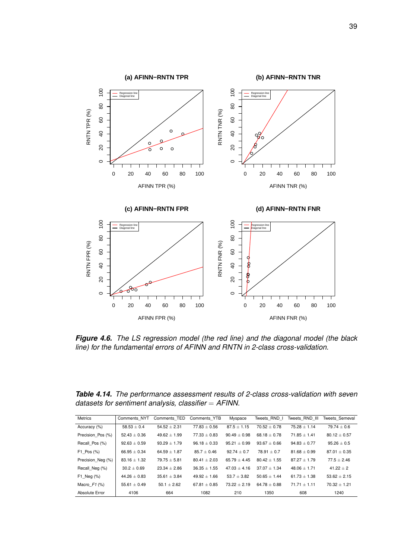<span id="page-49-0"></span>

*Figure 4.6. The LS regression model (the red line) and the diagonal model (the black line) for the fundamental errors of AFINN and RNTN in 2-class cross-validation.*

<span id="page-49-1"></span>*Table 4.14. The performance assessment results of 2-class cross-validation with seven datasets for sentiment analysis, classifier* = *AFINN.*

| Metrics           | Comments NYT     | Comments TED     | Comments YTB     | Myspace          | Tweets RND I     | Tweets RND III   | <b>Tweets Semeval</b> |
|-------------------|------------------|------------------|------------------|------------------|------------------|------------------|-----------------------|
| Accuracy (%)      | $58.53 \pm 0.4$  | $54.52 \pm 2.31$ | $77.83 \pm 0.56$ | $87.5 + 1.15$    | $70.52 + 0.78$   | $75.28 + 1.14$   | $79.74 \pm 0.6$       |
| Precision Pos (%) | $52.43 \pm 0.36$ | $49.62 \pm 1.99$ | $77.33 \pm 0.83$ | $90.49 \pm 0.98$ | $68.18 \pm 0.78$ | $71.85 \pm 1.41$ | $80.12 \pm 0.57$      |
| Recall Pos (%)    | $92.63 + 0.59$   | $93.29 \pm 1.79$ | $96.18 + 0.33$   | $95.21 + 0.99$   | $93.67 + 0.66$   | $94.83 + 0.77$   | $95.26 + 0.5$         |
| $F1$ Pos $(\%)$   | $66.95 \pm 0.34$ | $64.59 \pm 1.87$ | $85.7 \pm 0.46$  | $92.74 \pm 0.7$  | $78.91 \pm 0.7$  | $81.68 \pm 0.99$ | $87.01 \pm 0.35$      |
| Precision Neg (%) | $83.16 \pm 1.32$ | $79.75 \pm 5.81$ | $80.41 \pm 2.03$ | $65.79 + 4.45$   | $80.42 + 1.55$   | $87.27 + 1.79$   | $77.5 + 2.46$         |
| Recall Neg (%)    | $30.2 \pm 0.69$  | $23.34 \pm 2.86$ | $36.35 \pm 1.55$ | $47.03 \pm 4.16$ | $37.07 + 1.34$   | $48.06 \pm 1.71$ | $41.22 + 2$           |
| $F1$ Neg $(%)$    | $44.26 + 0.83$   | $35.61 \pm 3.84$ | $49.92 + 1.66$   | $53.7 + 3.82$    | $50.65 \pm 1.44$ | $61.73 \pm 1.38$ | $53.62 \pm 2.15$      |
| Macro $F1$ (%)    | 55.61 $\pm$ 0.49 | $50.1 \pm 2.62$  | $67.81 + 0.85$   | $73.22 + 2.19$   | $64.78 + 0.88$   | $71.71 + 1.11$   | $70.32 \pm 1.21$      |
| Absolute Error    | 4106             | 664              | 1082             | 210              | 1350             | 608              | 1240                  |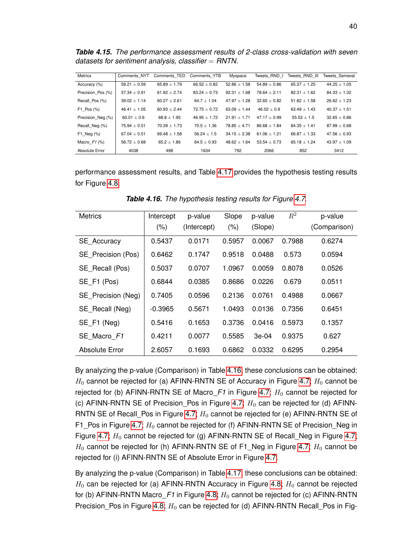<span id="page-50-0"></span>*Table 4.15. The performance assessment results of 2-class cross-validation with seven datasets for sentiment analysis, classifier* = *RNTN.*

| <b>Metrics</b>    | Comments NYT     | Comments TED     | Comments YTB    | Myspace          | Tweets RND I     | Tweets RND III   | <b>Tweets Semeval</b> |
|-------------------|------------------|------------------|-----------------|------------------|------------------|------------------|-----------------------|
| Accuracy (%)      | $59.21 \pm 0.59$ | $65.89 \pm 1.79$ | $66.52 + 0.82$  | $52.86 \pm 1.58$ | $54.89 + 0.86$   | $65.37 + 1.25$   | $44.25 \pm 1.05$      |
| Precision Pos (%) | $57.34 \pm 0.91$ | $61.92 + 2.74$   | $83.24 + 0.73$  | $92.31 + 1.68$   | $78.64 \pm 2.11$ | $82.31 \pm 1.62$ | $84.33 \pm 1.32$      |
| Recall Pos (%)    | $39.02 \pm 1.14$ | $60.27 \pm 2.61$ | $64.7 + 1.04$   | $47.97 + 1.28$   | $32.65 \pm 0.82$ | $51.82 \pm 1.58$ | $26.62 \pm 1.23$      |
| $F1$ Pos $(\%)$   | $46.41 \pm 1.05$ | $60.93 + 2.44$   | $72.75 + 0.72$  | $63.09 + 1.44$   | $46.02 + 0.9$    | $63.49 \pm 1.43$ | $40.37 + 1.51$        |
| Precision Neg (%) | $60.01 \pm 0.6$  | $68.8 \pm 1.95$  | $46.95 + 1.72$  | $21.91 + 1.71$   | $47.17 + 0.99$   | $55.53 \pm 1.5$  | $32.65 \pm 0.86$      |
| Recall Neg (%)    | $75.94 \pm 0.51$ | $70.39 \pm 1.73$ | $70.5 \pm 1.36$ | $78.85 + 4.71$   | $86.68 + 1.84$   | $84.35 + 1.41$   | $87.99 \pm 0.68$      |
| F1 Neg $(\%)$     | $67.04 \pm 0.51$ | $69.48 \pm 1.58$ | $56.24 \pm 1.5$ | $34.15 \pm 2.38$ | $61.06 \pm 1.21$ | $66.87 \pm 1.33$ | $47.56 \pm 0.93$      |
| Macro $F1$ (%)    | $56.72 + 0.68$   | $65.2 \pm 1.86$  | $64.5 + 0.93$   | $48.62 + 1.64$   | $53.54 + 0.73$   | $65.18 + 1.24$   | $43.97 \pm 1.09$      |
| Absolute Error    | 4038             | 498              | 1634            | 792              | 2066             | 852              | 3412                  |

performance assessment results, and Table [4.17](#page-52-1) provides the hypothesis testing results for Figure [4.8.](#page-52-0)

<span id="page-50-1"></span>

| Intercept | p-value     | Slope   | p-value | $R^2$  | p-value      |
|-----------|-------------|---------|---------|--------|--------------|
| (% )      | (Intercept) | $(\% )$ | (Slope) |        | (Comparison) |
| 0.5437    | 0.0171      | 0.5957  | 0.0067  | 0.7988 | 0.6274       |
| 0.6462    | 0.1747      | 0.9518  | 0.0488  | 0.573  | 0.0594       |
| 0.5037    | 0.0707      | 1.0967  | 0.0059  | 0.8078 | 0.0526       |
| 0.6844    | 0.0385      | 0.8686  | 0.0226  | 0.679  | 0.0511       |
| 0.7405    | 0.0596      | 0.2136  | 0.0761  | 0.4988 | 0.0667       |
| $-0.3965$ | 0.5671      | 1.0493  | 0.0136  | 0.7356 | 0.6451       |
| 0.5416    | 0.1653      | 0.3736  | 0.0416  | 0.5973 | 0.1357       |
| 0.4211    | 0.0077      | 0.5585  | $3e-04$ | 0.9375 | 0.627        |
| 2.6057    | 0.1693      | 0.6862  | 0.0332  | 0.6295 | 0.2954       |
|           |             |         |         |        |              |

*Table 4.16. The hypothesis testing results for Figure [4.7.](#page-51-0)*

By analyzing the p-value (Comparison) in Table [4.16,](#page-50-1) these conclusions can be obtained:  $H_0$  cannot be rejected for (a) AFINN-RNTN SE of Accuracy in Figure [4.7;](#page-51-0)  $H_0$  cannot be rejected for (b) AFINN-RNTN SE of Macro $F1$  in Figure [4.7;](#page-51-0)  $H_0$  cannot be rejected for (c) AFINN-RNTN SE of Precision Pos in Figure [4.7;](#page-51-0)  $H_0$  can be rejected for (d) AFINN-RNTN SE of Recall\_Pos in Figure [4.7;](#page-51-0)  $H_0$  cannot be rejected for (e) AFINN-RNTN SE of F1 Pos in Figure [4.7;](#page-51-0)  $H_0$  cannot be rejected for (f) AFINN-RNTN SE of Precision Neg in Figure [4.7;](#page-51-0)  $H_0$  cannot be rejected for (g) AFINN-RNTN SE of Recall\_Neg in Figure 4.7;  $H_0$  cannot be rejected for (h) AFINN-RNTN SE of F1\_Neg in Figure [4.7;](#page-51-0)  $H_0$  cannot be rejected for (i) AFINN-RNTN SE of Absolute Error in Figure [4.7.](#page-51-0)

By analyzing the p-value (Comparison) in Table [4.17,](#page-52-1) these conclusions can be obtained:  $H_0$  can be rejected for (a) AFINN-RNTN Accuracy in Figure [4.8;](#page-52-0)  $H_0$  cannot be rejected for (b) AFINN-RNTN Macro $F1$  in Figure [4.8;](#page-52-0)  $H_0$  cannot be rejected for (c) AFINN-RNTN Precision Pos in Figure [4.8;](#page-52-0)  $H_0$  can be rejected for (d) AFINN-RNTN Recall Pos in Fig-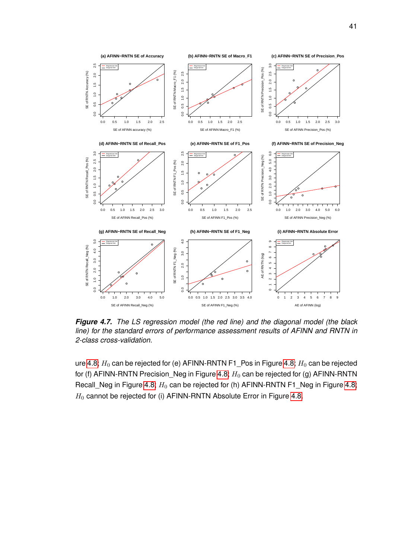<span id="page-51-0"></span>

*Figure 4.7. The LS regression model (the red line) and the diagonal model (the black line) for the standard errors of performance assessment results of AFINN and RNTN in 2-class cross-validation.*

ure [4.8;](#page-52-0)  $H_0$  can be rejected for (e) AFINN-RNTN F1\_Pos in Figure 4.8;  $H_0$  can be rejected for (f) AFINN-RNTN Precision\_Neg in Figure [4.8;](#page-52-0)  $H_0$  can be rejected for (g) AFINN-RNTN Recall\_Neg in Figure [4.8;](#page-52-0)  $H_0$  can be rejected for (h) AFINN-RNTN F1\_Neg in Figure 4.8;  $H_0$  cannot be rejected for (i) AFINN-RNTN Absolute Error in Figure [4.8.](#page-52-0)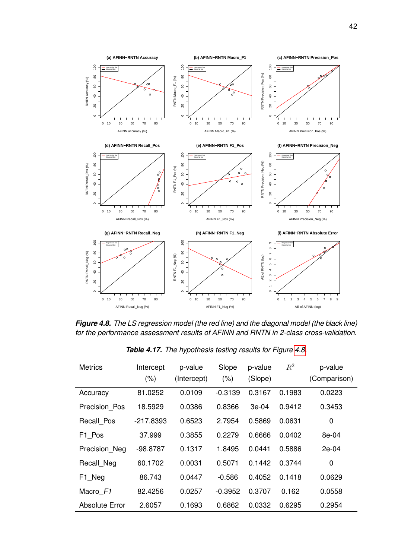<span id="page-52-0"></span>

*Figure 4.8. The LS regression model (the red line) and the diagonal model (the black line) for the performance assessment results of AFINN and RNTN in 2-class cross-validation.*

<span id="page-52-1"></span>

| <b>Metrics</b>        | Intercept<br>(% ) | p-value<br>(Intercept) | Slope<br>(% ) | p-value<br>(Slope) | $R^2$  | p-value<br>(Comparison) |
|-----------------------|-------------------|------------------------|---------------|--------------------|--------|-------------------------|
| Accuracy              | 81.0252           | 0.0109                 | $-0.3139$     | 0.3167             | 0.1983 | 0.0223                  |
| Precision Pos         | 18.5929           | 0.0386                 | 0.8366        | $3e-04$            | 0.9412 | 0.3453                  |
| Recall Pos            | $-217.8393$       | 0.6523                 | 2.7954        | 0.5869             | 0.0631 | $\mathbf 0$             |
| F1_Pos                | 37.999            | 0.3855                 | 0.2279        | 0.6666             | 0.0402 | 8e-04                   |
| Precision Neg         | -98.8787          | 0.1317                 | 1.8495        | 0.0441             | 0.5886 | $2e-04$                 |
| Recall Neg            | 60.1702           | 0.0031                 | 0.5071        | 0.1442             | 0.3744 | 0                       |
| F1 Neg                | 86.743            | 0.0447                 | $-0.586$      | 0.4052             | 0.1418 | 0.0629                  |
| Macro F1              | 82.4256           | 0.0257                 | $-0.3952$     | 0.3707             | 0.162  | 0.0558                  |
| <b>Absolute Error</b> | 2.6057            | 0.1693                 | 0.6862        | 0.0332             | 0.6295 | 0.2954                  |

*Table 4.17. The hypothesis testing results for Figure [4.8.](#page-52-0)*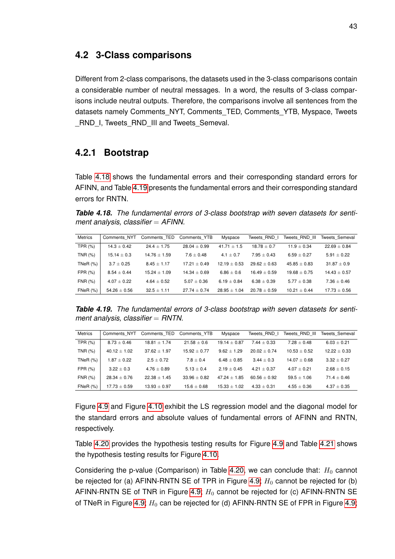#### **4.2 3-Class comparisons**

Different from 2-class comparisons, the datasets used in the 3-class comparisons contain a considerable number of neutral messages. In a word, the results of 3-class comparisons include neutral outputs. Therefore, the comparisons involve all sentences from the datasets namely Comments\_NYT, Comments\_TED, Comments\_YTB, Myspace, Tweets \_RND\_I, Tweets\_RND\_III and Tweets\_Semeval.

# **4.2.1 Bootstrap**

Table [4.18](#page-53-0) shows the fundamental errors and their corresponding standard errors for AFINN, and Table [4.19](#page-53-1) presents the fundamental errors and their corresponding standard errors for RNTN.

<span id="page-53-0"></span>*Table 4.18. The fundamental errors of 3-class bootstrap with seven datasets for sentiment analysis, classifier* = *AFINN.*

| <b>Metrics</b> | Comments NYT     | Comments TED    | Comments YTB     | Myspace          | Tweets RND I   | Tweets RND III | Tweets Semeval   |
|----------------|------------------|-----------------|------------------|------------------|----------------|----------------|------------------|
| TPR $(%)$      | $14.3 \pm 0.42$  | $24.4 + 1.75$   | $28.04 + 0.99$   | $41.71 + 1.5$    | $18.78 + 0.7$  | $11.9 + 0.34$  | $22.69 + 0.84$   |
| TNR (%)        | $15.14 \pm 0.3$  | $14.76 + 1.59$  | $7.6 + 0.48$     | $4.1 + 0.7$      | $7.95 + 0.43$  | $6.59 + 0.27$  | $5.91 + 0.22$    |
| TNeR $(%)$     | $3.7 \pm 0.25$   | $8.45 + 1.17$   | $17.21 + 0.49$   | $12.19 + 0.53$   | $29.62 + 0.63$ | $45.85 + 0.83$ | $31.87 + 0.9$    |
| FPR $(\%)$     | $8.54 + 0.44$    | $15.24 + 1.09$  | $14.34 + 0.69$   | $6.86 + 0.6$     | $16.49 + 0.59$ | $19.68 + 0.75$ | $14.43 + 0.57$   |
| <b>FNR (%)</b> | $4.07 + 0.22$    | $4.64 + 0.52$   | $5.07 + 0.36$    | $6.19 + 0.84$    | $6.38 + 0.39$  | $5.77 + 0.38$  | $7.36 + 0.46$    |
| $FNeR$ $(\%)$  | $54.26 \pm 0.56$ | $32.5 \pm 1.11$ | $27.74 \pm 0.74$ | $28.95 \pm 1.04$ | $20.78 + 0.59$ | $10.21 + 0.44$ | $17.73 \pm 0.56$ |

<span id="page-53-1"></span>*Table 4.19. The fundamental errors of 3-class bootstrap with seven datasets for sentiment analysis, classifier* = *RNTN.*

| <b>Metrics</b> | Comments NYT     | Comments TED     | Comments YTB    | Myspace          | Tweets RND I     | Tweets RND III  | Tweets Semeval  |
|----------------|------------------|------------------|-----------------|------------------|------------------|-----------------|-----------------|
| TPR $(%)$      | $8.73 \pm 0.46$  | $18.81 + 1.74$   | $21.58 \pm 0.6$ | $19.14 + 0.87$   | $7.44 + 0.33$    | $7.28 + 0.48$   | $6.03 \pm 0.21$ |
| TNR (%)        | $40.12 \pm 1.02$ | $37.62 + 1.97$   | $15.92 + 0.77$  | $9.62 + 1.29$    | $20.02 \pm 0.74$ | $10.53 + 0.52$  | $12.22 + 0.33$  |
| TNeR $(%)$     | $1.87 + 0.22$    | $2.5 + 0.72$     | $7.8 + 0.4$     | $6.48 + 0.85$    | $3.44 + 0.3$     | $14.07 + 0.68$  | $3.32 + 0.27$   |
| FPR (%)        | $3.22 \pm 0.3$   | $4.76 + 0.89$    | $5.13 + 0.4$    | $2.19 + 0.45$    | $4.21 + 0.37$    | $4.07 + 0.21$   | $2.68 + 0.15$   |
| FNR (%)        | $28.34 \pm 0.76$ | $22.38 + 1.45$   | $33.96 + 0.82$  | $47.24 + 1.85$   | $60.56 + 0.92$   | $59.5 + 1.06$   | $71.4 + 0.46$   |
| FNeR $(%)$     | $17.73 \pm 0.59$ | $13.93 \pm 0.97$ | $15.6 + 0.68$   | $15.33 \pm 1.02$ | $4.33 + 0.31$    | $4.55 \pm 0.36$ | $4.37 + 0.35$   |

Figure [4.9](#page-54-0) and Figure [4.10](#page-56-0) exhibit the LS regression model and the diagonal model for the standard errors and absolute values of fundamental errors of AFINN and RNTN, respectively.

Table [4.20](#page-55-0) provides the hypothesis testing results for Figure [4.9](#page-54-0) and Table [4.21](#page-55-1) shows the hypothesis testing results for Figure [4.10.](#page-56-0)

Considering the p-value (Comparison) in Table [4.20,](#page-55-0) we can conclude that:  $H_0$  cannot be rejected for (a) AFINN-RNTN SE of TPR in Figure [4.9;](#page-54-0)  $H_0$  cannot be rejected for (b) AFINN-RNTN SE of TNR in Figure [4.9;](#page-54-0)  $H_0$  cannot be rejected for (c) AFINN-RNTN SE of TNeR in Figure [4.9;](#page-54-0)  $H_0$  can be rejected for (d) AFINN-RNTN SE of FPR in Figure 4.9;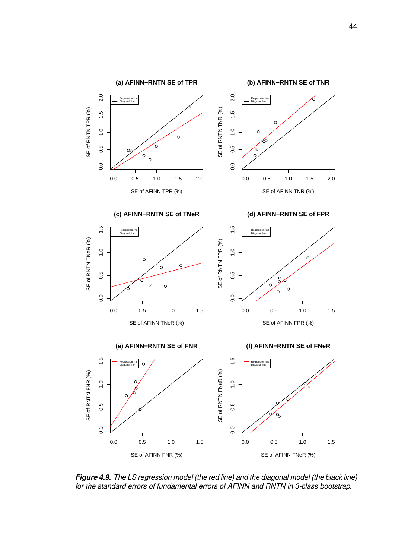<span id="page-54-0"></span>

*Figure 4.9. The LS regression model (the red line) and the diagonal model (the black line) for the standard errors of fundamental errors of AFINN and RNTN in 3-class bootstrap.*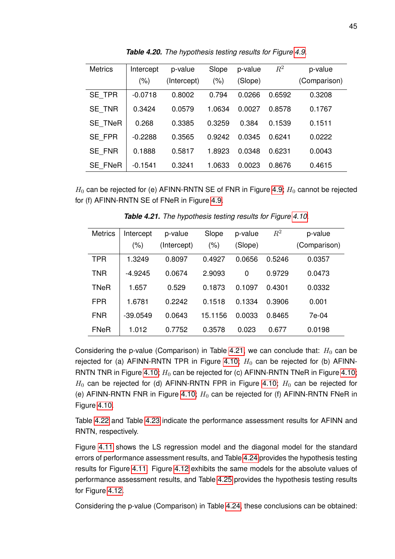<span id="page-55-0"></span>

| <b>Metrics</b> | Intercept<br>(% ) | p-value<br>(Intercept) | Slope<br>(% ) | p-value<br>(Slope) | $R^2$  | p-value<br>(Comparison) |
|----------------|-------------------|------------------------|---------------|--------------------|--------|-------------------------|
| SE TPR         | $-0.0718$         | 0.8002                 | 0.794         | 0.0266             | 0.6592 | 0.3208                  |
| SE TNR         | 0.3424            | 0.0579                 | 1.0634        | 0.0027             | 0.8578 | 0.1767                  |
| <b>SE TNeR</b> | 0.268             | 0.3385                 | 0.3259        | 0.384              | 0.1539 | 0.1511                  |
| SE_FPR         | $-0.2288$         | 0.3565                 | 0.9242        | 0.0345             | 0.6241 | 0.0222                  |
| SE FNR         | 0.1888            | 0.5817                 | 1.8923        | 0.0348             | 0.6231 | 0.0043                  |
| <b>SE FNeR</b> | $-0.1541$         | 0.3241                 | 1.0633        | 0.0023             | 0.8676 | 0.4615                  |

*Table 4.20. The hypothesis testing results for Figure [4.9.](#page-54-0)*

<span id="page-55-1"></span> $H_0$  can be rejected for (e) AFINN-RNTN SE of FNR in Figure [4.9;](#page-54-0)  $H_0$  cannot be rejected for (f) AFINN-RNTN SE of FNeR in Figure [4.9.](#page-54-0)

| <b>Metrics</b> | Intercept<br>(%) | p-value<br>(Intercept) | Slope<br>(% ) | p-value<br>(Slope) | $R^2$  | p-value<br>(Comparison) |
|----------------|------------------|------------------------|---------------|--------------------|--------|-------------------------|
| <b>TPR</b>     | 1.3249           | 0.8097                 | 0.4927        | 0.0656             | 0.5246 | 0.0357                  |
| <b>TNR</b>     | $-4.9245$        | 0.0674                 | 2.9093        | 0                  | 0.9729 | 0.0473                  |
| <b>TNeR</b>    | 1.657            | 0.529                  | 0.1873        | 0.1097             | 0.4301 | 0.0332                  |
| FPR            | 1.6781           | 0.2242                 | 0.1518        | 0.1334             | 0.3906 | 0.001                   |
| <b>FNR</b>     | $-39.0549$       | 0.0643                 | 15.1156       | 0.0033             | 0.8465 | 7e-04                   |
| <b>FNeR</b>    | 1.012            | 0.7752                 | 0.3578        | 0.023              | 0.677  | 0.0198                  |

*Table 4.21. The hypothesis testing results for Figure [4.10.](#page-56-0)*

Considering the p-value (Comparison) in Table [4.21,](#page-55-1) we can conclude that:  $H_0$  can be rejected for (a) AFINN-RNTN TPR in Figure [4.10;](#page-56-0)  $H_0$  can be rejected for (b) AFINN-RNTN TNR in Figure [4.10;](#page-56-0)  $H_0$  can be rejected for (c) AFINN-RNTN TNeR in Figure 4.10;  $H_0$  can be rejected for (d) AFINN-RNTN FPR in Figure [4.10;](#page-56-0)  $H_0$  can be rejected for (e) AFINN-RNTN FNR in Figure [4.10;](#page-56-0)  $H_0$  can be rejected for (f) AFINN-RNTN FNeR in Figure [4.10.](#page-56-0)

Table [4.22](#page-58-0) and Table [4.23](#page-58-1) indicate the performance assessment results for AFINN and RNTN, respectively.

Figure [4.11](#page-57-0) shows the LS regression model and the diagonal model for the standard errors of performance assessment results, and Table [4.24](#page-59-0) provides the hypothesis testing results for Figure [4.11.](#page-57-0) Figure [4.12](#page-60-0) exhibits the same models for the absolute values of performance assessment results, and Table [4.25](#page-59-1) provides the hypothesis testing results for Figure [4.12.](#page-60-0)

Considering the p-value (Comparison) in Table [4.24,](#page-59-0) these conclusions can be obtained: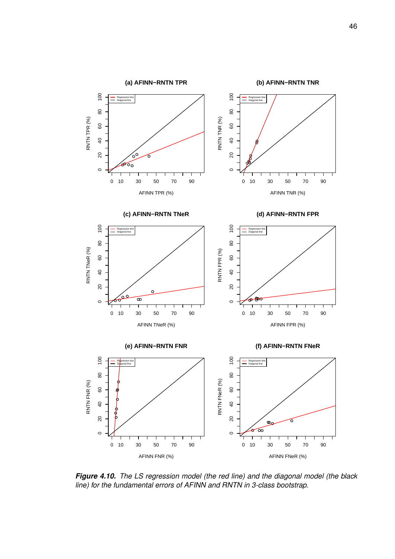<span id="page-56-0"></span>

*Figure 4.10. The LS regression model (the red line) and the diagonal model (the black line) for the fundamental errors of AFINN and RNTN in 3-class bootstrap.*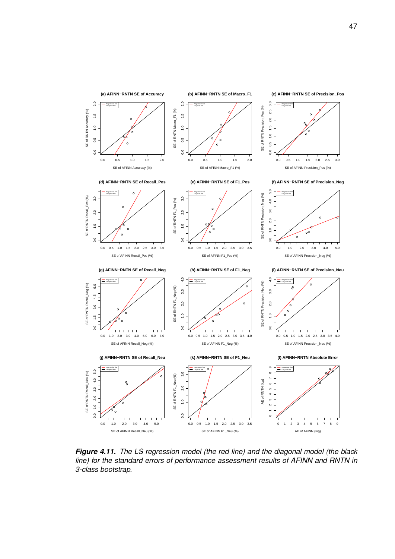<span id="page-57-0"></span>

*Figure 4.11. The LS regression model (the red line) and the diagonal model (the black line) for the standard errors of performance assessment results of AFINN and RNTN in 3-class bootstrap.*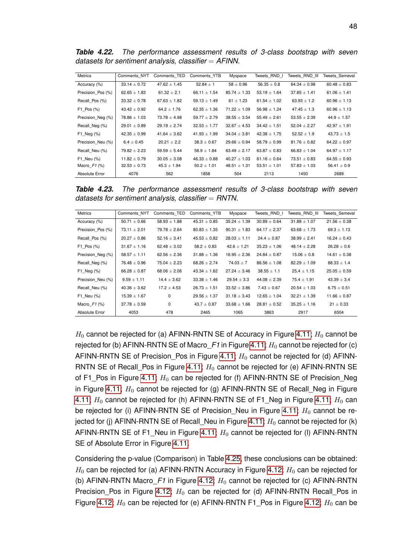| <b>Metrics</b>    | Comments NYT     | Comments TED     | Comments YTB     | Myspace          | Tweets RND I     | Tweets RND III   | Tweets Semeval   |
|-------------------|------------------|------------------|------------------|------------------|------------------|------------------|------------------|
| Accuracy (%)      | $33.14 \pm 0.72$ | $47.62 \pm 1.45$ | 52.84 $\pm$ 1    | $58 \pm 0.96$    | $56.35 \pm 0.8$  | $64.34 \pm 0.98$ | $60.48 \pm 0.83$ |
| Precision Pos (%) | $62.65 \pm 1.83$ | 61.32 $\pm$ 2.1  | 66.11 $\pm$ 1.54 | $85.74 \pm 1.33$ | $53.19 \pm 1.64$ | $37.85 \pm 1.41$ | $61.06 \pm 1.41$ |
| Recall Pos (%)    | $33.32 \pm 0.78$ | $67.63 \pm 1.82$ | $59.13 \pm 1.49$ | $61 \pm 1.23$    | $61.54 \pm 1.02$ | $63.93 \pm 1.2$  | $60.96 \pm 1.13$ |
| $F1$ Pos $(\%)$   | $43.42 \pm 0.92$ | 64.2 $\pm$ 1.76  | $62.35 \pm 1.36$ | $71.22 \pm 1.09$ | $56.98 \pm 1.24$ | $47.45 \pm 1.3$  | $60.96 \pm 1.13$ |
| Precision Neg (%) | $78.86 \pm 1.03$ | $73.78 \pm 4.98$ | $59.77 \pm 2.79$ | $38.55 \pm 3.54$ | $55.49 \pm 2.61$ | $53.55 \pm 2.39$ | $44.9 \pm 1.57$  |
| Recall Neg (%)    | $29.01 \pm 0.89$ | $29.19 \pm 2.74$ | $32.53 \pm 1.77$ | $32.67 \pm 4.53$ | $34.42 \pm 1.51$ | $52.04 \pm 2.27$ | $42.97 \pm 1.91$ |
| $F1$ Neg $(\%)$   | $42.35 \pm 0.99$ | $41.64 \pm 3.62$ | $41.93 \pm 1.99$ | $34.04 \pm 3.81$ | $42.38 \pm 1.75$ | $52.52 \pm 1.9$  | $43.73 \pm 1.5$  |
| Precision Neu (%) | $6.4 \pm 0.45$   | $20.21 \pm 2.2$  | $38.3 \pm 0.67$  | $29.66 \pm 0.94$ | $58.79 \pm 0.99$ | $81.76 \pm 0.82$ | $64.22 \pm 0.97$ |
| Recall Neu (%)    | $79.82 \pm 2.23$ | $59.59 \pm 5.44$ | $58.9 \pm 1.84$  | $63.49 \pm 2.17$ | $63.87 \pm 0.83$ | $66.83 \pm 1.04$ | $64.97 \pm 1.17$ |
| F1 Neu (%)        | $11.82 \pm 0.79$ | $30.05 \pm 3.08$ | $46.33 \pm 0.88$ | $40.27 \pm 1.03$ | $61.16 \pm 0.64$ | $73.51 \pm 0.83$ | $64.55 \pm 0.93$ |
| Macro $F1$ (%)    | $32.53 \pm 0.73$ | $45.3 \pm 1.94$  | $50.2 \pm 1.01$  | $48.51 \pm 1.31$ | $53.51 \pm 1.01$ | $57.83 \pm 1.03$ | $56.41 \pm 0.9$  |
| Absolute Error    | 4076             | 562              | 1858             | 504              | 2113             | 1450             | 2689             |

<span id="page-58-0"></span>*Table 4.22. The performance assessment results of 3-class bootstrap with seven datasets for sentiment analysis, classifier* = *AFINN.*

<span id="page-58-1"></span>*Table 4.23. The performance assessment results of 3-class bootstrap with seven datasets for sentiment analysis, classifier* = *RNTN.*

| <b>Metrics</b>    | Comments NYT     | Comments TED     | Comments YTB     | Myspace          | Tweets RND I     | Tweets RND III   | <b>Tweets Semeval</b> |
|-------------------|------------------|------------------|------------------|------------------|------------------|------------------|-----------------------|
| Accuracy (%)      | $50.71 \pm 0.66$ | $58.93 \pm 1.88$ | $45.31 \pm 0.85$ | $35.24 \pm 1.39$ | $30.89 \pm 0.64$ | $31.88 \pm 1.07$ | $21.56 \pm 0.38$      |
| Precision Pos (%) | $73.11 \pm 2.01$ | $79.78 \pm 2.64$ | $80.83 \pm 1.35$ | $90.31 \pm 1.83$ | $64.17 \pm 2.37$ | $63.68 \pm 1.73$ | $69.3 \pm 1.13$       |
| Recall Pos (%)    | $20.27 \pm 0.86$ | $52.16 \pm 3.41$ | $45.53 \pm 0.82$ | $28.03 \pm 1.11$ | $24.4 + 0.87$    | $38.99 \pm 2.41$ | $16.24 \pm 0.43$      |
| $F1$ Pos $(\%)$   | $31.67 \pm 1.16$ | $62.48 \pm 3.02$ | $58.2 \pm 0.83$  | $42.6 \pm 1.21$  | $35.23 \pm 1.06$ | $48.14 \pm 2.28$ | $26.28 \pm 0.6$       |
| Precision Neg (%) | $58.57 \pm 1.11$ | $62.56 \pm 2.36$ | $31.88 \pm 1.36$ | $16.95 \pm 2.36$ | $24.84 \pm 0.87$ | $15.06 \pm 0.8$  | $14.61 \pm 0.38$      |
| Recall Neg (%)    | $76.48 \pm 0.96$ | $75.04 \pm 2.23$ | $68.26 \pm 2.74$ | $74.03 \pm 7$    | $86.56 \pm 1.08$ | $82.29 \pm 1.09$ | $88.33 \pm 1.4$       |
| F1 Neg $(\%)$     | $66.28 \pm 0.87$ | $68.06 \pm 2.06$ | $43.34 \pm 1.62$ | $27.24 \pm 3.46$ | $38.55 \pm 1.1$  | $25.4 \pm 1.15$  | $25.05 \pm 0.59$      |
| Precision Neu (%) | $9.59 \pm 1.11$  | $14.4 \pm 3.62$  | $33.38 \pm 1.46$ | $29.54 \pm 3.3$  | $44.08 \pm 2.39$ | $75.4 \pm 1.91$  | $43.39 \pm 3.4$       |
| Recall Neu (%)    | $40.36 \pm 3.62$ | $17.2 \pm 4.53$  | $26.73 \pm 1.51$ | $33.52 \pm 3.86$ | $7.43 \pm 0.67$  | $20.54 \pm 1.03$ | $6.75 \pm 0.51$       |
| F1 Neu (%)        | $15.39 \pm 1.67$ | $\Omega$         | $29.56 \pm 1.37$ | $31.18 \pm 3.43$ | $12.65 \pm 1.04$ | $32.21 \pm 1.39$ | $11.66 \pm 0.87$      |
| Macro $F1$ (%)    | $37.78 \pm 0.59$ | $\Omega$         | $43.7 \pm 0.87$  | $33.68 \pm 1.66$ | $28.81 \pm 0.52$ | $35.25 \pm 1.16$ | $21 \pm 0.33$         |
| Absolute Error    | 4053             | 478              | 2465             | 1065             | 3863             | 2917             | 6504                  |

 $H_0$  cannot be rejected for (a) AFINN-RNTN SE of Accuracy in Figure [4.11;](#page-57-0)  $H_0$  cannot be rejected for (b) AFINN-RNTN SE of Macro $_F1$  in Figure [4.11;](#page-57-0)  $H_0$  cannot be rejected for (c) AFINN-RNTN SE of Precision Pos in Figure [4.11;](#page-57-0)  $H_0$  cannot be rejected for (d) AFINN-RNTN SE of Recall\_Pos in Figure [4.11;](#page-57-0)  $H_0$  cannot be rejected for (e) AFINN-RNTN SE of F1\_Pos in Figure [4.11;](#page-57-0)  $H_0$  can be rejected for (f) AFINN-RNTN SE of Precision\_Neg in Figure [4.11;](#page-57-0)  $H_0$  cannot be rejected for (g) AFINN-RNTN SE of Recall\_Neg in Figure [4.11;](#page-57-0)  $H_0$  cannot be rejected for (h) AFINN-RNTN SE of F1\_Neg in Figure [4.11;](#page-57-0)  $H_0$  can be rejected for (i) AFINN-RNTN SE of Precision Neu in Figure [4.11;](#page-57-0)  $H_0$  cannot be re-jected for (j) AFINN-RNTN SE of Recall\_Neu in Figure [4.11;](#page-57-0)  $H_0$  cannot be rejected for (k) AFINN-RNTN SE of F1\_Neu in Figure [4.11;](#page-57-0)  $H_0$  cannot be rejected for (I) AFINN-RNTN SE of Absolute Error in Figure [4.11.](#page-57-0)

Considering the p-value (Comparison) in Table [4.25,](#page-59-1) these conclusions can be obtained:  $H_0$  can be rejected for (a) AFINN-RNTN Accuracy in Figure [4.12;](#page-60-0)  $H_0$  can be rejected for (b) AFINN-RNTN Macro $F1$  in Figure [4.12;](#page-60-0)  $H_0$  cannot be rejected for (c) AFINN-RNTN Precision\_Pos in Figure [4.12;](#page-60-0)  $H_0$  can be rejected for (d) AFINN-RNTN Recall\_Pos in Figure [4.12;](#page-60-0)  $H_0$  can be rejected for (e) AFINN-RNTN F1\_Pos in Figure 4.12;  $H_0$  can be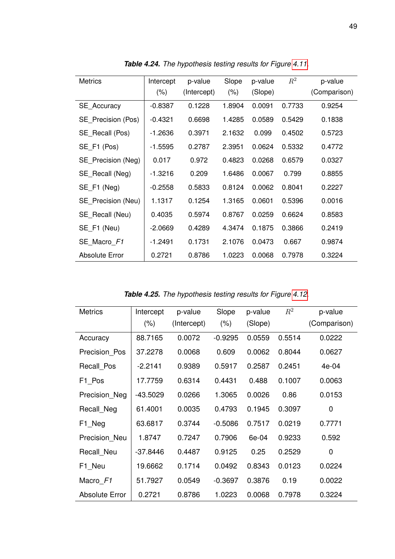<span id="page-59-0"></span>

| <b>Metrics</b>     | Intercept<br>$(\% )$ | p-value<br>(Intercept) | Slope<br>$(\% )$ | p-value<br>(Slope) | $R^2$  | p-value<br>(Comparison) |
|--------------------|----------------------|------------------------|------------------|--------------------|--------|-------------------------|
| SE_Accuracy        | $-0.8387$            | 0.1228                 | 1.8904           | 0.0091             | 0.7733 | 0.9254                  |
| SE_Precision (Pos) | $-0.4321$            | 0.6698                 | 1.4285           | 0.0589             | 0.5429 | 0.1838                  |
| SE Recall (Pos)    | $-1.2636$            | 0.3971                 | 2.1632           | 0.099              | 0.4502 | 0.5723                  |
| SE F1 (Pos)        | $-1.5595$            | 0.2787                 | 2.3951           | 0.0624             | 0.5332 | 0.4772                  |
| SE_Precision (Neg) | 0.017                | 0.972                  | 0.4823           | 0.0268             | 0.6579 | 0.0327                  |
| SE Recall (Neg)    | -1.3216              | 0.209                  | 1.6486           | 0.0067             | 0.799  | 0.8855                  |
| SE F1 (Neg)        | $-0.2558$            | 0.5833                 | 0.8124           | 0.0062             | 0.8041 | 0.2227                  |
| SE Precision (Neu) | 1.1317               | 0.1254                 | 1.3165           | 0.0601             | 0.5396 | 0.0016                  |
| SE Recall (Neu)    | 0.4035               | 0.5974                 | 0.8767           | 0.0259             | 0.6624 | 0.8583                  |
| SE F1 (Neu)        | $-2.0669$            | 0.4289                 | 4.3474           | 0.1875             | 0.3866 | 0.2419                  |
| SE_Macro_F1        | -1.2491              | 0.1731                 | 2.1076           | 0.0473             | 0.667  | 0.9874                  |
| Absolute Error     | 0.2721               | 0.8786                 | 1.0223           | 0.0068             | 0.7978 | 0.3224                  |

*Table 4.24. The hypothesis testing results for Figure [4.11.](#page-57-0)*

*Table 4.25. The hypothesis testing results for Figure [4.12.](#page-60-0)*

<span id="page-59-1"></span>

| <b>Metrics</b>        | Intercept<br>$(\% )$ | p-value<br>(Intercept) | Slope<br>$(\% )$ | p-value<br>(Slope) | $R^2$  | p-value<br>(Comparison) |
|-----------------------|----------------------|------------------------|------------------|--------------------|--------|-------------------------|
| Accuracy              | 88.7165              | 0.0072                 | $-0.9295$        | 0.0559             | 0.5514 | 0.0222                  |
| Precision Pos         | 37.2278              | 0.0068                 | 0.609            | 0.0062             | 0.8044 | 0.0627                  |
| Recall Pos            | $-2.2141$            | 0.9389                 | 0.5917           | 0.2587             | 0.2451 | 4e-04                   |
| F1 Pos                | 17.7759              | 0.6314                 | 0.4431           | 0.488              | 0.1007 | 0.0063                  |
| Precision_Neg         | $-43.5029$           | 0.0266                 | 1.3065           | 0.0026             | 0.86   | 0.0153                  |
| Recall_Neg            | 61.4001              | 0.0035                 | 0.4793           | 0.1945             | 0.3097 | 0                       |
| F1_Neg                | 63.6817              | 0.3744                 | $-0.5086$        | 0.7517             | 0.0219 | 0.7771                  |
| Precision Neu         | 1.8747               | 0.7247                 | 0.7906           | 6e-04              | 0.9233 | 0.592                   |
| Recall Neu            | $-37.8446$           | 0.4487                 | 0.9125           | 0.25               | 0.2529 | 0                       |
| F1_Neu                | 19.6662              | 0.1714                 | 0.0492           | 0.8343             | 0.0123 | 0.0224                  |
| Macro F1              | 51.7927              | 0.0549                 | $-0.3697$        | 0.3876             | 0.19   | 0.0022                  |
| <b>Absolute Error</b> | 0.2721               | 0.8786                 | 1.0223           | 0.0068             | 0.7978 | 0.3224                  |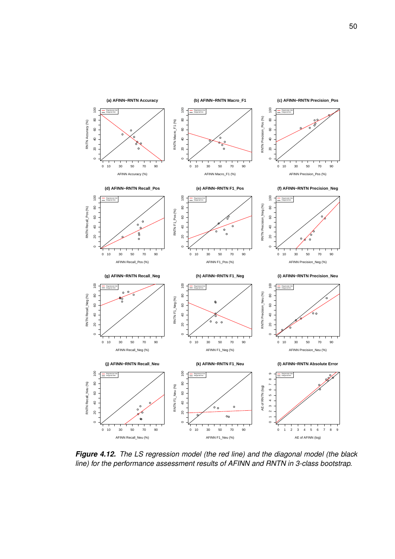<span id="page-60-0"></span>

*Figure 4.12. The LS regression model (the red line) and the diagonal model (the black line) for the performance assessment results of AFINN and RNTN in 3-class bootstrap.*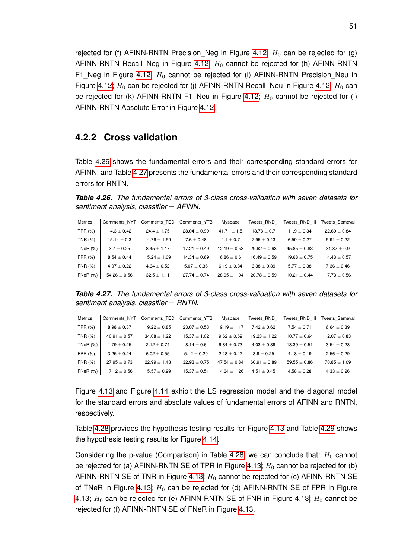rejected for (f) AFINN-RNTN Precision Neg in Figure [4.12;](#page-60-0)  $H_0$  can be rejected for (g) AFINN-RNTN Recall\_Neg in Figure [4.12;](#page-60-0)  $H_0$  cannot be rejected for (h) AFINN-RNTN F1\_Neg in Figure [4.12;](#page-60-0)  $H_0$  cannot be rejected for (i) AFINN-RNTN Precision\_Neu in Figure [4.12;](#page-60-0)  $H_0$  can be rejected for (j) AFINN-RNTN Recall\_Neu in Figure 4.12;  $H_0$  can be rejected for (k) AFINN-RNTN F1\_Neu in Figure [4.12;](#page-60-0)  $H_0$  cannot be rejected for (I) AFINN-RNTN Absolute Error in Figure [4.12.](#page-60-0)

#### **4.2.2 Cross validation**

Table [4.26](#page-61-0) shows the fundamental errors and their corresponding standard errors for AFINN, and Table [4.27](#page-61-1) presents the fundamental errors and their corresponding standard errors for RNTN.

<span id="page-61-0"></span>*Table 4.26. The fundamental errors of 3-class cross-validation with seven datasets for sentiment analysis, classifier* = *AFINN.*

| <b>Metrics</b> | Comments NYT     | Comments TED    | Comments YTB     | Myspace          | Tweets RND I   | Tweets RND III | Tweets Semeval   |
|----------------|------------------|-----------------|------------------|------------------|----------------|----------------|------------------|
| TPR (%)        | $14.3 \pm 0.42$  | $24.4 + 1.75$   | $28.04 + 0.99$   | $41.71 + 1.5$    | $18.78 + 0.7$  | $11.9 + 0.34$  | $22.69 \pm 0.84$ |
| TNR (%)        | $15.14 \pm 0.3$  | $14.76 + 1.59$  | $7.6 + 0.48$     | $4.1 + 0.7$      | $7.95 + 0.43$  | $6.59 + 0.27$  | $5.91 + 0.22$    |
| TNeR $(%)$     | $3.7 \pm 0.25$   | $8.45 + 1.17$   | $17.21 + 0.49$   | $12.19 + 0.53$   | $29.62 + 0.63$ | $45.85 + 0.83$ | $31.87 \pm 0.9$  |
| FPR $(\%)$     | $8.54 + 0.44$    | $15.24 + 1.09$  | $14.34 + 0.69$   | $6.86 + 0.6$     | $16.49 + 0.59$ | $19.68 + 0.75$ | $14.43 \pm 0.57$ |
| FNR (%)        | $4.07 + 0.22$    | $4.64 + 0.52$   | $5.07 + 0.36$    | $6.19 + 0.84$    | $6.38 + 0.39$  | $5.77 + 0.38$  | $7.36 + 0.46$    |
| FNeR $(%)$     | $54.26 \pm 0.56$ | $32.5 \pm 1.11$ | $27.74 \pm 0.74$ | $28.95 \pm 1.04$ | $20.78 + 0.59$ | $10.21 + 0.44$ | $17.73 \pm 0.56$ |

<span id="page-61-1"></span>*Table 4.27. The fundamental errors of 3-class cross-validation with seven datasets for sentiment analysis, classifier* = *RNTN.*

| <b>Metrics</b> | Comments NYT     | Comments TED     | Comments YTB     | Myspace        | Tweets RND I    | Tweets RND III | Tweets Semeval  |
|----------------|------------------|------------------|------------------|----------------|-----------------|----------------|-----------------|
| TPR $(\%)$     | $8.98 \pm 0.37$  | $19.22 \pm 0.85$ | $23.07 + 0.53$   | $19.19 + 1.17$ | $7.42 + 0.62$   | $7.54 + 0.71$  | $6.64 \pm 0.39$ |
| TNR (%)        | $40.91 \pm 0.57$ | $34.08 + 1.22$   | $15.37 + 1.02$   | $9.62 + 0.69$  | $19.23 + 1.22$  | $10.77 + 0.64$ | $12.07 + 0.83$  |
| TNeR $(%)$     | $1.79 \pm 0.25$  | $2.12 + 0.74$    | $8.14 + 0.6$     | $6.84 + 0.73$  | $4.03 + 0.39$   | $13.39 + 0.51$ | $3.54 + 0.28$   |
| FPR $(\%)$     | $3.25 + 0.24$    | $6.02 + 0.55$    | $5.12 + 0.29$    | $2.18 + 0.42$  | $3.9 + 0.25$    | $4.18 + 0.19$  | $2.56 + 0.29$   |
| FNR (%)        | $27.95 + 0.73$   | $22.99 + 1.43$   | $32.93 + 0.75$   | $47.54 + 0.84$ | $60.91 + 0.89$  | $59.55 + 0.86$ | $70.85 + 1.09$  |
| $FNeR$ $(\%)$  | $17.12 \pm 0.56$ | $15.57 \pm 0.99$ | $15.37 \pm 0.51$ | $14.64 + 1.26$ | $4.51 \pm 0.45$ | $4.58 + 0.28$  | $4.33 \pm 0.26$ |

Figure [4.13](#page-62-0) and Figure [4.14](#page-63-0) exhibit the LS regression model and the diagonal model for the standard errors and absolute values of fundamental errors of AFINN and RNTN, respectively.

Table [4.28](#page-64-0) provides the hypothesis testing results for Figure [4.13](#page-62-0) and Table [4.29](#page-64-1) shows the hypothesis testing results for Figure [4.14.](#page-63-0)

Considering the p-value (Comparison) in Table [4.28,](#page-64-0) we can conclude that:  $H_0$  cannot be rejected for (a) AFINN-RNTN SE of TPR in Figure [4.13;](#page-62-0)  $H_0$  cannot be rejected for (b) AFINN-RNTN SE of TNR in Figure [4.13;](#page-62-0)  $H_0$  cannot be rejected for (c) AFINN-RNTN SE of TNeR in Figure [4.13;](#page-62-0)  $H_0$  can be rejected for (d) AFINN-RNTN SE of FPR in Figure [4.13;](#page-62-0)  $H_0$  can be rejected for (e) AFINN-RNTN SE of FNR in Figure [4.13;](#page-62-0)  $H_0$  cannot be rejected for (f) AFINN-RNTN SE of FNeR in Figure [4.13.](#page-62-0)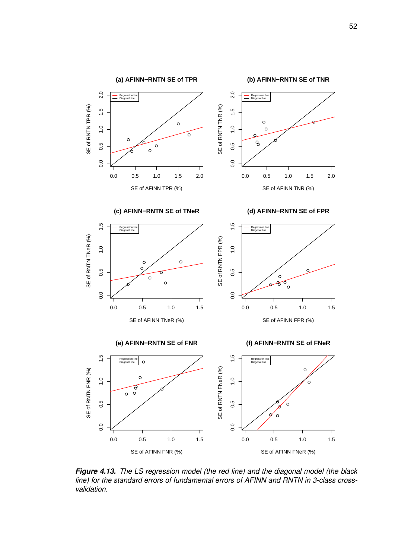<span id="page-62-0"></span>

*Figure 4.13. The LS regression model (the red line) and the diagonal model (the black line) for the standard errors of fundamental errors of AFINN and RNTN in 3-class crossvalidation.*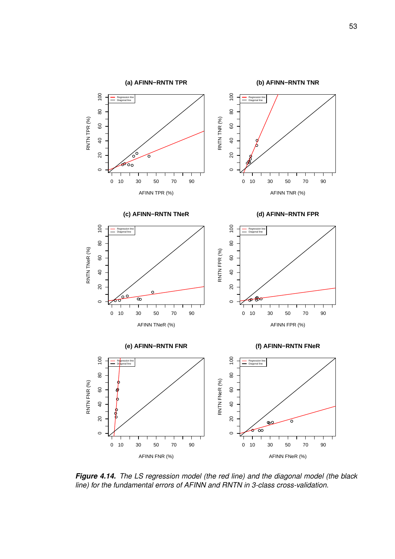<span id="page-63-0"></span>

*Figure 4.14. The LS regression model (the red line) and the diagonal model (the black line) for the fundamental errors of AFINN and RNTN in 3-class cross-validation.*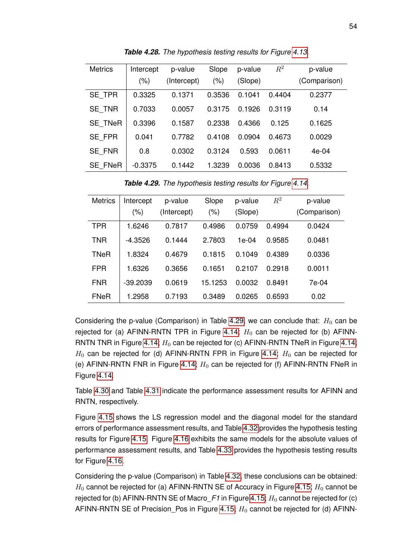<span id="page-64-0"></span>

| <b>Metrics</b> | Intercept<br>(%) | p-value<br>(Intercept) | Slope<br>(% ) | p-value<br>(Slope) | $R^2$  | p-value<br>(Comparison) |
|----------------|------------------|------------------------|---------------|--------------------|--------|-------------------------|
| SE_TPR         | 0.3325           | 0.1371                 | 0.3536        | 0.1041             | 0.4404 | 0.2377                  |
| SE_TNR         | 0.7033           | 0.0057                 | 0.3175        | 0.1926             | 0.3119 | 0.14                    |
| <b>SE TNeR</b> | 0.3396           | 0.1587                 | 0.2338        | 0.4366             | 0.125  | 0.1625                  |
| SE FPR         | 0.041            | 0.7782                 | 0.4108        | 0.0904             | 0.4673 | 0.0029                  |
| SE FNR         | 0.8              | 0.0302                 | 0.3124        | 0.593              | 0.0611 | $4e-04$                 |
| <b>SE FNeR</b> | $-0.3375$        | 0.1442                 | 1.3239        | 0.0036             | 0.8413 | 0.5332                  |

*Table 4.28. The hypothesis testing results for Figure [4.13.](#page-62-0)*

*Table 4.29. The hypothesis testing results for Figure [4.14.](#page-63-0)*

<span id="page-64-1"></span>

| <b>Metrics</b> | Intercept  | p-value     | Slope   | p-value | $R^2$  | p-value      |
|----------------|------------|-------------|---------|---------|--------|--------------|
|                | (%)        | (Intercept) | (%)     | (Slope) |        | (Comparison) |
| <b>TPR</b>     | 1.6246     | 0.7817      | 0.4986  | 0.0759  | 0.4994 | 0.0424       |
| TNR            | $-4.3526$  | 0.1444      | 2.7803  | 1e-04   | 0.9585 | 0.0481       |
| <b>TNeR</b>    | 1.8324     | 0.4679      | 0.1815  | 0.1049  | 0.4389 | 0.0336       |
| <b>FPR</b>     | 1.6326     | 0.3656      | 0.1651  | 0.2107  | 0.2918 | 0.0011       |
| <b>FNR</b>     | $-39.2039$ | 0.0619      | 15.1253 | 0.0032  | 0.8491 | 7e-04        |
| <b>FNeR</b>    | 1.2958     | 0.7193      | 0.3489  | 0.0265  | 0.6593 | 0.02         |

Considering the p-value (Comparison) in Table [4.29,](#page-64-1) we can conclude that:  $H_0$  can be rejected for (a) AFINN-RNTN TPR in Figure [4.14;](#page-63-0)  $H_0$  can be rejected for (b) AFINN-RNTN TNR in Figure [4.14;](#page-63-0)  $H_0$  can be rejected for (c) AFINN-RNTN TNeR in Figure 4.14;  $H_0$  can be rejected for (d) AFINN-RNTN FPR in Figure [4.14;](#page-63-0)  $H_0$  can be rejected for (e) AFINN-RNTN FNR in Figure [4.14;](#page-63-0)  $H_0$  can be rejected for (f) AFINN-RNTN FNeR in Figure [4.14.](#page-63-0)

Table [4.30](#page-66-0) and Table [4.31](#page-66-1) indicate the performance assessment results for AFINN and RNTN, respectively.

Figure [4.15](#page-65-0) shows the LS regression model and the diagonal model for the standard errors of performance assessment results, and Table [4.32](#page-67-0) provides the hypothesis testing results for Figure [4.15.](#page-65-0) Figure [4.16](#page-68-0) exhibits the same models for the absolute values of performance assessment results, and Table [4.33](#page-67-1) provides the hypothesis testing results for Figure [4.16.](#page-68-0)

Considering the p-value (Comparison) in Table [4.32,](#page-67-0) these conclusions can be obtained:  $H_0$  cannot be rejected for (a) AFINN-RNTN SE of Accuracy in Figure [4.15;](#page-65-0)  $H_0$  cannot be rejected for (b) AFINN-RNTN SE of Macro $F1$  in Figure [4.15;](#page-65-0)  $H_0$  cannot be rejected for (c) AFINN-RNTN SE of Precision\_Pos in Figure [4.15;](#page-65-0)  $H_0$  cannot be rejected for (d) AFINN-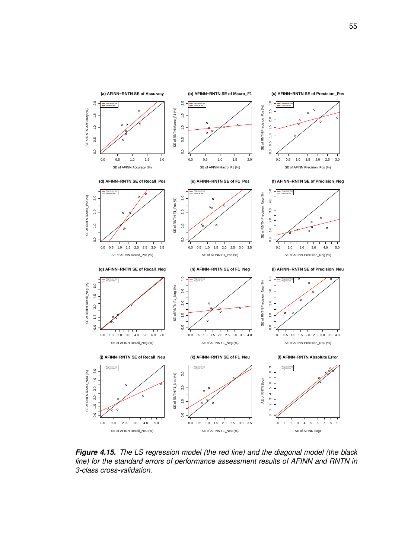<span id="page-65-0"></span>

*Figure 4.15. The LS regression model (the red line) and the diagonal model (the black line) for the standard errors of performance assessment results of AFINN and RNTN in 3-class cross-validation.*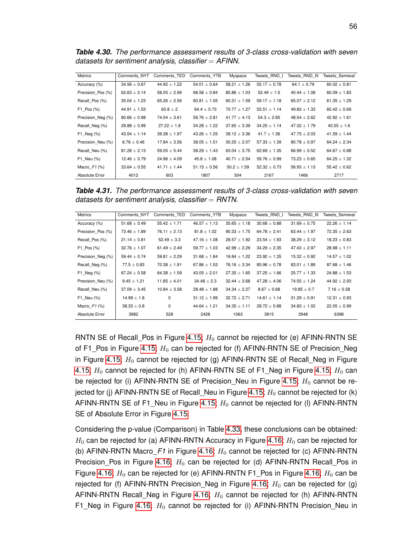<span id="page-66-0"></span>*Table 4.30. The performance assessment results of 3-class cross-validation with seven datasets for sentiment analysis, classifier* = *AFINN.*

| <b>Metrics</b>    | Comments NYT     | Comments TED     | Comments YTB     | Myspace          | Tweets RND I     | Tweets RND III   | Tweets Semeval   |
|-------------------|------------------|------------------|------------------|------------------|------------------|------------------|------------------|
| Accuracy (%)      | $34.56 \pm 0.67$ | $44.92 \pm 1.22$ | $54.01 \pm 0.64$ | $58.21 \pm 1.26$ | $55.17 \pm 0.78$ | 64.1 $\pm$ 0.79  | $60.02 \pm 0.81$ |
| Precision Pos (%) | $62.63 \pm 2.14$ | $58.05 \pm 2.99$ | $68.58 \pm 0.84$ | $85.86 \pm 1.03$ | $52.49 \pm 1.5$  | $40.44 \pm 1.08$ | $60.09 \pm 1.83$ |
| Recall Pos (%)    | $35.04 \pm 1.23$ | $65.26 \pm 2.56$ | $60.81 \pm 1.05$ | $60.31 \pm 1.59$ | $59.17 \pm 1.18$ | $65.07 \pm 2.12$ | $61.35 \pm 1.29$ |
| $F1$ Pos $(\%)$   | $44.91 \pm 1.53$ | $60.8 \pm 2$     | 64.4 $\pm$ 0.73  | $70.77 \pm 1.27$ | $55.51 \pm 1.14$ | $49.82 \pm 1.33$ | $60.42 \pm 0.69$ |
| Precision Neg (%) | $80.66 \pm 0.98$ | $74.04 \pm 3.61$ | $59.76 \pm 2.81$ | $41.77 \pm 4.13$ | $54.3 \pm 2.85$  | $48.54 \pm 2.62$ | $42.92 \pm 1.61$ |
| Recall Neg (%)    | $29.88 \pm 0.99$ | $27.22 \pm 1.8$  | $34.28 \pm 1.22$ | $37.65 \pm 3.39$ | $34.25 \pm 1.14$ | $47.32 \pm 1.79$ | $40.55 \pm 1.6$  |
| F1 Neg $(\%)$     | $43.54 \pm 1.14$ | $39.38 \pm 1.97$ | $43.26 \pm 1.25$ | $39.12 \pm 3.36$ | $41.7 \pm 1.36$  | $47.75 \pm 2.03$ | $41.59 \pm 1.44$ |
| Precision Neu (%) | $6.76 \pm 0.46$  | $17.84 \pm 3.56$ | $38.05 \pm 1.51$ | $30.25 \pm 2.07$ | $57.33 \pm 1.39$ | $80.78 \pm 0.97$ | $64.24 \pm 2.34$ |
| Recall Neu (%)    | $81.28 \pm 2.13$ | $59.05 \pm 5.44$ | $58.29 \pm 1.43$ | $63.04 \pm 3.75$ | $62.69 \pm 1.35$ | $66.99 \pm 0.52$ | $64.67 \pm 0.88$ |
| F1 Neu (%)        | $12.46 \pm 0.79$ | $24.96 \pm 4.09$ | $45.8 \pm 1.08$  | $40.71 \pm 2.54$ | $59.76 \pm 0.99$ | $73.23 \pm 0.65$ | $64.25 \pm 1.32$ |
| Macro $F1$ (%)    | $33.64 \pm 0.55$ | $41.71 \pm 1.44$ | $51.15 \pm 0.56$ | $50.2 \pm 1.59$  | $52.32 \pm 0.73$ | $56.93 \pm 1.13$ | $55.42 \pm 0.62$ |
| Absolute Error    | 4012             | 603              | 1807             | 504              | 2167             | 1466             | 2717             |

<span id="page-66-1"></span>*Table 4.31. The performance assessment results of 3-class cross-validation with seven datasets for sentiment analysis, classifier* = *RNTN.*

| <b>Metrics</b>    | Comments NYT     | Comments TED     | Comments YTB     | Myspace          | Tweets RND I     | Tweets RND III   | Tweets Semeval   |
|-------------------|------------------|------------------|------------------|------------------|------------------|------------------|------------------|
| Accuracy (%)      | $51.68 \pm 0.49$ | $55.42 \pm 1.71$ | $46.57 \pm 1.13$ | $35.65 \pm 1.18$ | $30.68 \pm 0.88$ | $31.69 \pm 0.75$ | $22.26 \pm 1.14$ |
| Precision Pos (%) | $73.46 \pm 1.89$ | $76.11 \pm 2.13$ | $81.8 \pm 1.02$  | $90.33 \pm 1.75$ | $64.78 \pm 2.41$ | $63.44 \pm 1.97$ | $72.35 \pm 2.63$ |
| Recall Pos (%)    | $21.14 \pm 0.81$ | $52.49 \pm 3.3$  | $47.16 \pm 1.08$ | $28.57 \pm 1.92$ | $23.54 \pm 1.93$ | $38.29 \pm 3.12$ | $18.23 \pm 0.83$ |
| $F1$ Pos $(\%)$   | $32.76 \pm 1.07$ | 61.49 $\pm$ 2.49 | $59.77 \pm 1.03$ | $42.99 \pm 2.29$ | $34.29 \pm 2.35$ | $47.43 \pm 2.97$ | $28.98 \pm 1.11$ |
| Precision Neg (%) | $59.44 \pm 0.74$ | $59.81 \pm 2.29$ | $31.68 \pm 1.84$ | $16.84 \pm 1.22$ | $23.92 \pm 1.35$ | $15.32 \pm 0.92$ | $14.57 \pm 1.02$ |
| Recall Neg (%)    | $77.5 \pm 0.83$  | $70.38 \pm 1.91$ | $67.86 \pm 1.53$ | $76.16 \pm 3.34$ | $85.96 \pm 0.78$ | $83.01 \pm 1.89$ | $87.68 \pm 1.46$ |
| $F1$ Neg $(\%)$   | $67.24 \pm 0.58$ | $64.38 \pm 1.59$ | $43.05 \pm 2.01$ | $27.35 \pm 1.65$ | $37.25 \pm 1.66$ | $25.77 \pm 1.33$ | $24.88 \pm 1.53$ |
| Precision Neu (%) | $9.45 \pm 1.21$  | $11.85 \pm 4.01$ | $34.48 \pm 2.3$  | $32.44 \pm 3.68$ | $47.28 \pm 4.06$ | $74.55 \pm 1.24$ | $44.92 \pm 2.93$ |
| Recall Neu (%)    | $37.09 \pm 3.45$ | $10.84 \pm 3.58$ | $28.48 \pm 1.88$ | $34.34 \pm 2.27$ | $8.67 \pm 0.68$  | $19.85 \pm 0.7$  | $7.16 \pm 0.58$  |
| F1 Neu (%)        | $14.99 \pm 1.8$  | 0                | $31.12 \pm 1.99$ | $32.72 \pm 2.71$ | $14.61 \pm 1.14$ | $31.29 \pm 0.91$ | $12.31 \pm 0.93$ |
| Macro $F1$ (%)    | $38.33 \pm 0.8$  | $\Omega$         | $44.64 \pm 1.21$ | $34.35 \pm 1.11$ | $28.72 \pm 0.88$ | $34.83 \pm 1.02$ | $22.05 \pm 0.99$ |
| Absolute Error    | 3982             | 528              | 2428             | 1063             | 3915             | 2948             | 6398             |

RNTN SE of Recall Pos in Figure [4.15;](#page-65-0)  $H_0$  cannot be rejected for (e) AFINN-RNTN SE of F1\_Pos in Figure [4.15;](#page-65-0)  $H_0$  can be rejected for (f) AFINN-RNTN SE of Precision\_Neg in Figure [4.15;](#page-65-0)  $H_0$  cannot be rejected for (g) AFINN-RNTN SE of Recall\_Neg in Figure [4.15;](#page-65-0)  $H_0$  cannot be rejected for (h) AFINN-RNTN SE of F1\_Neg in Figure [4.15;](#page-65-0)  $H_0$  can be rejected for (i) AFINN-RNTN SE of Precision Neu in Figure [4.15;](#page-65-0)  $H_0$  cannot be re-jected for (j) AFINN-RNTN SE of Recall Neu in Figure [4.15;](#page-65-0)  $H_0$  cannot be rejected for (k) AFINN-RNTN SE of F1 Neu in Figure [4.15;](#page-65-0)  $H_0$  cannot be rejected for (I) AFINN-RNTN SE of Absolute Error in Figure [4.15.](#page-65-0)

Considering the p-value (Comparison) in Table [4.33,](#page-67-1) these conclusions can be obtained:  $H_0$  can be rejected for (a) AFINN-RNTN Accuracy in Figure [4.16;](#page-68-0)  $H_0$  can be rejected for (b) AFINN-RNTN Macro $F$ 1 in Figure [4.16;](#page-68-0)  $H_0$  cannot be rejected for (c) AFINN-RNTN Precision\_Pos in Figure [4.16;](#page-68-0)  $H_0$  can be rejected for (d) AFINN-RNTN Recall\_Pos in Figure [4.16;](#page-68-0)  $H_0$  can be rejected for (e) AFINN-RNTN F1\_Pos in Figure 4.16;  $H_0$  can be rejected for (f) AFINN-RNTN Precision\_Neg in Figure [4.16;](#page-68-0)  $H_0$  can be rejected for (g) AFINN-RNTN Recall\_Neg in Figure [4.16;](#page-68-0)  $H_0$  cannot be rejected for (h) AFINN-RNTN F1\_Neg in Figure [4.16;](#page-68-0)  $H_0$  cannot be rejected for (i) AFINN-RNTN Precision\_Neu in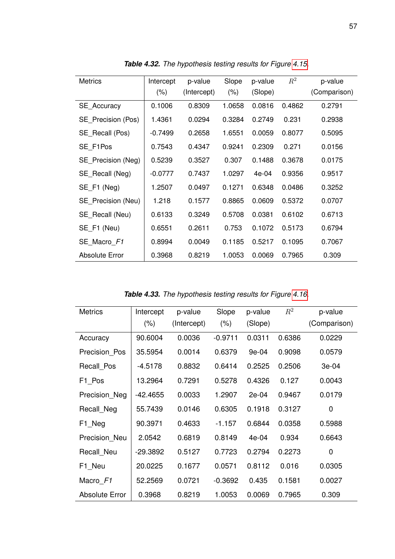<span id="page-67-0"></span>

| <b>Metrics</b>     | Intercept<br>$(\% )$ | p-value<br>(Intercept) | Slope<br>$(\% )$ | p-value<br>(Slope) | $R^2$  | p-value<br>(Comparison) |
|--------------------|----------------------|------------------------|------------------|--------------------|--------|-------------------------|
| <b>SE</b> Accuracy | 0.1006               | 0.8309                 | 1.0658           | 0.0816             | 0.4862 | 0.2791                  |
| SE Precision (Pos) | 1.4361               | 0.0294                 | 0.3284           | 0.2749             | 0.231  | 0.2938                  |
| SE_Recall (Pos)    | $-0.7499$            | 0.2658                 | 1.6551           | 0.0059             | 0.8077 | 0.5095                  |
| SE F1Pos           | 0.7543               | 0.4347                 | 0.9241           | 0.2309             | 0.271  | 0.0156                  |
| SE Precision (Neg) | 0.5239               | 0.3527                 | 0.307            | 0.1488             | 0.3678 | 0.0175                  |
| SE_Recall (Neg)    | $-0.0777$            | 0.7437                 | 1.0297           | $4e-04$            | 0.9356 | 0.9517                  |
| SE F1 (Neg)        | 1.2507               | 0.0497                 | 0.1271           | 0.6348             | 0.0486 | 0.3252                  |
| SE Precision (Neu) | 1.218                | 0.1577                 | 0.8865           | 0.0609             | 0.5372 | 0.0707                  |
| SE Recall (Neu)    | 0.6133               | 0.3249                 | 0.5708           | 0.0381             | 0.6102 | 0.6713                  |
| SE_F1 (Neu)        | 0.6551               | 0.2611                 | 0.753            | 0.1072             | 0.5173 | 0.6794                  |
| SE Macro F1        | 0.8994               | 0.0049                 | 0.1185           | 0.5217             | 0.1095 | 0.7067                  |
| Absolute Error     | 0.3968               | 0.8219                 | 1.0053           | 0.0069             | 0.7965 | 0.309                   |

*Table 4.32. The hypothesis testing results for Figure [4.15.](#page-65-0)*

*Table 4.33. The hypothesis testing results for Figure [4.16.](#page-68-0)*

<span id="page-67-1"></span>

| <b>Metrics</b>        | Intercept<br>$(\% )$ | p-value<br>(Intercept) | Slope<br>$(\% )$ | p-value<br>(Slope) | $R^2$  | p-value<br>(Comparison) |
|-----------------------|----------------------|------------------------|------------------|--------------------|--------|-------------------------|
| Accuracy              | 90.6004              | 0.0036                 | $-0.9711$        | 0.0311             | 0.6386 | 0.0229                  |
| Precision_Pos         | 35.5954              | 0.0014                 | 0.6379           | 9e-04              | 0.9098 | 0.0579                  |
| Recall Pos            | $-4.5178$            | 0.8832                 | 0.6414           | 0.2525             | 0.2506 | 3e-04                   |
| F1 Pos                | 13.2964              | 0.7291                 | 0.5278           | 0.4326             | 0.127  | 0.0043                  |
| Precision_Neg         | $-42.4655$           | 0.0033                 | 1.2907           | 2e-04              | 0.9467 | 0.0179                  |
| Recall_Neg            | 55.7439              | 0.0146                 | 0.6305           | 0.1918             | 0.3127 | 0                       |
| F1_Neg                | 90.3971              | 0.4633                 | $-1.157$         | 0.6844             | 0.0358 | 0.5988                  |
| Precision Neu         | 2.0542               | 0.6819                 | 0.8149           | $4e-04$            | 0.934  | 0.6643                  |
| Recall Neu            | $-29.3892$           | 0.5127                 | 0.7723           | 0.2794             | 0.2273 | 0                       |
| F1_Neu                | 20.0225              | 0.1677                 | 0.0571           | 0.8112             | 0.016  | 0.0305                  |
| Macro F1              | 52.2569              | 0.0721                 | $-0.3692$        | 0.435              | 0.1581 | 0.0027                  |
| <b>Absolute Error</b> | 0.3968               | 0.8219                 | 1.0053           | 0.0069             | 0.7965 | 0.309                   |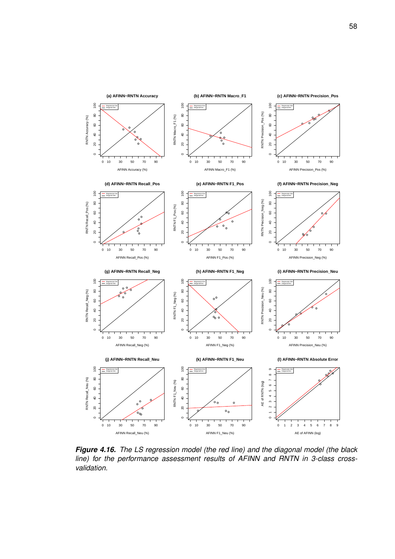<span id="page-68-0"></span>

*Figure 4.16. The LS regression model (the red line) and the diagonal model (the black line) for the performance assessment results of AFINN and RNTN in 3-class crossvalidation.*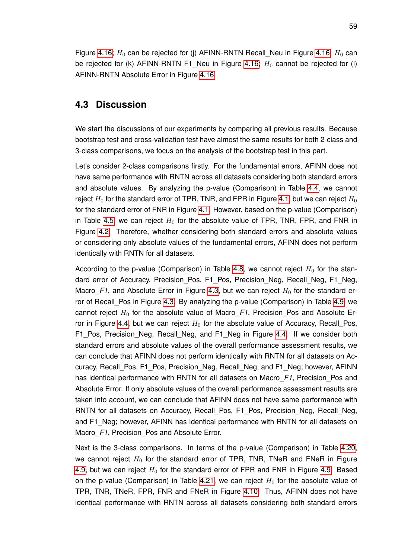Figure [4.16;](#page-68-0)  $H_0$  can be rejected for (j) AFINN-RNTN Recall Neu in Figure 4.16;  $H_0$  can be rejected for (k) AFINN-RNTN F1\_Neu in Figure [4.16;](#page-68-0)  $H_0$  cannot be rejected for (l) AFINN-RNTN Absolute Error in Figure [4.16.](#page-68-0)

# **4.3 Discussion**

We start the discussions of our experiments by comparing all previous results. Because bootstrap test and cross-validation test have almost the same results for both 2-class and 3-class comparisons, we focus on the analysis of the bootstrap test in this part.

Let's consider 2-class comparisons firstly. For the fundamental errors, AFINN does not have same performance with RNTN across all datasets considering both standard errors and absolute values. By analyzing the p-value (Comparison) in Table [4.4,](#page-41-2) we cannot reject  $H_0$  for the standard error of TPR, TNR, and FPR in Figure [4.1,](#page-42-0) but we can reject  $H_0$ for the standard error of FNR in Figure [4.1.](#page-42-0) However, based on the p-value (Comparison) in Table [4.5,](#page-42-1) we can reject  $H_0$  for the absolute value of TPR, TNR, FPR, and FNR in Figure [4.2.](#page-43-0) Therefore, whether considering both standard errors and absolute values or considering only absolute values of the fundamental errors, AFINN does not perform identically with RNTN for all datasets.

According to the p-value (Comparison) in Table [4.8,](#page-44-1) we cannot reject  $H_0$  for the standard error of Accuracy, Precision Pos, F1 Pos, Precision Neg, Recall Neg, F1 Neg, Macro $F1$ , and Absolute Error in Figure [4.3,](#page-45-0) but we can reject  $H_0$  for the standard er-ror of Recall Pos in Figure [4.3.](#page-45-0) By analyzing the p-value (Comparison) in Table [4.9,](#page-46-1) we cannot reject  $H_0$  for the absolute value of Macro<sub> $F$ 1</sub>, Precision Pos and Absolute Er-ror in Figure [4.4,](#page-46-0) but we can reject  $H_0$  for the absolute value of Accuracy, Recall Pos, F1\_Pos, Precision\_Neg, Recall\_Neg, and F1\_Neg in Figure [4.4.](#page-46-0) If we consider both standard errors and absolute values of the overall performance assessment results, we can conclude that AFINN does not perform identically with RNTN for all datasets on Accuracy, Recall Pos, F1 Pos, Precision Neg, Recall Neg, and F1 Neg; however, AFINN has identical performance with RNTN for all datasets on Macro F1, Precision Pos and Absolute Error. If only absolute values of the overall performance assessment results are taken into account, we can conclude that AFINN does not have same performance with RNTN for all datasets on Accuracy, Recall Pos, F1 Pos, Precision Neg, Recall Neg, and F1 Neg; however, AFINN has identical performance with RNTN for all datasets on Macro\_*F1*, Precision\_Pos and Absolute Error.

Next is the 3-class comparisons. In terms of the p-value (Comparison) in Table [4.20,](#page-55-0) we cannot reject  $H_0$  for the standard error of TPR, TNR, TNeR and FNeR in Figure [4.9,](#page-54-0) but we can reject  $H_0$  for the standard error of FPR and FNR in Figure [4.9.](#page-54-0) Based on the p-value (Comparison) in Table [4.21,](#page-55-1) we can reject  $H_0$  for the absolute value of TPR, TNR, TNeR, FPR, FNR and FNeR in Figure [4.10.](#page-56-0) Thus, AFINN does not have identical performance with RNTN across all datasets considering both standard errors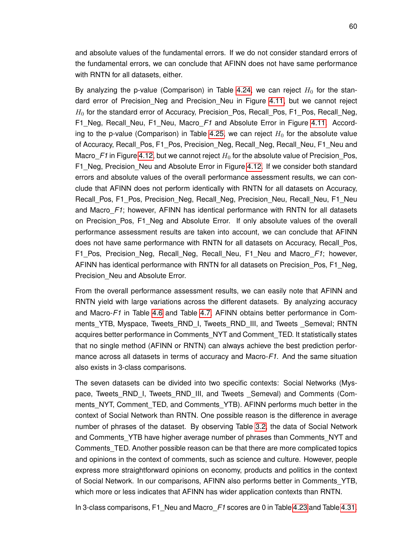and absolute values of the fundamental errors. If we do not consider standard errors of the fundamental errors, we can conclude that AFINN does not have same performance with RNTN for all datasets, either.

By analyzing the p-value (Comparison) in Table [4.24,](#page-59-0) we can reject  $H_0$  for the stan-dard error of Precision Neg and Precision Neu in Figure [4.11,](#page-57-0) but we cannot reject  $H_0$  for the standard error of Accuracy, Precision\_Pos, Recall\_Pos, F1\_Pos, Recall\_Neg, F1 Neg, Recall Neu, F1 Neu, Macro F1 and Absolute Error in Figure [4.11.](#page-57-0) Accord-ing to the p-value (Comparison) in Table [4.25,](#page-59-1) we can reject  $H_0$  for the absolute value of Accuracy, Recall\_Pos, F1\_Pos, Precision\_Neg, Recall\_Neg, Recall\_Neu, F1\_Neu and Macro F1 in Figure [4.12,](#page-60-0) but we cannot reject  $H_0$  for the absolute value of Precision Pos, F1 Neg, Precision Neu and Absolute Error in Figure [4.12.](#page-60-0) If we consider both standard errors and absolute values of the overall performance assessment results, we can conclude that AFINN does not perform identically with RNTN for all datasets on Accuracy, Recall\_Pos, F1\_Pos, Precision\_Neg, Recall\_Neg, Precision\_Neu, Recall\_Neu, F1\_Neu and Macro\_*F1*; however, AFINN has identical performance with RNTN for all datasets on Precision Pos, F1 Neg and Absolute Error. If only absolute values of the overall performance assessment results are taken into account, we can conclude that AFINN does not have same performance with RNTN for all datasets on Accuracy, Recall Pos, F1\_Pos, Precision\_Neg, Recall\_Neg, Recall\_Neu, F1\_Neu and Macro\_*F1*; however, AFINN has identical performance with RNTN for all datasets on Precision Pos, F1 Neg, Precision Neu and Absolute Error.

From the overall performance assessment results, we can easily note that AFINN and RNTN yield with large variations across the different datasets. By analyzing accuracy and Macro-*F1* in Table [4.6](#page-43-1) and Table [4.7,](#page-44-0) AFINN obtains better performance in Comments\_YTB, Myspace, Tweets\_RND\_I, Tweets\_RND\_III, and Tweets \_Semeval; RNTN acquires better performance in Comments\_NYT and Comment\_TED. It statistically states that no single method (AFINN or RNTN) can always achieve the best prediction performance across all datasets in terms of accuracy and Macro-*F1*. And the same situation also exists in 3-class comparisons.

The seven datasets can be divided into two specific contexts: Social Networks (Myspace, Tweets RND I, Tweets RND III, and Tweets Semeval) and Comments (Comments NYT, Comment TED, and Comments YTB). AFINN performs much better in the context of Social Network than RNTN. One possible reason is the difference in average number of phrases of the dataset. By observing Table [3.2,](#page-37-0) the data of Social Network and Comments YTB have higher average number of phrases than Comments NYT and Comments\_TED. Another possible reason can be that there are more complicated topics and opinions in the context of comments, such as science and culture. However, people express more straightforward opinions on economy, products and politics in the context of Social Network. In our comparisons, AFINN also performs better in Comments\_YTB, which more or less indicates that AFINN has wider application contexts than RNTN.

In 3-class comparisons, F1\_Neu and Macro\_*F1* scores are 0 in Table [4.23](#page-58-1) and Table [4.31.](#page-66-1)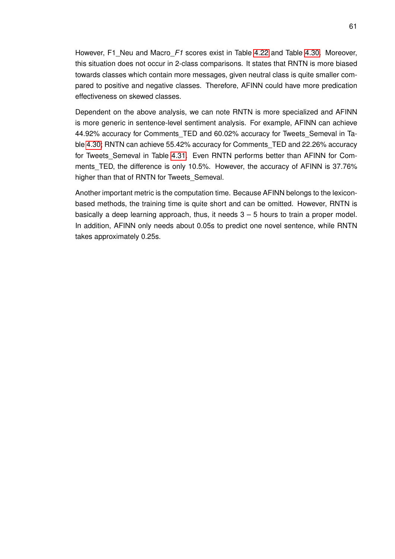However, F1\_Neu and Macro\_*F1* scores exist in Table [4.22](#page-58-0) and Table [4.30.](#page-66-0) Moreover, this situation does not occur in 2-class comparisons. It states that RNTN is more biased towards classes which contain more messages, given neutral class is quite smaller compared to positive and negative classes. Therefore, AFINN could have more predication effectiveness on skewed classes.

Dependent on the above analysis, we can note RNTN is more specialized and AFINN is more generic in sentence-level sentiment analysis. For example, AFINN can achieve 44.92% accuracy for Comments\_TED and 60.02% accuracy for Tweets\_Semeval in Table [4.30;](#page-66-0) RNTN can achieve 55.42% accuracy for Comments\_TED and 22.26% accuracy for Tweets\_Semeval in Table [4.31.](#page-66-1) Even RNTN performs better than AFINN for Comments\_TED, the difference is only 10.5%. However, the accuracy of AFINN is 37.76% higher than that of RNTN for Tweets\_Semeval.

Another important metric is the computation time. Because AFINN belongs to the lexiconbased methods, the training time is quite short and can be omitted. However, RNTN is basically a deep learning approach, thus, it needs  $3 - 5$  hours to train a proper model. In addition, AFINN only needs about 0.05s to predict one novel sentence, while RNTN takes approximately 0.25s.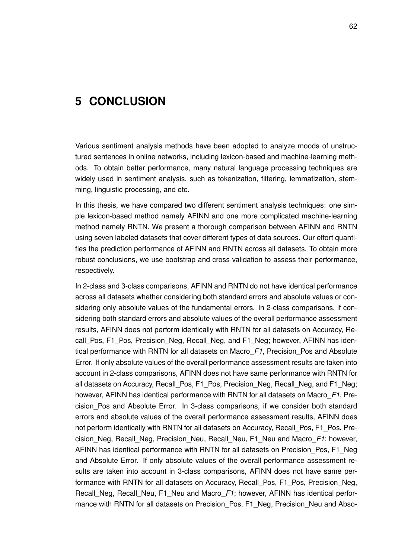## **5 CONCLUSION**

Various sentiment analysis methods have been adopted to analyze moods of unstructured sentences in online networks, including lexicon-based and machine-learning methods. To obtain better performance, many natural language processing techniques are widely used in sentiment analysis, such as tokenization, filtering, lemmatization, stemming, linguistic processing, and etc.

In this thesis, we have compared two different sentiment analysis techniques: one simple lexicon-based method namely AFINN and one more complicated machine-learning method namely RNTN. We present a thorough comparison between AFINN and RNTN using seven labeled datasets that cover different types of data sources. Our effort quantifies the prediction performance of AFINN and RNTN across all datasets. To obtain more robust conclusions, we use bootstrap and cross validation to assess their performance, respectively.

In 2-class and 3-class comparisons, AFINN and RNTN do not have identical performance across all datasets whether considering both standard errors and absolute values or considering only absolute values of the fundamental errors. In 2-class comparisons, if considering both standard errors and absolute values of the overall performance assessment results, AFINN does not perform identically with RNTN for all datasets on Accuracy, Recall Pos, F1 Pos, Precision Neg, Recall Neg, and F1 Neg; however, AFINN has identical performance with RNTN for all datasets on Macro\_*F1*, Precision\_Pos and Absolute Error. If only absolute values of the overall performance assessment results are taken into account in 2-class comparisons, AFINN does not have same performance with RNTN for all datasets on Accuracy, Recall Pos, F1 Pos, Precision Neg, Recall Neg, and F1 Neg; however, AFINN has identical performance with RNTN for all datasets on Macro\_*F1*, Precision\_Pos and Absolute Error. In 3-class comparisons, if we consider both standard errors and absolute values of the overall performance assessment results, AFINN does not perform identically with RNTN for all datasets on Accuracy, Recall\_Pos, F1\_Pos, Precision\_Neg, Recall\_Neg, Precision\_Neu, Recall\_Neu, F1\_Neu and Macro\_*F1*; however, AFINN has identical performance with RNTN for all datasets on Precision\_Pos, F1\_Neg and Absolute Error. If only absolute values of the overall performance assessment results are taken into account in 3-class comparisons, AFINN does not have same performance with RNTN for all datasets on Accuracy, Recall\_Pos, F1\_Pos, Precision\_Neg, Recall\_Neg, Recall\_Neu, F1\_Neu and Macro\_*F1*; however, AFINN has identical performance with RNTN for all datasets on Precision Pos, F1 Neg, Precision Neu and Abso-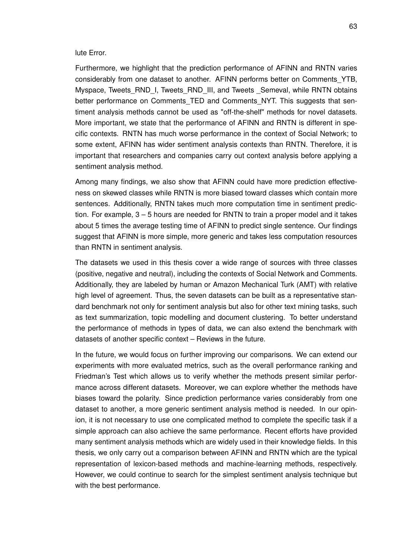## lute Error.

Furthermore, we highlight that the prediction performance of AFINN and RNTN varies considerably from one dataset to another. AFINN performs better on Comments\_YTB, Myspace, Tweets\_RND\_I, Tweets\_RND\_III, and Tweets \_Semeval, while RNTN obtains better performance on Comments TED and Comments NYT. This suggests that sentiment analysis methods cannot be used as "off-the-shelf" methods for novel datasets. More important, we state that the performance of AFINN and RNTN is different in specific contexts. RNTN has much worse performance in the context of Social Network; to some extent, AFINN has wider sentiment analysis contexts than RNTN. Therefore, it is important that researchers and companies carry out context analysis before applying a sentiment analysis method.

Among many findings, we also show that AFINN could have more prediction effectiveness on skewed classes while RNTN is more biased toward classes which contain more sentences. Additionally, RNTN takes much more computation time in sentiment prediction. For example, 3 – 5 hours are needed for RNTN to train a proper model and it takes about 5 times the average testing time of AFINN to predict single sentence. Our findings suggest that AFINN is more simple, more generic and takes less computation resources than RNTN in sentiment analysis.

The datasets we used in this thesis cover a wide range of sources with three classes (positive, negative and neutral), including the contexts of Social Network and Comments. Additionally, they are labeled by human or Amazon Mechanical Turk (AMT) with relative high level of agreement. Thus, the seven datasets can be built as a representative standard benchmark not only for sentiment analysis but also for other text mining tasks, such as text summarization, topic modelling and document clustering. To better understand the performance of methods in types of data, we can also extend the benchmark with datasets of another specific context – Reviews in the future.

In the future, we would focus on further improving our comparisons. We can extend our experiments with more evaluated metrics, such as the overall performance ranking and Friedman's Test which allows us to verify whether the methods present similar performance across different datasets. Moreover, we can explore whether the methods have biases toward the polarity. Since prediction performance varies considerably from one dataset to another, a more generic sentiment analysis method is needed. In our opinion, it is not necessary to use one complicated method to complete the specific task if a simple approach can also achieve the same performance. Recent efforts have provided many sentiment analysis methods which are widely used in their knowledge fields. In this thesis, we only carry out a comparison between AFINN and RNTN which are the typical representation of lexicon-based methods and machine-learning methods, respectively. However, we could continue to search for the simplest sentiment analysis technique but with the best performance.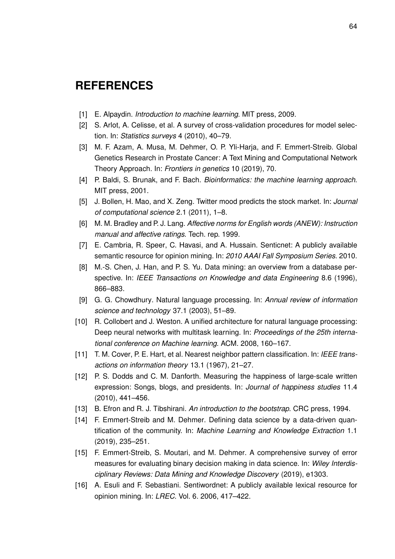## **REFERENCES**

- [1] E. Alpaydin. *Introduction to machine learning*. MIT press, 2009.
- [2] S. Arlot, A. Celisse, et al. A survey of cross-validation procedures for model selection. In: *Statistics surveys* 4 (2010), 40–79.
- [3] M. F. Azam, A. Musa, M. Dehmer, O. P. Yli-Harja, and F. Emmert-Streib. Global Genetics Research in Prostate Cancer: A Text Mining and Computational Network Theory Approach. In: *Frontiers in genetics* 10 (2019), 70.
- [4] P. Baldi, S. Brunak, and F. Bach. *Bioinformatics: the machine learning approach*. MIT press, 2001.
- [5] J. Bollen, H. Mao, and X. Zeng. Twitter mood predicts the stock market. In: *Journal of computational science* 2.1 (2011), 1–8.
- [6] M. M. Bradley and P. J. Lang. *Affective norms for English words (ANEW): Instruction manual and affective ratings*. Tech. rep. 1999.
- [7] E. Cambria, R. Speer, C. Havasi, and A. Hussain. Senticnet: A publicly available semantic resource for opinion mining. In: *2010 AAAI Fall Symposium Series*. 2010.
- [8] M.-S. Chen, J. Han, and P. S. Yu. Data mining: an overview from a database perspective. In: *IEEE Transactions on Knowledge and data Engineering* 8.6 (1996), 866–883.
- [9] G. G. Chowdhury. Natural language processing. In: *Annual review of information science and technology* 37.1 (2003), 51–89.
- [10] R. Collobert and J. Weston. A unified architecture for natural language processing: Deep neural networks with multitask learning. In: *Proceedings of the 25th international conference on Machine learning*. ACM. 2008, 160–167.
- [11] T. M. Cover, P. E. Hart, et al. Nearest neighbor pattern classification. In: *IEEE transactions on information theory* 13.1 (1967), 21–27.
- [12] P. S. Dodds and C. M. Danforth. Measuring the happiness of large-scale written expression: Songs, blogs, and presidents. In: *Journal of happiness studies* 11.4 (2010), 441–456.
- [13] B. Efron and R. J. Tibshirani. *An introduction to the bootstrap*. CRC press, 1994.
- [14] F. Emmert-Streib and M. Dehmer. Defining data science by a data-driven quantification of the community. In: *Machine Learning and Knowledge Extraction* 1.1 (2019), 235–251.
- [15] F. Emmert-Streib, S. Moutari, and M. Dehmer. A comprehensive survey of error measures for evaluating binary decision making in data science. In: *Wiley Interdisciplinary Reviews: Data Mining and Knowledge Discovery* (2019), e1303.
- [16] A. Esuli and F. Sebastiani. Sentiwordnet: A publicly available lexical resource for opinion mining. In: *LREC*. Vol. 6. 2006, 417–422.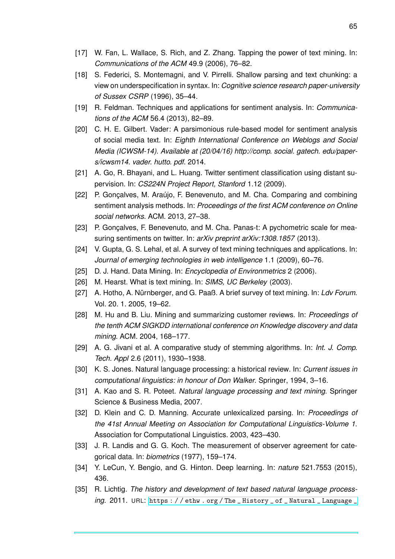- [17] W. Fan, L. Wallace, S. Rich, and Z. Zhang. Tapping the power of text mining. In: *Communications of the ACM* 49.9 (2006), 76–82.
- [18] S. Federici, S. Montemagni, and V. Pirrelli. Shallow parsing and text chunking: a view on underspecification in syntax. In: *Cognitive science research paper-university of Sussex CSRP* (1996), 35–44.
- [19] R. Feldman. Techniques and applications for sentiment analysis. In: *Communications of the ACM* 56.4 (2013), 82–89.
- [20] C. H. E. Gilbert. Vader: A parsimonious rule-based model for sentiment analysis of social media text. In: *Eighth International Conference on Weblogs and Social Media (ICWSM-14). Available at (20/04/16) http://comp. social. gatech. edu/papers/icwsm14. vader. hutto. pdf*. 2014.
- [21] A. Go, R. Bhayani, and L. Huang. Twitter sentiment classification using distant supervision. In: *CS224N Project Report, Stanford* 1.12 (2009).
- [22] P. Gonçalves, M. Araújo, F. Benevenuto, and M. Cha. Comparing and combining sentiment analysis methods. In: *Proceedings of the first ACM conference on Online social networks*. ACM. 2013, 27–38.
- [23] P. Gonçalves, F. Benevenuto, and M. Cha. Panas-t: A pychometric scale for measuring sentiments on twitter. In: *arXiv preprint arXiv:1308.1857* (2013).
- [24] V. Gupta, G. S. Lehal, et al. A survey of text mining techniques and applications. In: *Journal of emerging technologies in web intelligence* 1.1 (2009), 60–76.
- [25] D. J. Hand. Data Mining. In: *Encyclopedia of Environmetrics* 2 (2006).
- [26] M. Hearst. What is text mining. In: *SIMS, UC Berkeley* (2003).
- [27] A. Hotho, A. Nürnberger, and G. Paaß. A brief survey of text mining. In: *Ldv Forum*. Vol. 20. 1. 2005, 19–62.
- [28] M. Hu and B. Liu. Mining and summarizing customer reviews. In: *Proceedings of the tenth ACM SIGKDD international conference on Knowledge discovery and data mining*. ACM. 2004, 168–177.
- [29] A. G. Jivani et al. A comparative study of stemming algorithms. In: *Int. J. Comp. Tech. Appl* 2.6 (2011), 1930–1938.
- [30] K. S. Jones. Natural language processing: a historical review. In: *Current issues in computational linguistics: in honour of Don Walker*. Springer, 1994, 3–16.
- [31] A. Kao and S. R. Poteet. *Natural language processing and text mining*. Springer Science & Business Media, 2007.
- [32] D. Klein and C. D. Manning. Accurate unlexicalized parsing. In: *Proceedings of the 41st Annual Meeting on Association for Computational Linguistics-Volume 1*. Association for Computational Linguistics. 2003, 423–430.
- [33] J. R. Landis and G. G. Koch. The measurement of observer agreement for categorical data. In: *biometrics* (1977), 159–174.
- [34] Y. LeCun, Y. Bengio, and G. Hinton. Deep learning. In: *nature* 521.7553 (2015), 436.
- [35] R. Lichtig. *The history and development of text based natural language processing*. 2011. URL: [https : / / ethw . org / The \\_ History \\_ of \\_ Natural \\_ Language \\_](https://ethw.org/The_History_of_Natural_Language_Processing080207010024/http://www.808multimedia.com/winnt/kernel.htm)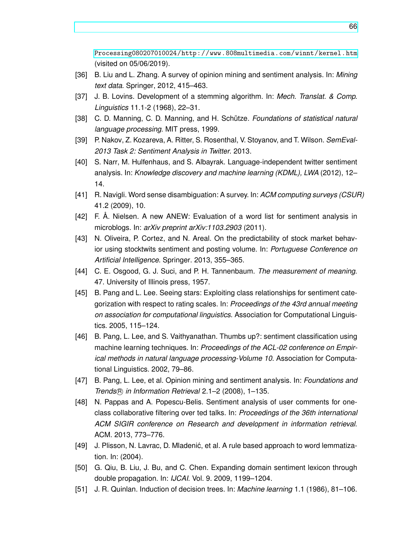[Processing080207010024/http://www.808multimedia.com/winnt/kernel.htm](https://ethw.org/The_History_of_Natural_Language_Processing080207010024/http://www.808multimedia.com/winnt/kernel.htm) (visited on 05/06/2019).

- [36] B. Liu and L. Zhang. A survey of opinion mining and sentiment analysis. In: *Mining text data*. Springer, 2012, 415–463.
- [37] J. B. Lovins. Development of a stemming algorithm. In: *Mech. Translat. & Comp. Linguistics* 11.1-2 (1968), 22–31.
- [38] C. D. Manning, C. D. Manning, and H. Schütze. *Foundations of statistical natural language processing*. MIT press, 1999.
- [39] P. Nakov, Z. Kozareva, A. Ritter, S. Rosenthal, V. Stoyanov, and T. Wilson. *SemEval-2013 Task 2: Sentiment Analysis in Twitter*. 2013.
- [40] S. Narr, M. Hulfenhaus, and S. Albayrak. Language-independent twitter sentiment analysis. In: *Knowledge discovery and machine learning (KDML), LWA* (2012), 12– 14.
- [41] R. Navigli. Word sense disambiguation: A survey. In: *ACM computing surveys (CSUR)* 41.2 (2009), 10.
- [42] F. Å. Nielsen. A new ANEW: Evaluation of a word list for sentiment analysis in microblogs. In: *arXiv preprint arXiv:1103.2903* (2011).
- [43] N. Oliveira, P. Cortez, and N. Areal. On the predictability of stock market behavior using stocktwits sentiment and posting volume. In: *Portuguese Conference on Artificial Intelligence*. Springer. 2013, 355–365.
- [44] C. E. Osgood, G. J. Suci, and P. H. Tannenbaum. *The measurement of meaning*. 47. University of Illinois press, 1957.
- [45] B. Pang and L. Lee. Seeing stars: Exploiting class relationships for sentiment categorization with respect to rating scales. In: *Proceedings of the 43rd annual meeting on association for computational linguistics*. Association for Computational Linguistics. 2005, 115–124.
- [46] B. Pang, L. Lee, and S. Vaithyanathan. Thumbs up?: sentiment classification using machine learning techniques. In: *Proceedings of the ACL-02 conference on Empirical methods in natural language processing-Volume 10*. Association for Computational Linguistics. 2002, 79–86.
- [47] B. Pang, L. Lee, et al. Opinion mining and sentiment analysis. In: *Foundations and Trends*( $\overline{R}$ ) *in Information Retrieval* 2.1–2 (2008), 1–135.
- [48] N. Pappas and A. Popescu-Belis. Sentiment analysis of user comments for oneclass collaborative filtering over ted talks. In: *Proceedings of the 36th international ACM SIGIR conference on Research and development in information retrieval*. ACM. 2013, 773–776.
- [49] J. Plisson, N. Lavrac, D. Mladenić, et al. A rule based approach to word lemmatization. In: (2004).
- [50] G. Qiu, B. Liu, J. Bu, and C. Chen. Expanding domain sentiment lexicon through double propagation. In: *IJCAI*. Vol. 9. 2009, 1199–1204.
- [51] J. R. Quinlan. Induction of decision trees. In: *Machine learning* 1.1 (1986), 81–106.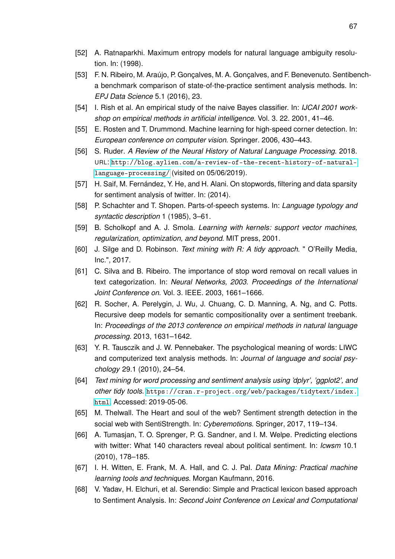- [52] A. Ratnaparkhi. Maximum entropy models for natural language ambiguity resolution. In: (1998).
- [53] F. N. Ribeiro, M. Araújo, P. Gonçalves, M. A. Gonçalves, and F. Benevenuto. Sentibencha benchmark comparison of state-of-the-practice sentiment analysis methods. In: *EPJ Data Science* 5.1 (2016), 23.
- [54] I. Rish et al. An empirical study of the naive Bayes classifier. In: *IJCAI 2001 workshop on empirical methods in artificial intelligence*. Vol. 3. 22. 2001, 41–46.
- [55] E. Rosten and T. Drummond. Machine learning for high-speed corner detection. In: *European conference on computer vision*. Springer. 2006, 430–443.
- [56] S. Ruder. *A Review of the Neural History of Natural Language Processing*. 2018. URL: [http://blog.aylien.com/a-review-of-the-recent-history-of-natural](http://blog.aylien.com/a-review-of-the-recent-history-of-natural-language-processing/)[language-processing/](http://blog.aylien.com/a-review-of-the-recent-history-of-natural-language-processing/) (visited on 05/06/2019).
- [57] H. Saif, M. Fernández, Y. He, and H. Alani. On stopwords, filtering and data sparsity for sentiment analysis of twitter. In: (2014).
- [58] P. Schachter and T. Shopen. Parts-of-speech systems. In: *Language typology and syntactic description* 1 (1985), 3–61.
- [59] B. Scholkopf and A. J. Smola. *Learning with kernels: support vector machines, regularization, optimization, and beyond*. MIT press, 2001.
- [60] J. Silge and D. Robinson. *Text mining with R: A tidy approach*. " O'Reilly Media, Inc.", 2017.
- [61] C. Silva and B. Ribeiro. The importance of stop word removal on recall values in text categorization. In: *Neural Networks, 2003. Proceedings of the International Joint Conference on*. Vol. 3. IEEE. 2003, 1661–1666.
- [62] R. Socher, A. Perelygin, J. Wu, J. Chuang, C. D. Manning, A. Ng, and C. Potts. Recursive deep models for semantic compositionality over a sentiment treebank. In: *Proceedings of the 2013 conference on empirical methods in natural language processing*. 2013, 1631–1642.
- [63] Y. R. Tausczik and J. W. Pennebaker. The psychological meaning of words: LIWC and computerized text analysis methods. In: *Journal of language and social psychology* 29.1 (2010), 24–54.
- [64] *Text mining for word processing and sentiment analysis using 'dplyr', 'ggplot2', and other tidy tools*. [https://cran.r-project.org/web/packages/tidytext/index.](https://cran.r-project.org/web/packages/tidytext/index.html) [html](https://cran.r-project.org/web/packages/tidytext/index.html). Accessed: 2019-05-06.
- [65] M. Thelwall. The Heart and soul of the web? Sentiment strength detection in the social web with SentiStrength. In: *Cyberemotions*. Springer, 2017, 119–134.
- [66] A. Tumasjan, T. O. Sprenger, P. G. Sandner, and I. M. Welpe. Predicting elections with twitter: What 140 characters reveal about political sentiment. In: *Icwsm* 10.1 (2010), 178–185.
- [67] I. H. Witten, E. Frank, M. A. Hall, and C. J. Pal. *Data Mining: Practical machine learning tools and techniques*. Morgan Kaufmann, 2016.
- [68] V. Yadav, H. Elchuri, et al. Serendio: Simple and Practical lexicon based approach to Sentiment Analysis. In: *Second Joint Conference on Lexical and Computational*